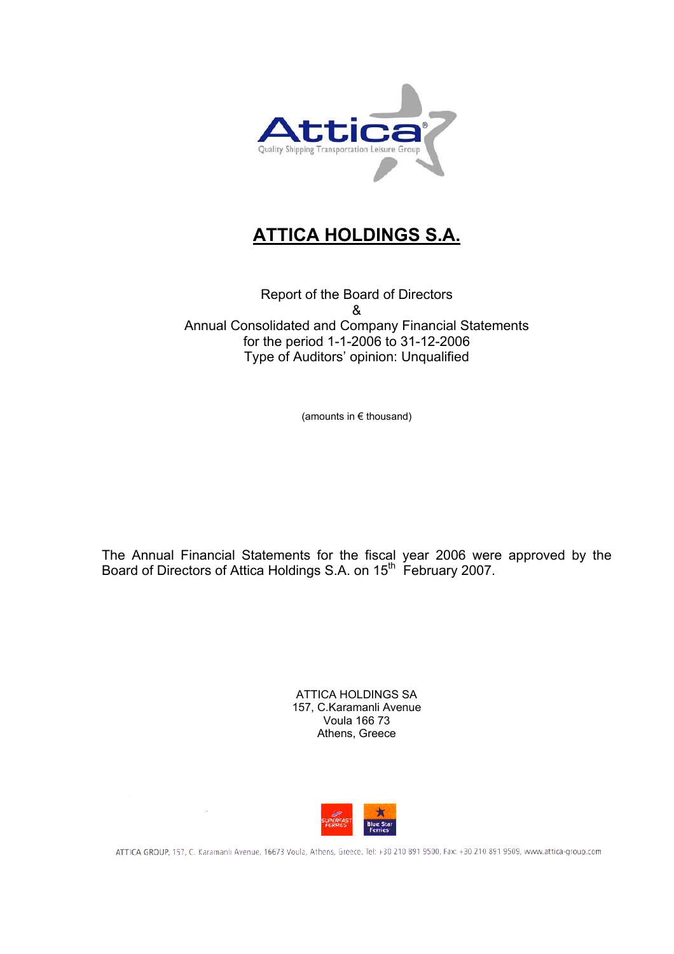

# **ATTICA HOLDINGS S.A.**

Report of the Board of Directors & Annual Consolidated and Company Financial Statements for the period 1-1-2006 to 31-12-2006 Type of Auditors' opinion: Unqualified

(amounts in € thousand)

The Annual Financial Statements for the fiscal year 2006 were approved by the Board of Directors of Attica Holdings S.A. on 15<sup>th</sup> February 2007.

> ATTICA HOLDINGS SA 157, C.Karamanli Avenue Voula 166 73 Athens, Greece



ATTICA GROUP, 157, C. Karamanlı Avenue, 16673 Voula, Athens, Greece, Tel: +30 210 891 9500, Fax: +30 210 891 9509, www.attica-group.com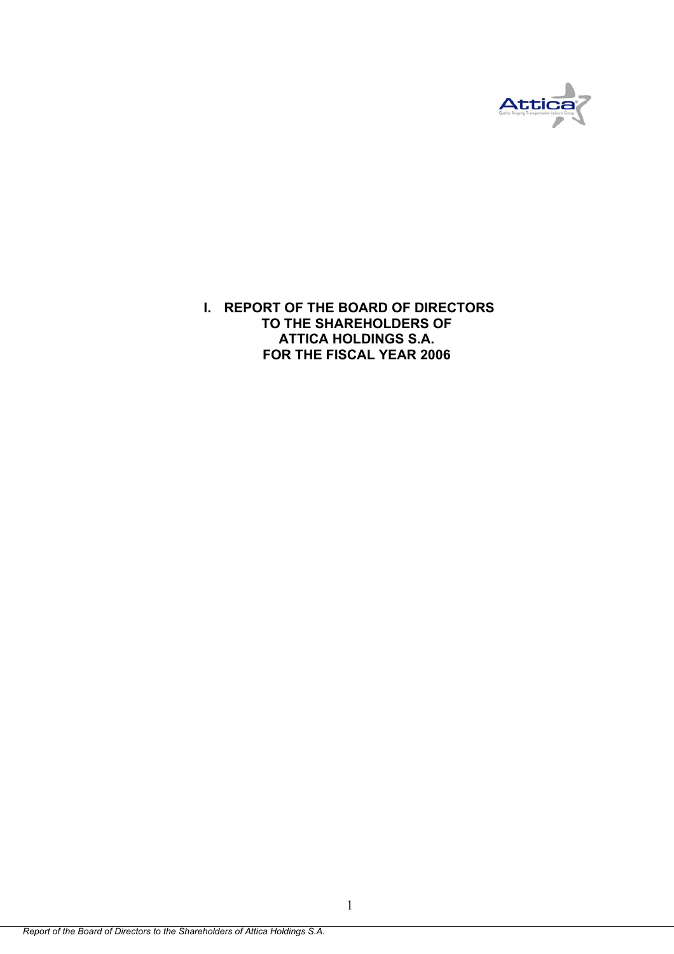

**I. REPORT OF THE BOARD OF DIRECTORS TO THE SHAREHOLDERS OF ATTICA HOLDINGS S.A. FOR THE FISCAL YEAR 2006**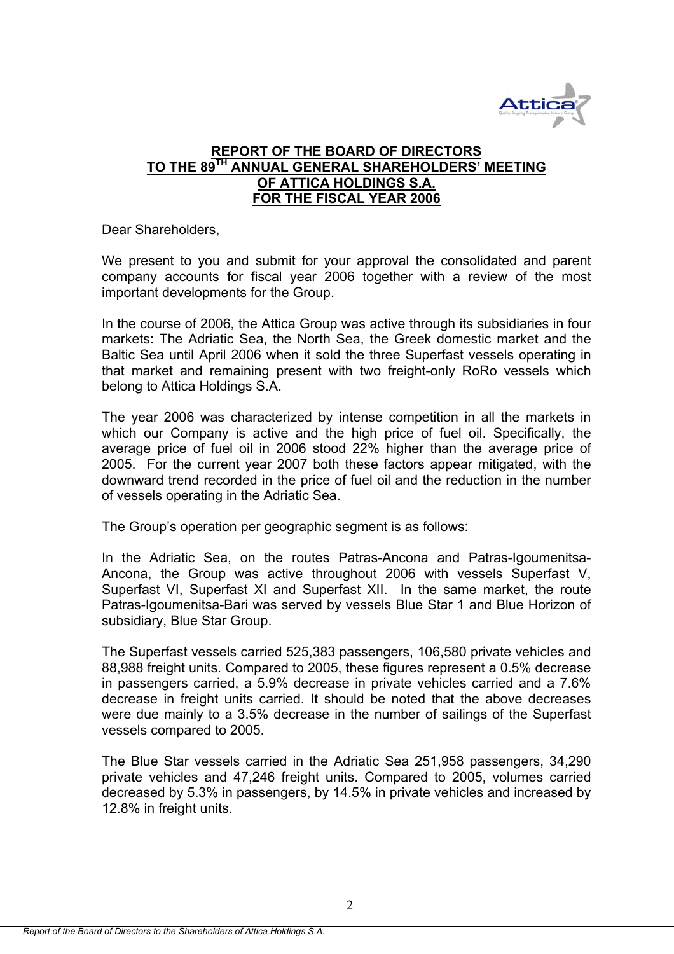

## **REPORT OF THE BOARD OF DIRECTORS TO THE 89TH ANNUAL GENERAL SHAREHOLDERS' MEETING OF ATTICA HOLDINGS S.A. FOR THE FISCAL YEAR 2006**

Dear Shareholders,

We present to you and submit for your approval the consolidated and parent company accounts for fiscal year 2006 together with a review of the most important developments for the Group.

In the course of 2006, the Attica Group was active through its subsidiaries in four markets: The Adriatic Sea, the North Sea, the Greek domestic market and the Baltic Sea until April 2006 when it sold the three Superfast vessels operating in that market and remaining present with two freight-only RoRo vessels which belong to Attica Holdings S.A.

The year 2006 was characterized by intense competition in all the markets in which our Company is active and the high price of fuel oil. Specifically, the average price of fuel oil in 2006 stood 22% higher than the average price of 2005. For the current year 2007 both these factors appear mitigated, with the downward trend recorded in the price of fuel oil and the reduction in the number of vessels operating in the Adriatic Sea.

The Group's operation per geographic segment is as follows:

In the Adriatic Sea, on the routes Patras-Ancona and Patras-Igoumenitsa-Ancona, the Group was active throughout 2006 with vessels Superfast V, Superfast VI, Superfast XI and Superfast ΧΙΙ. In the same market, the route Patras-Igoumenitsa-Bari was served by vessels Blue Star 1 and Blue Horizon of subsidiary, Blue Star Group.

The Superfast vessels carried 525,383 passengers, 106,580 private vehicles and 88,988 freight units. Compared to 2005, these figures represent a 0.5% decrease in passengers carried, a 5.9% decrease in private vehicles carried and a 7.6% decrease in freight units carried. It should be noted that the above decreases were due mainly to a 3.5% decrease in the number of sailings of the Superfast vessels compared to 2005.

The Blue Star vessels carried in the Adriatic Sea 251,958 passengers, 34,290 private vehicles and 47,246 freight units. Compared to 2005, volumes carried decreased by 5.3% in passengers, by 14.5% in private vehicles and increased by 12.8% in freight units.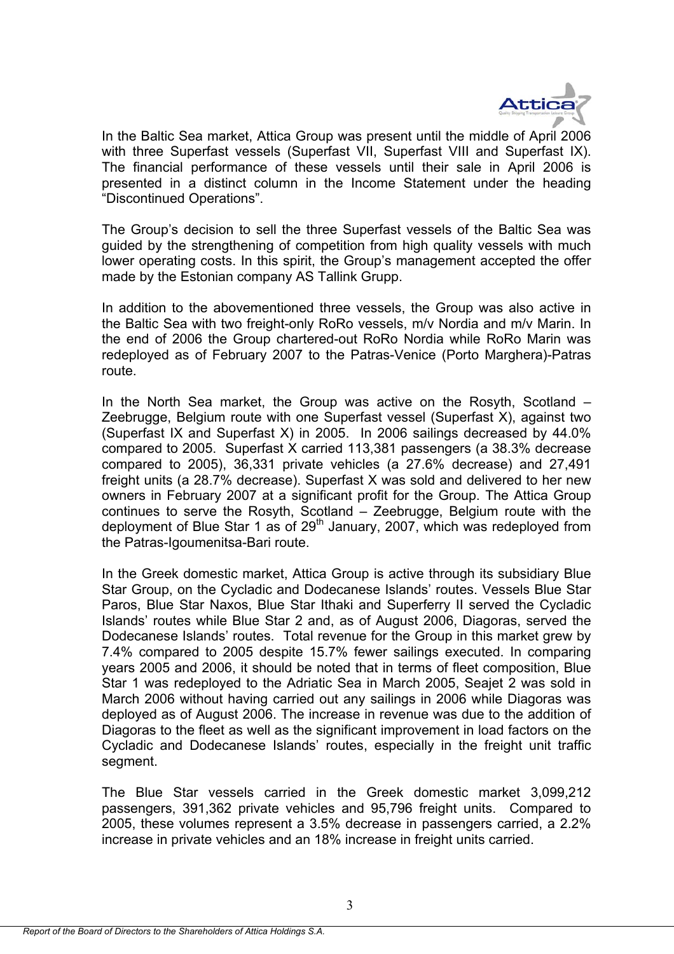

In the Baltic Sea market, Attica Group was present until the middle of April 2006 with three Superfast vessels (Superfast VII, Superfast VIII and Superfast IX). The financial performance of these vessels until their sale in April 2006 is presented in a distinct column in the Income Statement under the heading "Discontinued Operations".

The Group's decision to sell the three Superfast vessels of the Baltic Sea was guided by the strengthening of competition from high quality vessels with much lower operating costs. In this spirit, the Group's management accepted the offer made by the Estonian company AS Tallink Grupp.

In addition to the abovementioned three vessels, the Group was also active in the Baltic Sea with two freight-only RoRo vessels, m/v Nordia and m/v Marin. In the end of 2006 the Group chartered-out RoRo Nordia while RoRo Marin was redeployed as of February 2007 to the Patras-Venice (Porto Marghera)-Patras route.

In the North Sea market, the Group was active on the Rosyth, Scotland – Zeebrugge, Belgium route with one Superfast vessel (Superfast X), against two (Superfast IX and Superfast X) in 2005. In 2006 sailings decreased by 44.0% compared to 2005. Superfast X carried 113,381 passengers (a 38.3% decrease compared to 2005), 36,331 private vehicles (a 27.6% decrease) and 27,491 freight units (a 28.7% decrease). Superfast X was sold and delivered to her new owners in February 2007 at a significant profit for the Group. The Attica Group continues to serve the Rosyth, Scotland – Zeebrugge, Belgium route with the deployment of Blue Star 1 as of  $29<sup>th</sup>$  January, 2007, which was redeployed from the Patras-Igoumenitsa-Bari route.

In the Greek domestic market, Attica Group is active through its subsidiary Blue Star Group, on the Cycladic and Dodecanese Islands' routes. Vessels Blue Star Paros, Blue Star Naxos, Blue Star Ithaki and Superferry II served the Cycladic Islands' routes while Blue Star 2 and, as of August 2006, Diagoras, served the Dodecanese Islands' routes. Total revenue for the Group in this market grew by 7.4% compared to 2005 despite 15.7% fewer sailings executed. In comparing years 2005 and 2006, it should be noted that in terms of fleet composition, Blue Star 1 was redeployed to the Adriatic Sea in March 2005, Seajet 2 was sold in March 2006 without having carried out any sailings in 2006 while Diagoras was deployed as of August 2006. The increase in revenue was due to the addition of Diagoras to the fleet as well as the significant improvement in load factors on the Cycladic and Dodecanese Islands' routes, especially in the freight unit traffic segment.

The Blue Star vessels carried in the Greek domestic market 3,099,212 passengers, 391,362 private vehicles and 95,796 freight units. Compared to 2005, these volumes represent a 3.5% decrease in passengers carried, a 2.2% increase in private vehicles and an 18% increase in freight units carried.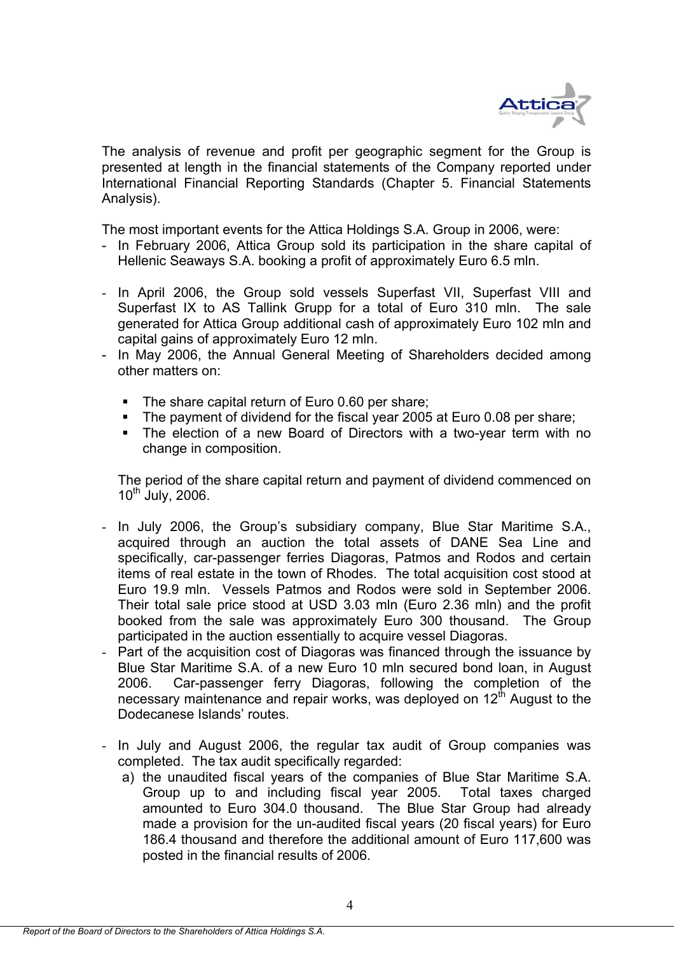

The analysis of revenue and profit per geographic segment for the Group is presented at length in the financial statements of the Company reported under International Financial Reporting Standards (Chapter 5. Financial Statements Analysis).

The most important events for the Attica Holdings S.A. Group in 2006, were:

- In February 2006, Attica Group sold its participation in the share capital of Hellenic Seaways S.Α. booking a profit of approximately Euro 6.5 mln.
- In April 2006, the Group sold vessels Superfast VII, Superfast VIII and Superfast IX to AS Tallink Grupp for a total of Euro 310 mln. The sale generated for Attica Group additional cash of approximately Euro 102 mln and capital gains of approximately Euro 12 mln.
- In May 2006, the Annual General Meeting of Shareholders decided among other matters on:
	- Τhe share capital return of Euro 0.60 per share;
	- Τhe payment of dividend for the fiscal year 2005 at Euro 0.08 per share;
	- The election of a new Board of Directors with a two-year term with no change in composition.

The period of the share capital return and payment of dividend commenced on  $10^{th}$  July, 2006.

- In July 2006, the Group's subsidiary company, Blue Star Maritime S.Α., acquired through an auction the total assets of DΑΝΕ Sea Line and specifically, car-passenger ferries Diagoras, Patmos and Rodos and certain items of real estate in the town of Rhodes. The total acquisition cost stood at Euro 19.9 mln. Vessels Patmos and Rodos were sold in September 2006. Their total sale price stood at USD 3.03 mln (Euro 2.36 mln) and the profit booked from the sale was approximately Euro 300 thousand. The Group participated in the auction essentially to acquire vessel Diagoras.
- Part of the acquisition cost of Diagoras was financed through the issuance by Blue Star Maritime S.A. of a new Euro 10 mln secured bond loan, in August 2006. Car-passenger ferry Diagoras, following the completion of the necessary maintenance and repair works, was deployed on  $12<sup>th</sup>$  August to the Dodecanese Islands' routes.
- In July and August 2006, the regular tax audit of Group companies was completed. The tax audit specifically regarded:
	- a) the unaudited fiscal years of the companies of Blue Star Maritime S.A. Group up to and including fiscal year 2005. Total taxes charged amounted to Euro 304.0 thousand. The Blue Star Group had already made a provision for the un-audited fiscal years (20 fiscal years) for Euro 186.4 thousand and therefore the additional amount of Euro 117,600 was posted in the financial results of 2006.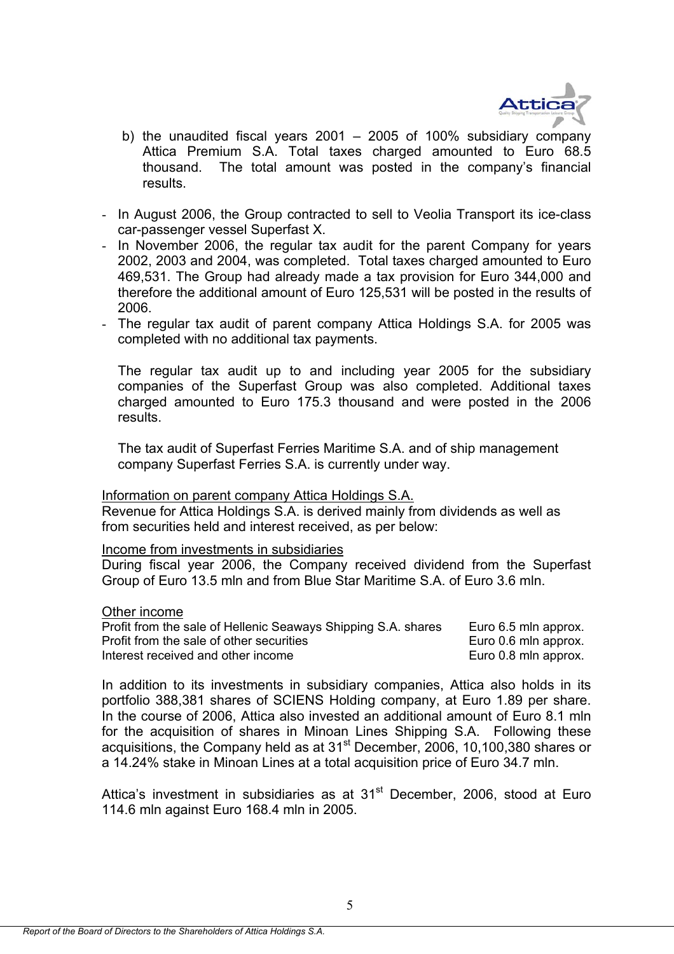

- b) the unaudited fiscal years 2001 2005 of 100% subsidiary company Attica Premium S.A. Total taxes charged amounted to Euro 68.5 thousand. The total amount was posted in the company's financial results.
- In August 2006, the Group contracted to sell to Veolia Transport its ice-class car-passenger vessel Superfast X.
- In November 2006, the regular tax audit for the parent Company for years 2002, 2003 and 2004, was completed. Total taxes charged amounted to Euro 469,531. The Group had already made a tax provision for Euro 344,000 and therefore the additional amount of Euro 125,531 will be posted in the results of 2006.
- The regular tax audit of parent company Attica Holdings S.A. for 2005 was completed with no additional tax payments.

The regular tax audit up to and including year 2005 for the subsidiary companies of the Superfast Group was also completed. Additional taxes charged amounted to Euro 175.3 thousand and were posted in the 2006 results.

The tax audit of Superfast Ferries Maritime S.A. and of ship management company Superfast Ferries S.A. is currently under way.

## Information on parent company Attica Holdings S.A.

Revenue for Attica Holdings S.A. is derived mainly from dividends as well as from securities held and interest received, as per below:

## Income from investments in subsidiaries

During fiscal year 2006, the Company received dividend from the Superfast Group of Euro 13.5 mln and from Blue Star Maritime S.Α. of Euro 3.6 mln.

#### Other income

| Profit from the sale of Hellenic Seaways Shipping S.A. shares | Euro 6.5 mln approx. |
|---------------------------------------------------------------|----------------------|
| Profit from the sale of other securities                      | Euro 0.6 mln approx. |
| Interest received and other income                            | Euro 0.8 mln approx. |

In addition to its investments in subsidiary companies, Attica also holds in its portfolio 388,381 shares of SCIENS Holding company, at Euro 1.89 per share. In the course of 2006, Attica also invested an additional amount of Euro 8.1 mln for the acquisition of shares in Minoan Lines Shipping S.A. Following these acquisitions, the Company held as at 31st December, 2006, 10,100,380 shares or a 14.24% stake in Minoan Lines at a total acquisition price of Euro 34.7 mln.

Attica's investment in subsidiaries as at 31<sup>st</sup> December, 2006, stood at Euro 114.6 mln against Euro 168.4 mln in 2005.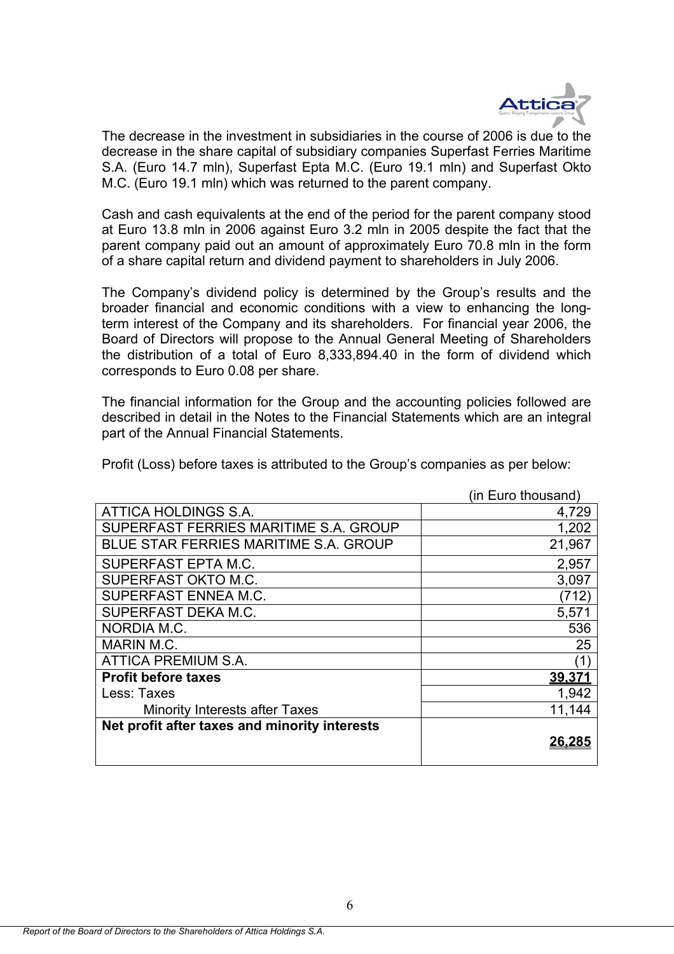

The decrease in the investment in subsidiaries in the course of 2006 is due to the decrease in the share capital of subsidiary companies Superfast Ferries Maritime S.A. (Euro 14.7 mln), Superfast Epta M.C. (Euro 19.1 mln) and Superfast Okto M.C. (Euro 19.1 mln) which was returned to the parent company.

Cash and cash equivalents at the end of the period for the parent company stood at Euro 13.8 mln in 2006 against Euro 3.2 mln in 2005 despite the fact that the parent company paid out an amount of approximately Euro 70.8 mln in the form of a share capital return and dividend payment to shareholders in July 2006.

The Company's dividend policy is determined by the Group's results and the broader financial and economic conditions with a view to enhancing the longterm interest of the Company and its shareholders. For financial year 2006, the Board of Directors will propose to the Annual General Meeting of Shareholders the distribution of a total of Euro 8,333,894.40 in the form of dividend which corresponds to Euro 0.08 per share.

The financial information for the Group and the accounting policies followed are described in detail in the Notes to the Financial Statements which are an integral part of the Annual Financial Statements.

|                                               | (in Euro thousand) |
|-----------------------------------------------|--------------------|
| ATTICA HOLDINGS S.A.                          | 4,729              |
| SUPERFAST FERRIES MARITIME S.A. GROUP         | 1,202              |
| <b>BLUE STAR FERRIES MARITIME S.A. GROUP</b>  | 21,967             |
| SUPERFAST EPTA M.C.                           | 2,957              |
| SUPERFAST OKTO M.C.                           | 3,097              |
| SUPERFAST ENNEA M.C.                          | (712)              |
| SUPERFAST DEKA M.C.                           | 5,571              |
| NORDIA M.C.                                   | 536                |
| MARIN M.C.                                    | 25                 |
| ATTICA PREMIUM S.A.                           | (1`                |
| <b>Profit before taxes</b>                    | 39,371             |
| Less: Taxes                                   | 1,942              |
| <b>Minority Interests after Taxes</b>         | 11,144             |
| Net profit after taxes and minority interests |                    |
|                                               | 26.285             |
|                                               |                    |

Profit (Loss) before taxes is attributed to the Group's companies as per below: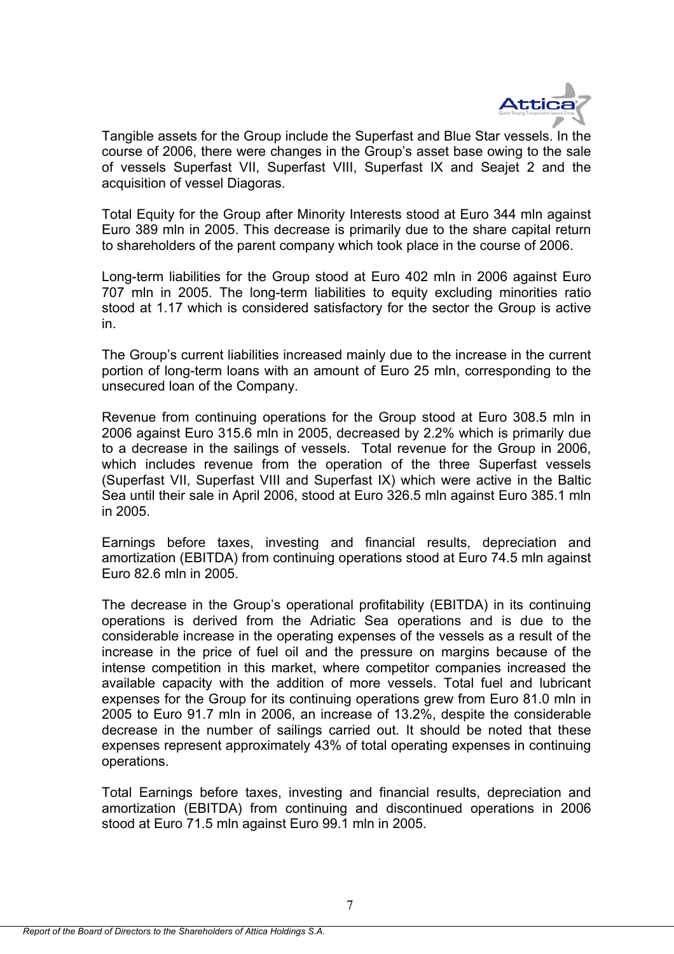

Tangible assets for the Group include the Superfast and Blue Star vessels. In the course of 2006, there were changes in the Group's asset base owing to the sale of vessels Superfast VII, Superfast VIII, Superfast IX and Seajet 2 and the acquisition of vessel Diagoras.

Total Equity for the Group after Minority Interests stood at Euro 344 mln against Euro 389 mln in 2005. This decrease is primarily due to the share capital return to shareholders of the parent company which took place in the course of 2006.

Long-term liabilities for the Group stood at Euro 402 mln in 2006 against Euro 707 mln in 2005. The long-term liabilities to equity excluding minorities ratio stood at 1.17 which is considered satisfactory for the sector the Group is active in.

The Group's current liabilities increased mainly due to the increase in the current portion of long-term loans with an amount of Euro 25 mln, corresponding to the unsecured loan of the Company.

Revenue from continuing operations for the Group stood at Euro 308.5 mln in 2006 against Euro 315.6 mln in 2005, decreased by 2.2% which is primarily due to a decrease in the sailings of vessels. Total revenue for the Group in 2006, which includes revenue from the operation of the three Superfast vessels (Superfast VII, Superfast VIII and Superfast IX) which were active in the Baltic Sea until their sale in April 2006, stood at Euro 326.5 mln against Euro 385.1 mln in 2005.

Earnings before taxes, investing and financial results, depreciation and amortization (EBITDA) from continuing operations stood at Euro 74.5 mln against Euro 82.6 mln in 2005.

The decrease in the Group's operational profitability (EBITDA) in its continuing operations is derived from the Adriatic Sea operations and is due to the considerable increase in the operating expenses of the vessels as a result of the increase in the price of fuel oil and the pressure on margins because of the intense competition in this market, where competitor companies increased the available capacity with the addition of more vessels. Total fuel and lubricant expenses for the Group for its continuing operations grew from Euro 81.0 mln in 2005 to Euro 91.7 mln in 2006, an increase of 13.2%, despite the considerable decrease in the number of sailings carried out. It should be noted that these expenses represent approximately 43% of total operating expenses in continuing operations.

Total Earnings before taxes, investing and financial results, depreciation and amortization (EBITDA) from continuing and discontinued operations in 2006 stood at Euro 71.5 mln against Euro 99.1 mln in 2005.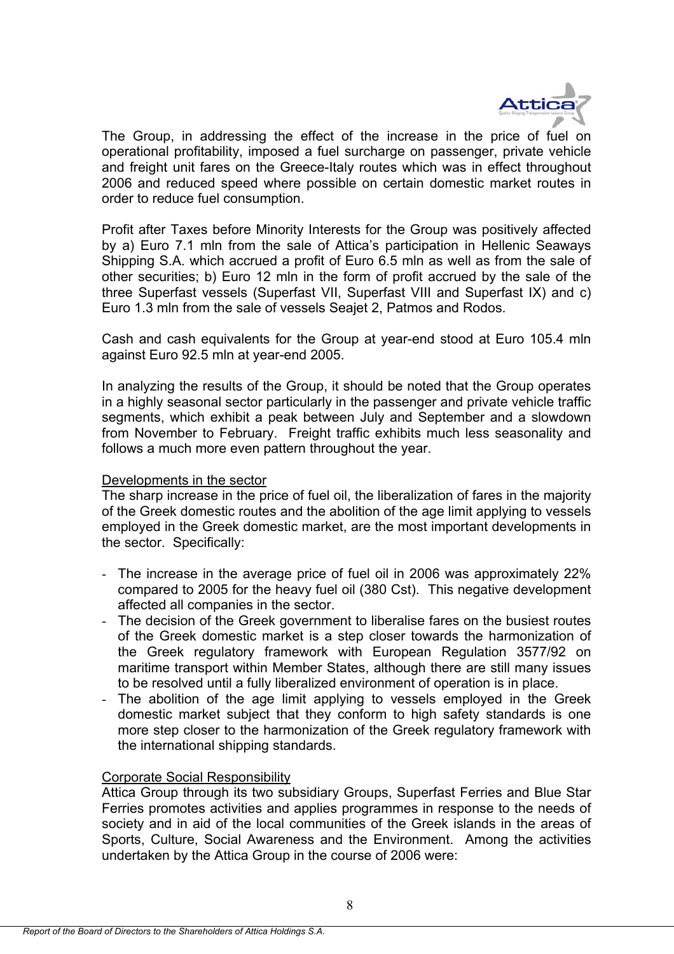

The Group, in addressing the effect of the increase in the price of fuel on operational profitability, imposed a fuel surcharge on passenger, private vehicle and freight unit fares on the Greece-Italy routes which was in effect throughout 2006 and reduced speed where possible on certain domestic market routes in order to reduce fuel consumption.

Profit after Taxes before Minority Interests for the Group was positively affected by a) Euro 7.1 mln from the sale of Attica's participation in Hellenic Seaways Shipping S.A. which accrued a profit of Euro 6.5 mln as well as from the sale of other securities; b) Euro 12 mln in the form of profit accrued by the sale of the three Superfast vessels (Superfast VII, Superfast VIII and Superfast IX) and c) Euro 1.3 mln from the sale of vessels Seajet 2, Patmos and Rodos.

Cash and cash equivalents for the Group at year-end stood at Euro 105.4 mln against Euro 92.5 mln at year-end 2005.

In analyzing the results of the Group, it should be noted that the Group operates in a highly seasonal sector particularly in the passenger and private vehicle traffic segments, which exhibit a peak between July and September and a slowdown from November to February. Freight traffic exhibits much less seasonality and follows a much more even pattern throughout the year.

## Developments in the sector

The sharp increase in the price of fuel oil, the liberalization of fares in the majority of the Greek domestic routes and the abolition of the age limit applying to vessels employed in the Greek domestic market, are the most important developments in the sector. Specifically:

- The increase in the average price of fuel oil in 2006 was approximately 22% compared to 2005 for the heavy fuel oil (380 Cst). This negative development affected all companies in the sector.
- The decision of the Greek government to liberalise fares on the busiest routes of the Greek domestic market is a step closer towards the harmonization of the Greek regulatory framework with European Regulation 3577/92 on maritime transport within Member States, although there are still many issues to be resolved until a fully liberalized environment of operation is in place.
- The abolition of the age limit applying to vessels employed in the Greek domestic market subject that they conform to high safety standards is one more step closer to the harmonization of the Greek regulatory framework with the international shipping standards.

## Corporate Social Responsibility

Attica Group through its two subsidiary Groups, Superfast Ferries and Blue Star Ferries promotes activities and applies programmes in response to the needs of society and in aid of the local communities of the Greek islands in the areas of Sports, Culture, Social Awareness and the Environment. Among the activities undertaken by the Attica Group in the course of 2006 were: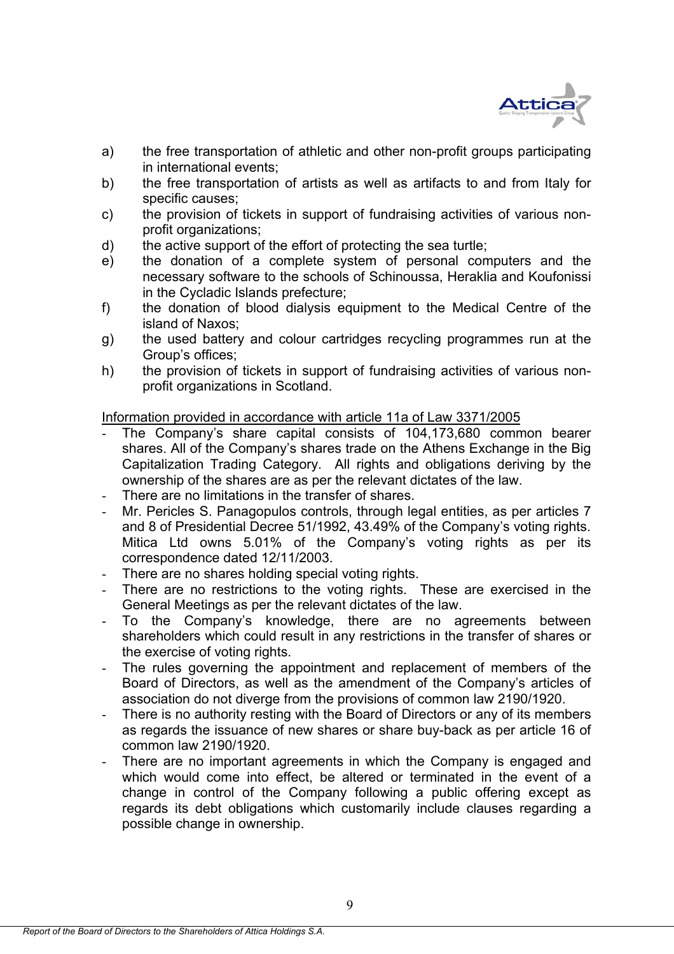

- a) the free transportation of athletic and other non-profit groups participating in international events;
- b) the free transportation of artists as well as artifacts to and from Italy for specific causes;
- c) the provision of tickets in support of fundraising activities of various nonprofit organizations;
- d) the active support of the effort of protecting the sea turtle;
- e) the donation of a complete system of personal computers and the necessary software to the schools of Schinoussa, Heraklia and Koufonissi in the Cycladic Islands prefecture;
- f) the donation of blood dialysis equipment to the Medical Centre of the island of Naxos;
- g) the used battery and colour cartridges recycling programmes run at the Group's offices;
- h) the provision of tickets in support of fundraising activities of various nonprofit organizations in Scotland.

Information provided in accordance with article 11a of Law 3371/2005

- The Company's share capital consists of 104,173,680 common bearer shares. All of the Company's shares trade on the Athens Exchange in the Big Capitalization Trading Category. All rights and obligations deriving by the ownership of the shares are as per the relevant dictates of the law.
- There are no limitations in the transfer of shares.
- Mr. Pericles S. Panagopulos controls, through legal entities, as per articles 7 and 8 of Presidential Decree 51/1992, 43.49% of the Company's voting rights. Mitica Ltd owns 5.01% of the Company's voting rights as per its correspondence dated 12/11/2003.
- There are no shares holding special voting rights.
- There are no restrictions to the voting rights. These are exercised in the General Meetings as per the relevant dictates of the law.
- To the Company's knowledge, there are no agreements between shareholders which could result in any restrictions in the transfer of shares or the exercise of voting rights.
- The rules governing the appointment and replacement of members of the Board of Directors, as well as the amendment of the Company's articles of association do not diverge from the provisions of common law 2190/1920.
- There is no authority resting with the Board of Directors or any of its members as regards the issuance of new shares or share buy-back as per article 16 of common law 2190/1920.
- There are no important agreements in which the Company is engaged and which would come into effect, be altered or terminated in the event of a change in control of the Company following a public offering except as regards its debt obligations which customarily include clauses regarding a possible change in ownership.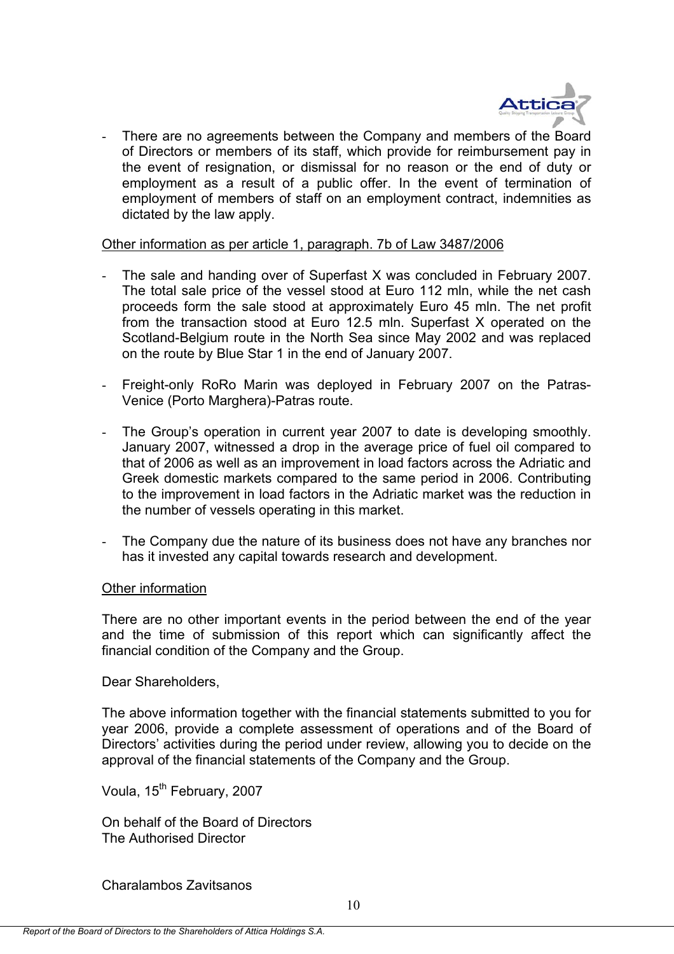

There are no agreements between the Company and members of the Board of Directors or members of its staff, which provide for reimbursement pay in the event of resignation, or dismissal for no reason or the end of duty or employment as a result of a public offer. In the event of termination of employment of members of staff on an employment contract, indemnities as dictated by the law apply.

## Other information as per article 1, paragraph. 7b of Law 3487/2006

- The sale and handing over of Superfast X was concluded in February 2007. The total sale price of the vessel stood at Euro 112 mln, while the net cash proceeds form the sale stood at approximately Euro 45 mln. The net profit from the transaction stood at Euro 12.5 mln. Superfast X operated on the Scotland-Belgium route in the North Sea since May 2002 and was replaced on the route by Blue Star 1 in the end of January 2007.
- Freight-only RoRo Marin was deployed in February 2007 on the Patras-Venice (Porto Marghera)-Patras route.
- The Group's operation in current year 2007 to date is developing smoothly. January 2007, witnessed a drop in the average price of fuel oil compared to that of 2006 as well as an improvement in load factors across the Adriatic and Greek domestic markets compared to the same period in 2006. Contributing to the improvement in load factors in the Adriatic market was the reduction in the number of vessels operating in this market.
- The Company due the nature of its business does not have any branches nor has it invested any capital towards research and development.

## Other information

There are no other important events in the period between the end of the year and the time of submission of this report which can significantly affect the financial condition of the Company and the Group.

Dear Shareholders,

The above information together with the financial statements submitted to you for year 2006, provide a complete assessment of operations and of the Board of Directors' activities during the period under review, allowing you to decide on the approval of the financial statements of the Company and the Group.

Voula, 15<sup>th</sup> February, 2007

On behalf of the Board of Directors The Authorised Director

Charalambos Zavitsanos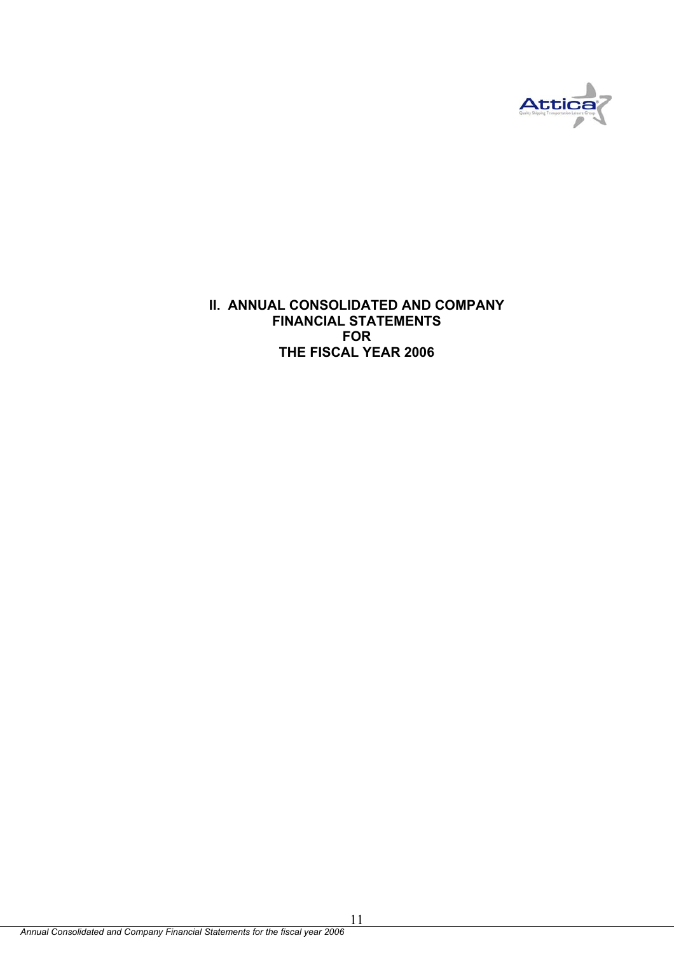

**II. ANNUAL CONSOLIDATED AND COMPANY FINANCIAL STATEMENTS FOR THE FISCAL YEAR 2006**

11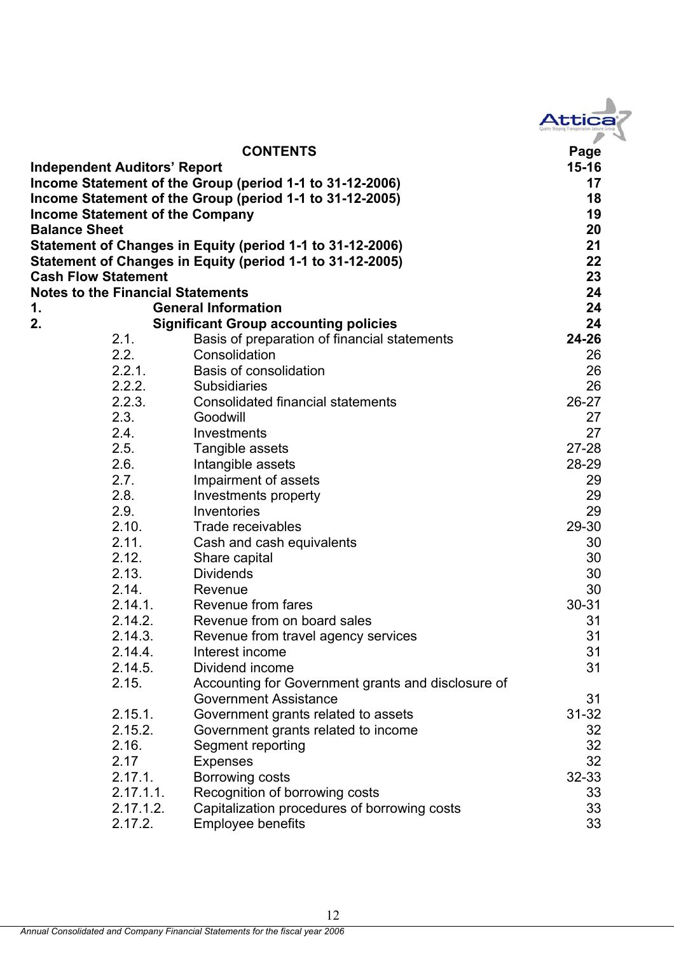| <b>JEEICA</b><br>$\overline{\phantom{a}}$ |  |
|-------------------------------------------|--|
|                                           |  |

|                                          | <b>CONTENTS</b>                                           | Page      |
|------------------------------------------|-----------------------------------------------------------|-----------|
| <b>Independent Auditors' Report</b>      |                                                           | $15 - 16$ |
|                                          | Income Statement of the Group (period 1-1 to 31-12-2006)  | 17        |
|                                          | Income Statement of the Group (period 1-1 to 31-12-2005)  | 18        |
| <b>Income Statement of the Company</b>   |                                                           | 19        |
| <b>Balance Sheet</b>                     |                                                           | 20        |
|                                          | Statement of Changes in Equity (period 1-1 to 31-12-2006) | 21        |
|                                          | Statement of Changes in Equity (period 1-1 to 31-12-2005) | 22        |
| <b>Cash Flow Statement</b>               |                                                           | 23        |
| <b>Notes to the Financial Statements</b> |                                                           | 24        |
| 1.                                       | <b>General Information</b>                                | 24        |
| 2.                                       | <b>Significant Group accounting policies</b>              | 24        |
| 2.1.                                     | Basis of preparation of financial statements              | 24-26     |
| 2.2.                                     | Consolidation                                             | 26        |
| 2.2.1.                                   | <b>Basis of consolidation</b>                             | 26        |
| 2.2.2.                                   | <b>Subsidiaries</b>                                       | 26        |
| 2.2.3.                                   | <b>Consolidated financial statements</b>                  | 26-27     |
| 2.3.                                     | Goodwill                                                  | 27        |
| 2.4.                                     | Investments                                               | 27        |
| 2.5.                                     | Tangible assets                                           | $27 - 28$ |
| 2.6.                                     | Intangible assets                                         | 28-29     |
| 2.7.                                     | Impairment of assets                                      | 29        |
| 2.8.                                     | Investments property                                      | 29        |
| 2.9.                                     | Inventories                                               | 29        |
| 2.10.                                    | Trade receivables                                         | 29-30     |
| 2.11.                                    | Cash and cash equivalents                                 | 30        |
| 2.12.                                    | Share capital                                             | 30        |
| 2.13.                                    | <b>Dividends</b>                                          | 30        |
| 2.14.                                    | Revenue                                                   | 30        |
| 2.14.1.                                  | Revenue from fares                                        | $30 - 31$ |
| 2.14.2.                                  | Revenue from on board sales                               | 31        |
| 2.14.3.                                  | Revenue from travel agency services                       | 31        |
| 2.14.4.                                  | Interest income                                           | 31        |
| 2.14.5.                                  | Dividend income                                           | 31        |
| 2.15.                                    | Accounting for Government grants and disclosure of        |           |
|                                          | <b>Government Assistance</b>                              | 31        |
| 2.15.1.                                  | Government grants related to assets                       | $31 - 32$ |
| 2.15.2.                                  | Government grants related to income                       | 32        |
| 2.16.                                    | Segment reporting                                         | 32        |
| 2.17                                     | <b>Expenses</b>                                           | 32        |
| 2.17.1.                                  | Borrowing costs                                           | 32-33     |
| 2.17.1.1.                                | Recognition of borrowing costs                            | 33        |
| 2.17.1.2.                                | Capitalization procedures of borrowing costs              | 33        |
| 2.17.2.                                  | <b>Employee benefits</b>                                  | 33        |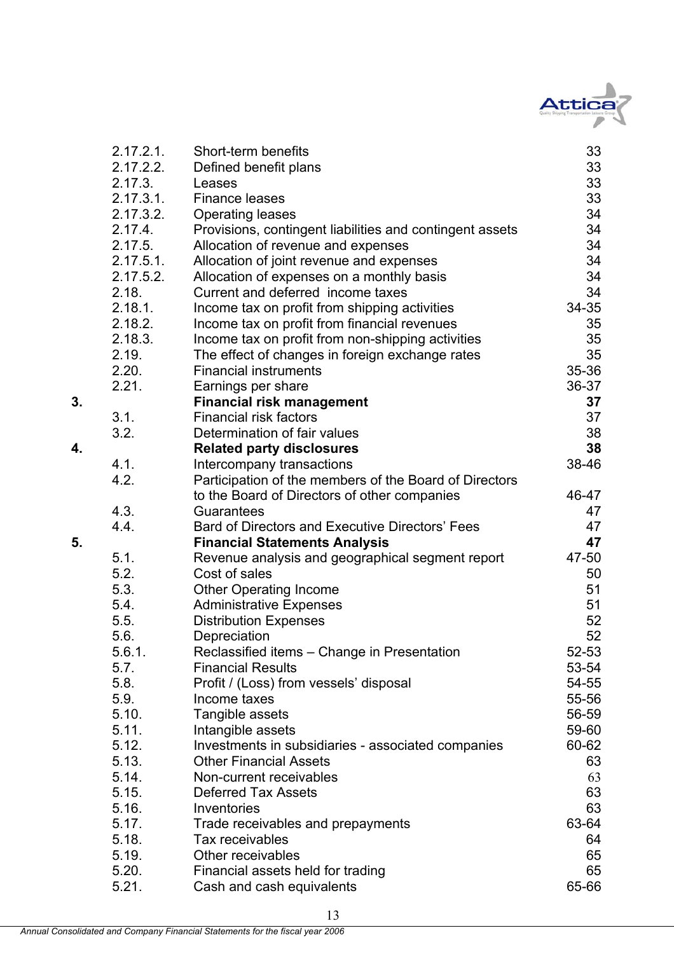

|    | 2.17.2.1.    | Short-term benefits                                      | 33    |
|----|--------------|----------------------------------------------------------|-------|
|    | 2.17.2.2.    | Defined benefit plans                                    | 33    |
|    | 2.17.3.      | Leases                                                   | 33    |
|    | 2.17.3.1.    | <b>Finance leases</b>                                    | 33    |
|    | 2.17.3.2.    | <b>Operating leases</b>                                  | 34    |
|    | 2.17.4.      | Provisions, contingent liabilities and contingent assets | 34    |
|    | 2.17.5.      | Allocation of revenue and expenses                       | 34    |
|    | $2.17.5.1$ . | Allocation of joint revenue and expenses                 | 34    |
|    | 2.17.5.2.    | Allocation of expenses on a monthly basis                | 34    |
|    | 2.18.        | Current and deferred income taxes                        | 34    |
|    | 2.18.1.      | Income tax on profit from shipping activities            | 34-35 |
|    | 2.18.2.      | Income tax on profit from financial revenues             | 35    |
|    | 2.18.3.      | Income tax on profit from non-shipping activities        | 35    |
|    | 2.19.        | The effect of changes in foreign exchange rates          | 35    |
|    | 2.20.        | <b>Financial instruments</b>                             | 35-36 |
|    | 2.21.        | Earnings per share                                       | 36-37 |
| 3. |              | <b>Financial risk management</b>                         | 37    |
|    | 3.1.         | <b>Financial risk factors</b>                            | 37    |
|    | 3.2.         | Determination of fair values                             | 38    |
| 4. |              | <b>Related party disclosures</b>                         | 38    |
|    | 4.1.         | Intercompany transactions                                | 38-46 |
|    | 4.2.         | Participation of the members of the Board of Directors   |       |
|    |              | to the Board of Directors of other companies             | 46-47 |
|    | 4.3.         | Guarantees                                               | 47    |
|    | 4.4.         | Bard of Directors and Executive Directors' Fees          | 47    |
| 5. |              | <b>Financial Statements Analysis</b>                     | 47    |
|    | 5.1.         | Revenue analysis and geographical segment report         | 47-50 |
|    | 5.2.         | Cost of sales                                            | 50    |
|    | 5.3.         | <b>Other Operating Income</b>                            | 51    |
|    | 5.4.         | <b>Administrative Expenses</b>                           | 51    |
|    | 5.5.         | <b>Distribution Expenses</b>                             | 52    |
|    | 5.6.         | Depreciation                                             | 52    |
|    | 5.6.1.       | Reclassified items – Change in Presentation              | 52-53 |
|    | 5.7.         | <b>Financial Results</b>                                 | 53-54 |
|    | 5.8.         | Profit / (Loss) from vessels' disposal                   | 54-55 |
|    | 5.9.         | Income taxes                                             | 55-56 |
|    | 5.10.        | Tangible assets                                          | 56-59 |
|    | 5.11.        | Intangible assets                                        | 59-60 |
|    | 5.12.        | Investments in subsidiaries - associated companies       | 60-62 |
|    | 5.13.        | <b>Other Financial Assets</b>                            | 63    |
|    | 5.14.        | Non-current receivables                                  | 63    |
|    | 5.15.        | <b>Deferred Tax Assets</b>                               | 63    |
|    | 5.16.        | Inventories                                              | 63    |
|    | 5.17.        | Trade receivables and prepayments                        | 63-64 |
|    | 5.18.        | Tax receivables                                          | 64    |
|    | 5.19.        | Other receivables                                        | 65    |
|    | 5.20.        | Financial assets held for trading                        | 65    |
|    | 5.21.        | Cash and cash equivalents                                | 65-66 |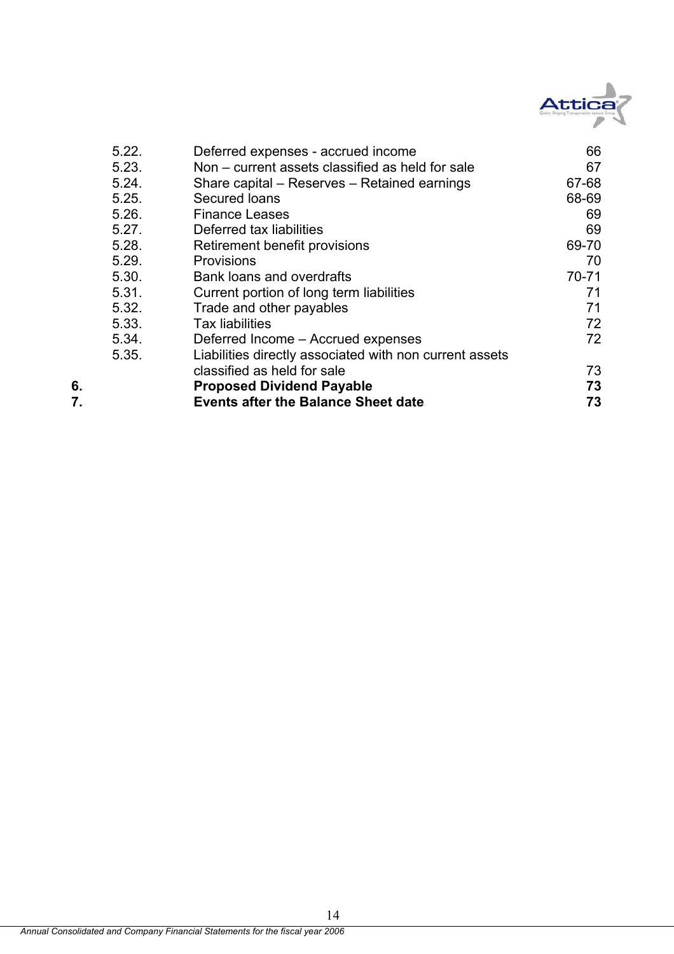

|    | 5.22. | Deferred expenses - accrued income                      | 66    |
|----|-------|---------------------------------------------------------|-------|
|    | 5.23. | Non – current assets classified as held for sale        | 67    |
|    | 5.24. | Share capital – Reserves – Retained earnings            | 67-68 |
|    | 5.25. | Secured Ioans                                           | 68-69 |
|    | 5.26. | <b>Finance Leases</b>                                   | 69    |
|    | 5.27. | Deferred tax liabilities                                | 69    |
|    | 5.28. | Retirement benefit provisions                           | 69-70 |
|    | 5.29. | <b>Provisions</b>                                       | 70    |
|    | 5.30. | Bank loans and overdrafts                               | 70-71 |
|    | 5.31. | Current portion of long term liabilities                | 71    |
|    | 5.32. | Trade and other payables                                | 71    |
|    | 5.33. | <b>Tax liabilities</b>                                  | 72    |
|    | 5.34. | Deferred Income – Accrued expenses                      | 72    |
|    | 5.35. | Liabilities directly associated with non current assets |       |
|    |       | classified as held for sale                             | 73    |
| 6. |       | <b>Proposed Dividend Payable</b>                        | 73    |
| 7. |       | <b>Events after the Balance Sheet date</b>              | 73    |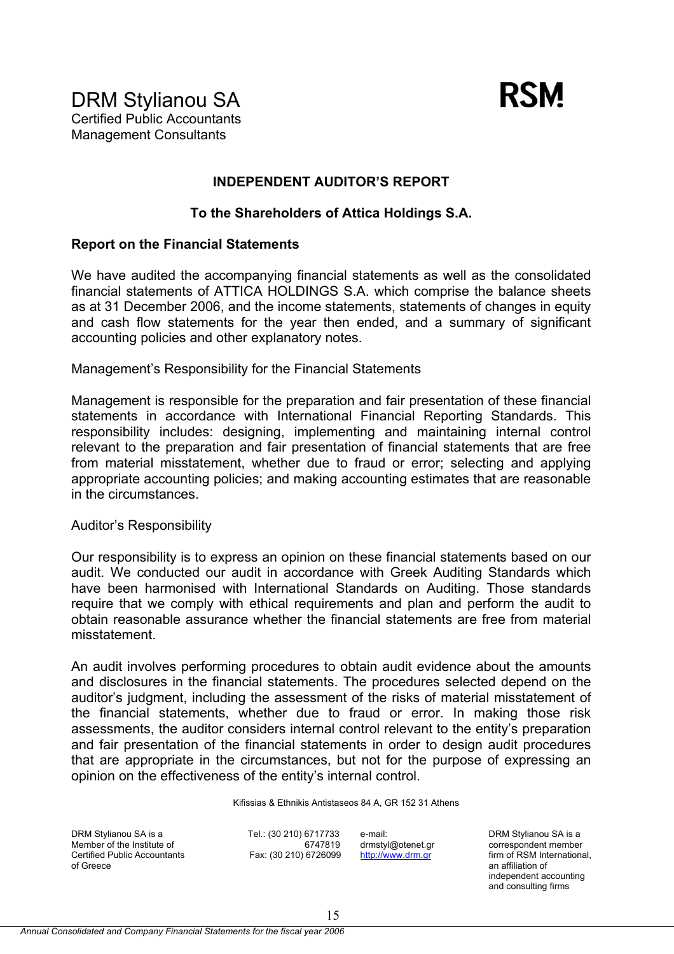

## **INDEPENDENT AUDITOR'S REPORT**

## **To the Shareholders of Attica Holdings S.A.**

## **Report on the Financial Statements**

We have audited the accompanying financial statements as well as the consolidated financial statements of ATTICA HOLDINGS S.A. which comprise the balance sheets as at 31 December 2006, and the income statements, statements of changes in equity and cash flow statements for the year then ended, and a summary of significant accounting policies and other explanatory notes.

Management's Responsibility for the Financial Statements

Management is responsible for the preparation and fair presentation of these financial statements in accordance with International Financial Reporting Standards. This responsibility includes: designing, implementing and maintaining internal control relevant to the preparation and fair presentation of financial statements that are free from material misstatement, whether due to fraud or error; selecting and applying appropriate accounting policies; and making accounting estimates that are reasonable in the circumstances.

#### Auditor's Responsibility

Our responsibility is to express an opinion on these financial statements based on our audit. We conducted our audit in accordance with Greek Auditing Standards which have been harmonised with International Standards on Auditing. Those standards require that we comply with ethical requirements and plan and perform the audit to obtain reasonable assurance whether the financial statements are free from material misstatement.

An audit involves performing procedures to obtain audit evidence about the amounts and disclosures in the financial statements. The procedures selected depend on the auditor's judgment, including the assessment of the risks of material misstatement of the financial statements, whether due to fraud or error. In making those risk assessments, the auditor considers internal control relevant to the entity's preparation and fair presentation of the financial statements in order to design audit procedures that are appropriate in the circumstances, but not for the purpose of expressing an opinion on the effectiveness of the entity's internal control.

Kifissias & Ethnikis Antistaseos 84 A, GR 152 31 Athens

DRM Stylianou SA is a Member of the Institute of Certified Public Accountants of Greece

Tel.: (30 210) 6717733 6747819 Fax: (30 210) 6726099 e-mail: drmstyl@otenet.gr http://www.drm.gr

DRM Stylianou SA is a correspondent member firm of RSM International. an affiliation of independent accounting and consulting firms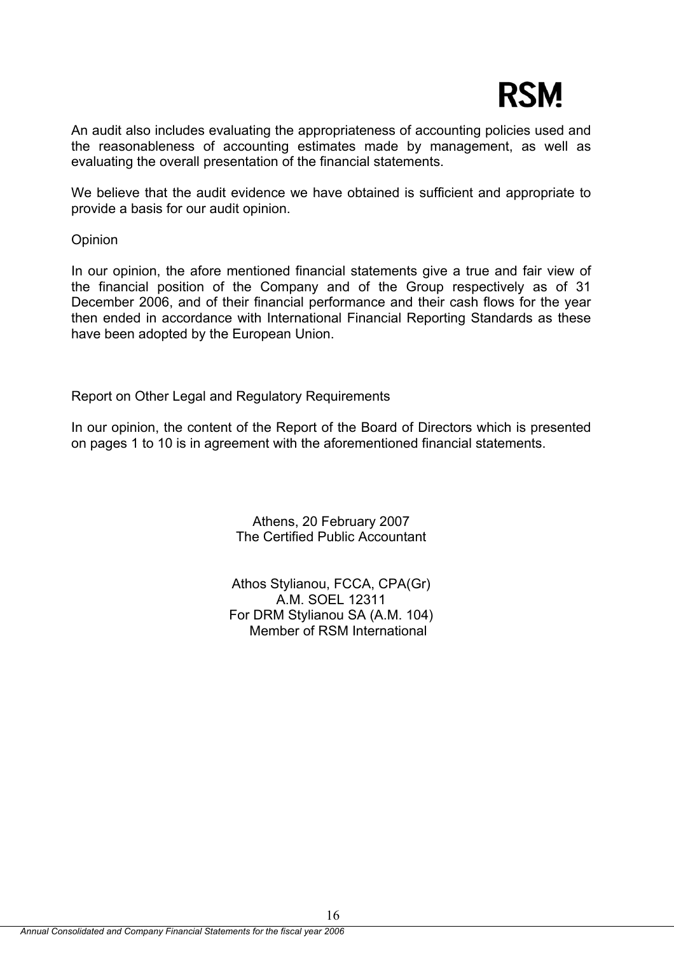# **RSM**

An audit also includes evaluating the appropriateness of accounting policies used and the reasonableness of accounting estimates made by management, as well as evaluating the overall presentation of the financial statements.

We believe that the audit evidence we have obtained is sufficient and appropriate to provide a basis for our audit opinion.

**Opinion** 

In our opinion, the afore mentioned financial statements give a true and fair view of the financial position of the Company and of the Group respectively as of 31 December 2006, and of their financial performance and their cash flows for the year then ended in accordance with International Financial Reporting Standards as these have been adopted by the European Union.

Report on Other Legal and Regulatory Requirements

In our opinion, the content of the Report of the Board of Directors which is presented on pages 1 to 10 is in agreement with the aforementioned financial statements.

> Athens, 20 February 2007 The Certified Public Accountant

Athos Stylianou, FCCA, CPA(Gr) A.M. SOEL 12311 For DRM Stylianou SA (A.M. 104) Member of RSM International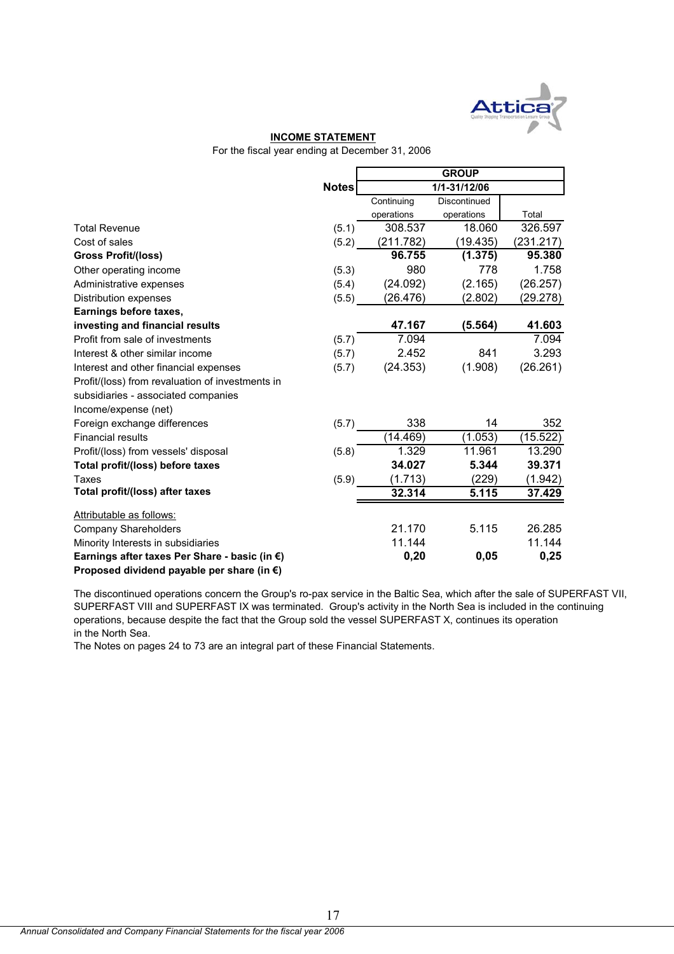

#### **INCOME STATEMENT**

For the fiscal year ending at December 31, 2006

|                                                      |              |            | <b>GROUP</b> |           |
|------------------------------------------------------|--------------|------------|--------------|-----------|
|                                                      | <b>Notes</b> |            | 1/1-31/12/06 |           |
|                                                      |              | Continuing | Discontinued |           |
|                                                      |              | operations | operations   | Total     |
| <b>Total Revenue</b>                                 | (5.1)        | 308.537    | 18.060       | 326.597   |
| Cost of sales                                        | (5.2)        | (211.782)  | (19.435)     | (231.217) |
| <b>Gross Profit/(loss)</b>                           |              | 96.755     | (1.375)      | 95.380    |
| Other operating income                               | (5.3)        | 980        | 778          | 1.758     |
| Administrative expenses                              | (5.4)        | (24.092)   | (2.165)      | (26.257)  |
| Distribution expenses                                | (5.5)        | (26.476)   | (2.802)      | (29.278)  |
| Earnings before taxes,                               |              |            |              |           |
| investing and financial results                      |              | 47.167     | (5.564)      | 41.603    |
| Profit from sale of investments                      | (5.7)        | 7.094      |              | 7.094     |
| Interest & other similar income                      | (5.7)        | 2.452      | 841          | 3.293     |
| Interest and other financial expenses                | (5.7)        | (24.353)   | (1.908)      | (26.261)  |
| Profit/(loss) from revaluation of investments in     |              |            |              |           |
| subsidiaries - associated companies                  |              |            |              |           |
| Income/expense (net)                                 |              |            |              |           |
| Foreign exchange differences                         | (5.7)        | 338        | 14           | 352       |
| <b>Financial results</b>                             |              | (14.469)   | (1.053)      | (15.522)  |
| Profit/(loss) from vessels' disposal                 | (5.8)        | 1.329      | 11.961       | 13.290    |
| Total profit/(loss) before taxes                     |              | 34.027     | 5.344        | 39.371    |
| Taxes                                                | (5.9)        | (1.713)    | (229)        | (1.942)   |
| Total profit/(loss) after taxes                      |              | 32.314     | 5.115        | 37.429    |
| Attributable as follows:                             |              |            |              |           |
| <b>Company Shareholders</b>                          |              | 21.170     | 5.115        | 26.285    |
| Minority Interests in subsidiaries                   |              | 11.144     |              | 11.144    |
| Earnings after taxes Per Share - basic (in €)        |              | 0,20       | 0,05         | 0,25      |
| Proposed dividend payable per share (in $\epsilon$ ) |              |            |              |           |

The discontinued operations concern the Group's ro-pax service in the Baltic Sea, which after the sale of SUPERFAST VII, SUPERFAST VIII and SUPERFAST IX was terminated. Group's activity in the North Sea is included in the continuing operations, because despite the fact that the Group sold the vessel SUPERFAST X, continues its operation in the North Sea.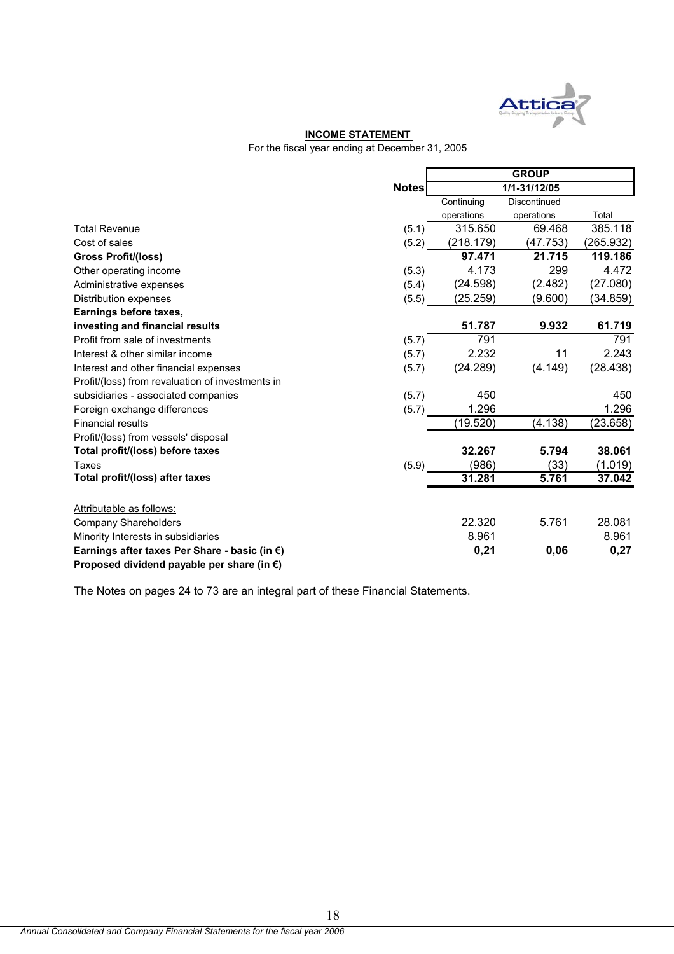

#### **INCOME STATEMENT**

For the fiscal year ending at December 31, 2005

|                                                         |              | <b>GROUP</b> |              |           |  |
|---------------------------------------------------------|--------------|--------------|--------------|-----------|--|
|                                                         | <b>Notes</b> |              | 1/1-31/12/05 |           |  |
|                                                         |              | Continuing   | Discontinued |           |  |
|                                                         |              | operations   | operations   | Total     |  |
| <b>Total Revenue</b>                                    | (5.1)        | 315.650      | 69.468       | 385.118   |  |
| Cost of sales                                           | (5.2)        | (218.179)    | (47.753)     | (265.932) |  |
| <b>Gross Profit/(loss)</b>                              |              | 97.471       | 21.715       | 119.186   |  |
| Other operating income                                  | (5.3)        | 4.173        | 299          | 4.472     |  |
| Administrative expenses                                 | (5.4)        | (24.598)     | (2.482)      | (27.080)  |  |
| Distribution expenses                                   | (5.5)        | (25.259)     | (9.600)      | (34.859)  |  |
| Earnings before taxes,                                  |              |              |              |           |  |
| investing and financial results                         |              | 51.787       | 9.932        | 61.719    |  |
| Profit from sale of investments                         | (5.7)        | 791          |              | 791       |  |
| Interest & other similar income                         | (5.7)        | 2.232        | 11           | 2.243     |  |
| Interest and other financial expenses                   | (5.7)        | (24.289)     | (4.149)      | (28.438)  |  |
| Profit/(loss) from revaluation of investments in        |              |              |              |           |  |
| subsidiaries - associated companies                     | (5.7)        | 450          |              | 450       |  |
| Foreign exchange differences                            | (5.7)        | 1.296        |              | 1.296     |  |
| <b>Financial results</b>                                |              | (19.520)     | (4.138)      | (23.658)  |  |
| Profit/(loss) from vessels' disposal                    |              |              |              |           |  |
| Total profit/(loss) before taxes                        |              | 32.267       | 5.794        | 38.061    |  |
| Taxes                                                   | (5.9)        | (986)        | (33)         | (1.019)   |  |
| Total profit/(loss) after taxes                         |              | 31.281       | 5.761        | 37.042    |  |
| Attributable as follows:                                |              |              |              |           |  |
| <b>Company Shareholders</b>                             |              | 22.320       | 5.761        | 28.081    |  |
| Minority Interests in subsidiaries                      |              | 8.961        |              | 8.961     |  |
| Earnings after taxes Per Share - basic (in $\epsilon$ ) |              | 0,21         | 0,06         | 0,27      |  |
| Proposed dividend payable per share (in $\epsilon$ )    |              |              |              |           |  |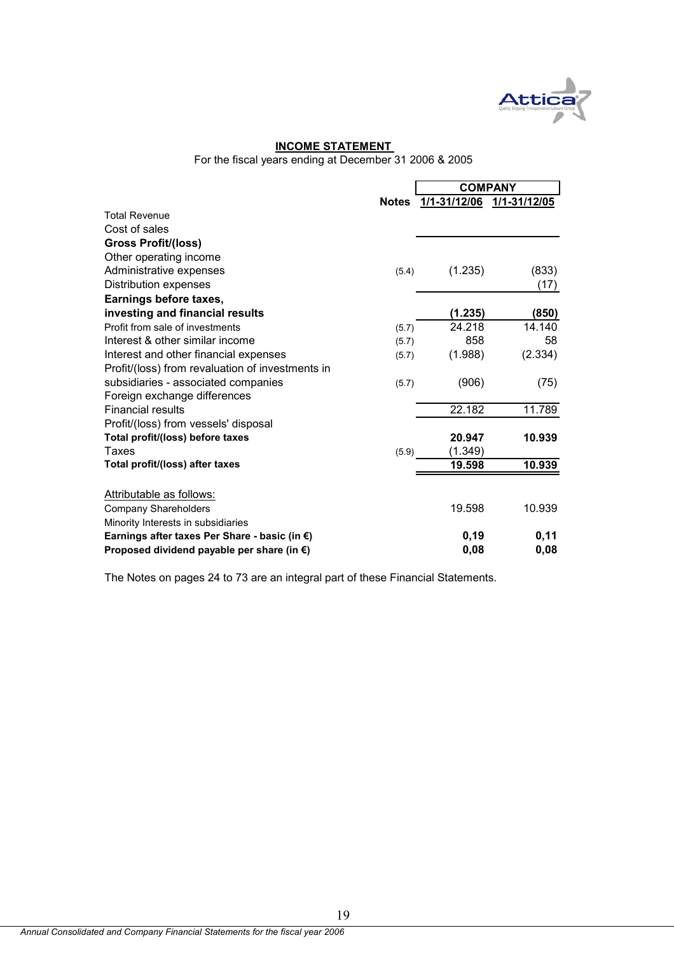

## **INCOME STATEMENT**

For the fiscal years ending at December 31 2006 & 2005

|                                                      |              | <b>COMPANY</b>            |         |  |
|------------------------------------------------------|--------------|---------------------------|---------|--|
|                                                      | <b>Notes</b> | 1/1-31/12/06 1/1-31/12/05 |         |  |
| <b>Total Revenue</b>                                 |              |                           |         |  |
| Cost of sales                                        |              |                           |         |  |
| <b>Gross Profit/(loss)</b>                           |              |                           |         |  |
| Other operating income                               |              |                           |         |  |
| Administrative expenses                              | (5.4)        | (1.235)                   | (833)   |  |
| <b>Distribution expenses</b>                         |              |                           | (17)    |  |
| Earnings before taxes,                               |              |                           |         |  |
| investing and financial results                      |              | (1.235)                   | (850)   |  |
| Profit from sale of investments                      | (5.7)        | 24.218                    | 14.140  |  |
| Interest & other similar income                      | (5.7)        | 858                       | 58      |  |
| Interest and other financial expenses                | (5.7)        | (1.988)                   | (2.334) |  |
| Profit/(loss) from revaluation of investments in     |              |                           |         |  |
| subsidiaries - associated companies                  | (5.7)        | (906)                     | (75)    |  |
| Foreign exchange differences                         |              |                           |         |  |
| <b>Financial results</b>                             |              | 22.182                    | 11.789  |  |
| Profit/(loss) from vessels' disposal                 |              |                           |         |  |
| Total profit/(loss) before taxes                     |              | 20.947                    | 10.939  |  |
| Taxes                                                | (5.9)        | (1.349)                   |         |  |
| Total profit/(loss) after taxes                      |              | 19.598                    | 10.939  |  |
|                                                      |              |                           |         |  |
| Attributable as follows:                             |              | 19.598                    | 10.939  |  |
| <b>Company Shareholders</b>                          |              |                           |         |  |
| Minority Interests in subsidiaries                   |              |                           |         |  |
| Earnings after taxes Per Share - basic (in €)        |              | 0, 19                     | 0,11    |  |
| Proposed dividend payable per share (in $\epsilon$ ) |              | 0,08                      | 0,08    |  |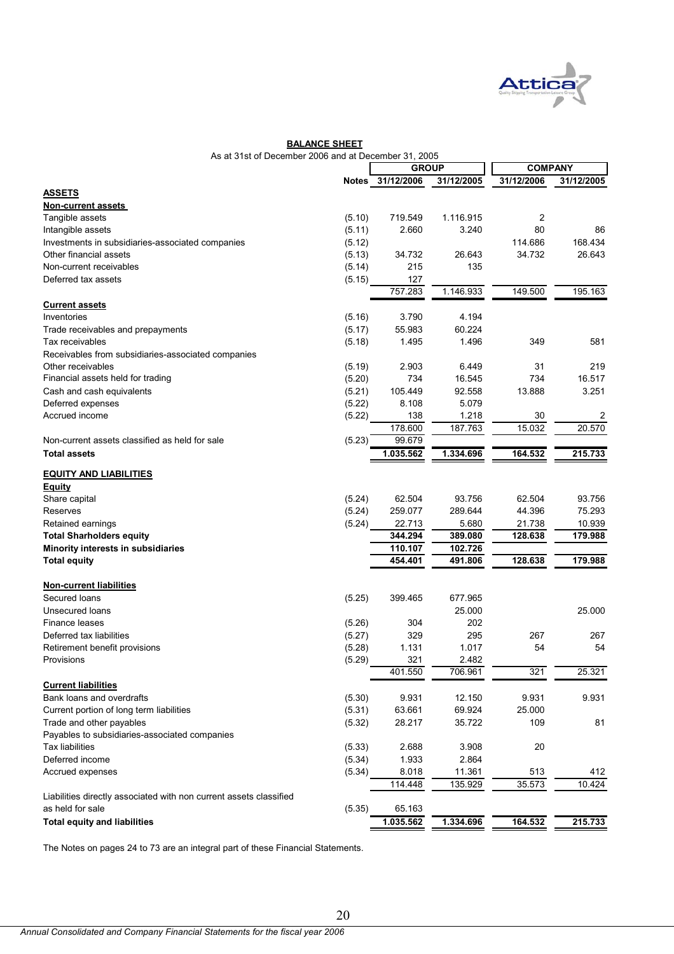

| As at 31st of December 2006 and at December 31, 2005               |        |                  |            |                |            |
|--------------------------------------------------------------------|--------|------------------|------------|----------------|------------|
|                                                                    |        | <b>GROUP</b>     |            | <b>COMPANY</b> |            |
|                                                                    |        | Notes 31/12/2006 | 31/12/2005 | 31/12/2006     | 31/12/2005 |
| <b>ASSETS</b>                                                      |        |                  |            |                |            |
| <b>Non-current assets</b>                                          |        |                  |            |                |            |
| Tangible assets                                                    | (5.10) | 719.549          | 1.116.915  | 2              |            |
| Intangible assets                                                  | (5.11) | 2.660            | 3.240      | 80             | 86         |
| Investments in subsidiaries-associated companies                   | (5.12) |                  |            | 114.686        | 168.434    |
| Other financial assets                                             | (5.13) | 34.732           | 26.643     | 34.732         | 26.643     |
| Non-current receivables                                            | (5.14) | 215              | 135        |                |            |
| Deferred tax assets                                                | (5.15) | 127<br>757.283   | 1.146.933  | 149.500        | 195.163    |
| <b>Current assets</b>                                              |        |                  |            |                |            |
| Inventories                                                        | (5.16) | 3.790            | 4.194      |                |            |
| Trade receivables and prepayments                                  | (5.17) | 55.983           | 60.224     |                |            |
| Tax receivables                                                    | (5.18) | 1.495            | 1.496      | 349            | 581        |
| Receivables from subsidiaries-associated companies                 |        |                  |            |                |            |
| Other receivables                                                  | (5.19) | 2.903            | 6.449      | 31             | 219        |
| Financial assets held for trading                                  |        | 734              | 16.545     | 734            | 16.517     |
|                                                                    | (5.20) |                  |            |                |            |
| Cash and cash equivalents                                          | (5.21) | 105.449          | 92.558     | 13.888         | 3.251      |
| Deferred expenses                                                  | (5.22) | 8.108            | 5.079      |                |            |
| Accrued income                                                     | (5.22) | 138              | 1.218      | 30             | 2          |
|                                                                    |        | 178.600          | 187.763    | 15.032         | 20.570     |
| Non-current assets classified as held for sale                     | (5.23) | 99.679           |            |                |            |
| <b>Total assets</b>                                                |        | 1.035.562        | 1.334.696  | 164.532        | 215.733    |
| <b>EQUITY AND LIABILITIES</b>                                      |        |                  |            |                |            |
| <b>Equity</b>                                                      |        |                  |            |                |            |
| Share capital                                                      | (5.24) | 62.504           | 93.756     | 62.504         | 93.756     |
| Reserves                                                           | (5.24) | 259.077          | 289.644    | 44.396         | 75.293     |
| Retained earnings                                                  | (5.24) | 22.713           | 5.680      | 21.738         | 10.939     |
| <b>Total Sharholders equity</b>                                    |        | 344.294          | 389.080    | 128.638        | 179.988    |
| Minority interests in subsidiaries                                 |        | 110.107          | 102.726    |                |            |
| <b>Total equity</b>                                                |        | 454.401          | 491.806    | 128.638        | 179.988    |
|                                                                    |        |                  |            |                |            |
| <b>Non-current liabilities</b><br>Secured loans                    | (5.25) | 399.465          | 677.965    |                |            |
| Unsecured loans                                                    |        |                  | 25.000     |                | 25.000     |
| Finance leases                                                     | (5.26) | 304              | 202        |                |            |
| Deferred tax liabilities                                           | (5.27) | 329              | 295        | 267            | 267        |
| Retirement benefit provisions                                      | (5.28) | 1.131            | 1.017      | 54             | 54         |
| Provisions                                                         | (5.29) | $321$            | 2.482      |                |            |
|                                                                    |        | 401.550          | 706.961    | 321            | 25.321     |
| <b>Current liabilities</b>                                         |        |                  |            |                |            |
| Bank loans and overdrafts                                          | (5.30) | 9.931            | 12.150     | 9.931          | 9.931      |
| Current portion of long term liabilities                           | (5.31) | 63.661           | 69.924     | 25.000         |            |
| Trade and other payables                                           | (5.32) | 28.217           | 35.722     | 109            | 81         |
| Payables to subsidiaries-associated companies                      |        |                  |            |                |            |
| <b>Tax liabilities</b>                                             | (5.33) | 2.688            | 3.908      | 20             |            |
| Deferred income                                                    | (5.34) | 1.933            | 2.864      |                |            |
| Accrued expenses                                                   | (5.34) | 8.018            | 11.361     | 513            | 412        |
|                                                                    |        | 114.448          | 135.929    | 35.573         | 10.424     |
| Liabilities directly associated with non current assets classified |        |                  |            |                |            |
| as held for sale                                                   | (5.35) | 65.163           |            |                |            |
| <b>Total equity and liabilities</b>                                |        | 1.035.562        | 1.334.696  | 164.532        | 215.733    |

**BALANCE SHEET**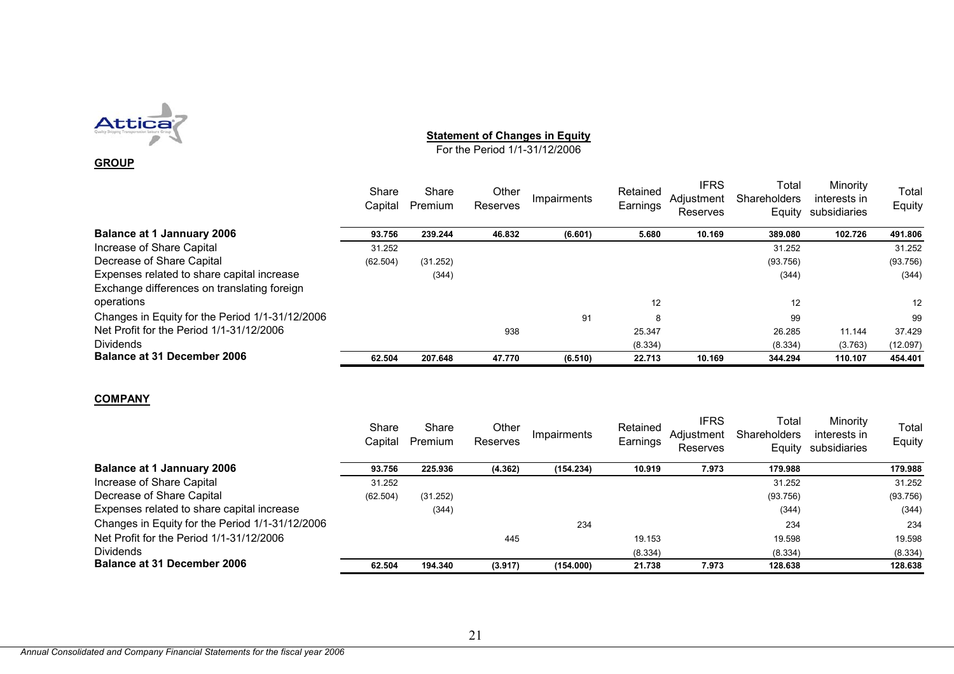

#### **GROUP**

## **Statement of Changes in Equity**

For the Period 1/1-31/12/2006

|                                                 | Share<br>Capital | Share<br>Premium | Other<br>Reserves | Impairments | Retained<br>Earnings | <b>IFRS</b><br>Adjustment<br>Reserves | Total<br>Shareholders<br>Equity | Minority<br>interests in<br>subsidiaries | Total<br>Equity   |
|-------------------------------------------------|------------------|------------------|-------------------|-------------|----------------------|---------------------------------------|---------------------------------|------------------------------------------|-------------------|
| Balance at 1 Jannuary 2006                      | 93.756           | 239.244          | 46.832            | (6.601)     | 5.680                | 10.169                                | 389,080                         | 102.726                                  | 491.806           |
| Increase of Share Capital                       | 31.252           |                  |                   |             |                      |                                       | 31.252                          |                                          | 31.252            |
| Decrease of Share Capital                       | (62.504)         | (31.252)         |                   |             |                      |                                       | (93.756)                        |                                          | (93.756)          |
| Expenses related to share capital increase      |                  | (344)            |                   |             |                      |                                       | (344)                           |                                          | (344)             |
| Exchange differences on translating foreign     |                  |                  |                   |             |                      |                                       |                                 |                                          |                   |
| operations                                      |                  |                  |                   |             | 12                   |                                       | 12                              |                                          | $12 \overline{ }$ |
| Changes in Equity for the Period 1/1-31/12/2006 |                  |                  |                   | 91          | 8                    |                                       | 99                              |                                          | 99                |
| Net Profit for the Period 1/1-31/12/2006        |                  |                  | 938               |             | 25.347               |                                       | 26.285                          | 11.144                                   | 37.429            |
| Dividends                                       |                  |                  |                   |             | (8.334)              |                                       | (8.334)                         | (3.763)                                  | (12.097)          |
| Balance at 31 December 2006                     | 62.504           | 207.648          | 47.770            | (6.510)     | 22.713               | 10.169                                | 344.294                         | 110.107                                  | 454.401           |
|                                                 |                  |                  |                   |             |                      |                                       |                                 |                                          |                   |

#### **COMPANY**

|                                                 | Share<br>Capital | Share<br>Premium | Other<br>Reserves | Impairments | Retained<br>Earnings | <b>IFRS</b><br>Adjustment<br><b>Reserves</b> | Total<br><b>Shareholders</b><br>Equity | Minority<br>interests in<br>subsidiaries | Total<br>Equity |
|-------------------------------------------------|------------------|------------------|-------------------|-------------|----------------------|----------------------------------------------|----------------------------------------|------------------------------------------|-----------------|
| <b>Balance at 1 Jannuary 2006</b>               | 93.756           | 225.936          | (4.362)           | (154.234)   | 10.919               | 7.973                                        | 179.988                                |                                          | 179.988         |
| Increase of Share Capital                       | 31.252           |                  |                   |             |                      |                                              | 31.252                                 |                                          | 31.252          |
| Decrease of Share Capital                       | (62.504)         | (31.252)         |                   |             |                      |                                              | (93.756)                               |                                          | (93.756)        |
| Expenses related to share capital increase      |                  | (344)            |                   |             |                      |                                              | (344)                                  |                                          | (344)           |
| Changes in Equity for the Period 1/1-31/12/2006 |                  |                  |                   | 234         |                      |                                              | 234                                    |                                          | 234             |
| Net Profit for the Period 1/1-31/12/2006        |                  |                  | 445               |             | 19.153               |                                              | 19.598                                 |                                          | 19.598          |
| <b>Dividends</b>                                |                  |                  |                   |             | (8.334)              |                                              | (8.334)                                |                                          | (8.334)         |
| <b>Balance at 31 December 2006</b>              | 62.504           | 194.340          | (3.917)           | (154.000)   | 21.738               | 7.973                                        | 128.638                                |                                          | 128.638         |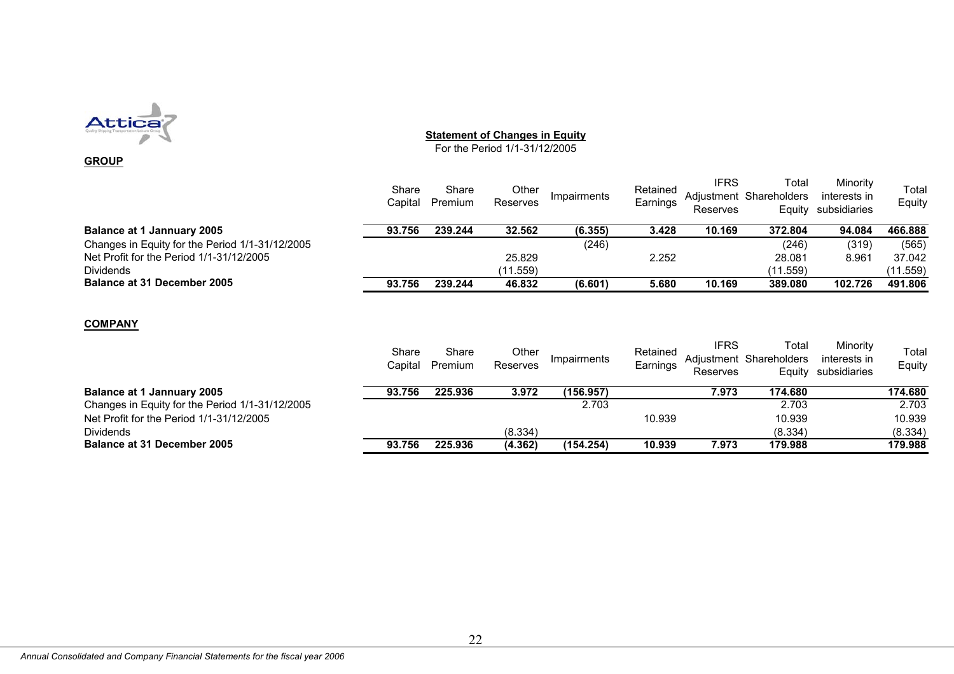

#### **GROUP**

#### **Statement of Changes in Equity**

For the Period 1/1-31/12/2005

|                                                 | Share<br>Capital | Share<br>Premium | Other<br>Reserves | Impairments | Retained<br>Earnings | <b>IFRS</b><br>Reserves | Total<br>Adjustment Shareholders<br>Equity | Minority<br>interests in<br>subsidiaries | Total<br>Equity |
|-------------------------------------------------|------------------|------------------|-------------------|-------------|----------------------|-------------------------|--------------------------------------------|------------------------------------------|-----------------|
| <b>Balance at 1 Jannuary 2005</b>               | 93.756           | 239.244          | 32.562            | (6.355)     | 3.428                | 10.169                  | 372.804                                    | 94.084                                   | 466.888         |
| Changes in Equity for the Period 1/1-31/12/2005 |                  |                  |                   | (246)       |                      |                         | (246)                                      | (319)                                    | (565)           |
| Net Profit for the Period 1/1-31/12/2005        |                  |                  | 25.829            |             | 2.252                |                         | 28.081                                     | 8.961                                    | 37.042          |
| <b>Dividends</b>                                |                  |                  | (11.559)          |             |                      |                         | (11.559)                                   |                                          | (11.559)        |
| <b>Balance at 31 December 2005</b>              | 93.756           | 239.244          | 46.832            | (6, 601)    | 5.680                | 10.169                  | 389,080                                    | 102.726                                  | 491.806         |

#### **COMPANY**

|                                                 | Share<br>Capital | Share<br>Premium | Other<br>Reserves | Impairments | Retained<br>Earnings | <b>IFRS</b><br>Reserves | Total<br>Adjustment Shareholders<br>Equity | Minority<br>interests in<br>subsidiaries | Total<br>Equity |
|-------------------------------------------------|------------------|------------------|-------------------|-------------|----------------------|-------------------------|--------------------------------------------|------------------------------------------|-----------------|
| <b>Balance at 1 Jannuary 2005</b>               | 93.756           | 225.936          | 3.972             | (156.957)   |                      | 7.973                   | 174.680                                    |                                          | 174.680         |
| Changes in Equity for the Period 1/1-31/12/2005 |                  |                  |                   | 2.703       |                      |                         | 2.703                                      |                                          | 2.703           |
| Net Profit for the Period 1/1-31/12/2005        |                  |                  |                   |             | 10.939               |                         | 10.939                                     |                                          | 10.939          |
| <b>Dividends</b>                                |                  |                  | (8.334)           |             |                      |                         | (8.334)                                    |                                          | (8.334)         |
| <b>Balance at 31 December 2005</b>              | 93.756           | 225.936          | (4.362)           | (154.254)   | 10.939               | 7.973                   | 179.988                                    |                                          | 179.988         |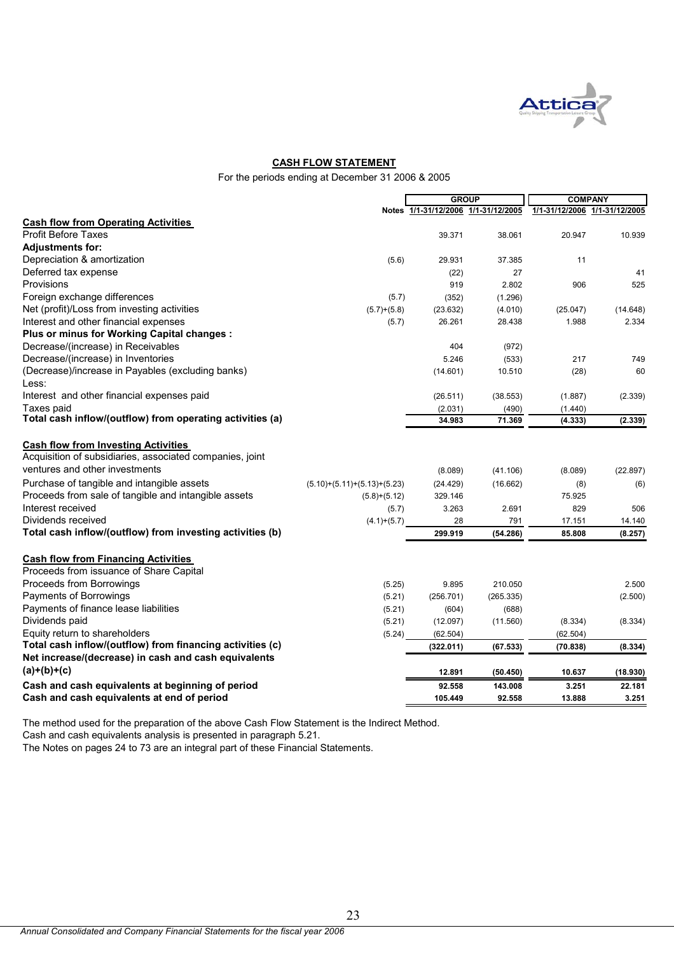

#### **CASH FLOW STATEMENT**

For the periods ending at December 31 2006 & 2005

|                                                           |                               | <b>GROUP</b>         |                | <b>COMPANY</b> |                               |  |
|-----------------------------------------------------------|-------------------------------|----------------------|----------------|----------------|-------------------------------|--|
|                                                           |                               | Notes 1/1-31/12/2006 | 1/1-31/12/2005 |                | 1/1-31/12/2006 1/1-31/12/2005 |  |
| <b>Cash flow from Operating Activities</b>                |                               |                      |                |                |                               |  |
| Profit Before Taxes                                       |                               | 39.371               | 38.061         | 20.947         | 10.939                        |  |
| <b>Adjustments for:</b>                                   |                               |                      |                |                |                               |  |
| Depreciation & amortization                               | (5.6)                         | 29.931               | 37.385         | 11             |                               |  |
| Deferred tax expense                                      |                               | (22)                 | 27             |                | 41                            |  |
| Provisions                                                |                               | 919                  | 2.802          | 906            | 525                           |  |
| Foreign exchange differences                              | (5.7)                         | (352)                | (1.296)        |                |                               |  |
| Net (profit)/Loss from investing activities               | $(5.7)+(5.8)$                 | (23.632)             | (4.010)        | (25.047)       | (14.648)                      |  |
| Interest and other financial expenses                     | (5.7)                         | 26.261               | 28.438         | 1.988          | 2.334                         |  |
| Plus or minus for Working Capital changes :               |                               |                      |                |                |                               |  |
| Decrease/(increase) in Receivables                        |                               | 404                  | (972)          |                |                               |  |
| Decrease/(increase) in Inventories                        |                               | 5.246                | (533)          | 217            | 749                           |  |
| (Decrease)/increase in Payables (excluding banks)         |                               | (14.601)             | 10.510         | (28)           | 60                            |  |
| Less:                                                     |                               |                      |                |                |                               |  |
| Interest and other financial expenses paid                |                               | (26.511)             | (38.553)       | (1.887)        | (2.339)                       |  |
| Taxes paid                                                |                               | (2.031)              | (490)          | (1.440)        |                               |  |
| Total cash inflow/(outflow) from operating activities (a) |                               | 34.983               | 71.369         | (4.333)        | (2.339)                       |  |
| <b>Cash flow from Investing Activities</b>                |                               |                      |                |                |                               |  |
| Acquisition of subsidiaries, associated companies, joint  |                               |                      |                |                |                               |  |
| ventures and other investments                            |                               | (8.089)              | (41.106)       | (8.089)        | (22.897)                      |  |
| Purchase of tangible and intangible assets                | $(5.10)+(5.11)+(5.13)+(5.23)$ | (24.429)             | (16.662)       | (8)            | (6)                           |  |
| Proceeds from sale of tangible and intangible assets      | $(5.8)+(5.12)$                | 329.146              |                | 75.925         |                               |  |
| Interest received                                         | (5.7)                         | 3.263                | 2.691          | 829            | 506                           |  |
| Dividends received                                        | $(4.1)+(5.7)$                 | 28                   | 791            | 17.151         | 14.140                        |  |
| Total cash inflow/(outflow) from investing activities (b) |                               | 299.919              | (54.286)       | 85.808         | (8.257)                       |  |
| <b>Cash flow from Financing Activities</b>                |                               |                      |                |                |                               |  |
| Proceeds from issuance of Share Capital                   |                               |                      |                |                |                               |  |
| Proceeds from Borrowings                                  | (5.25)                        | 9.895                | 210.050        |                | 2.500                         |  |
| Payments of Borrowings                                    | (5.21)                        | (256.701)            | (265.335)      |                | (2.500)                       |  |
| Payments of finance lease liabilities                     | (5.21)                        | (604)                | (688)          |                |                               |  |
| Dividends paid                                            | (5.21)                        | (12.097)             | (11.560)       | (8.334)        | (8.334)                       |  |
| Equity return to shareholders                             | (5.24)                        | (62.504)             |                | (62.504)       |                               |  |
| Total cash inflow/(outflow) from financing activities (c) |                               | (322.011)            | (67.533)       | (70.838)       | (8.334)                       |  |
| Net increase/(decrease) in cash and cash equivalents      |                               |                      |                |                |                               |  |
| $(a)+(b)+(c)$                                             |                               | 12.891               | (50.450)       | 10.637         | (18.930)                      |  |
| Cash and cash equivalents at beginning of period          |                               | 92.558               | 143.008        | 3.251          | 22.181                        |  |
| Cash and cash equivalents at end of period                |                               | 105.449              | 92.558         | 13.888         | 3.251                         |  |
|                                                           |                               |                      |                |                |                               |  |

The method used for the preparation of the above Cash Flow Statement is the Indirect Method.

Cash and cash equivalents analysis is presented in paragraph 5.21.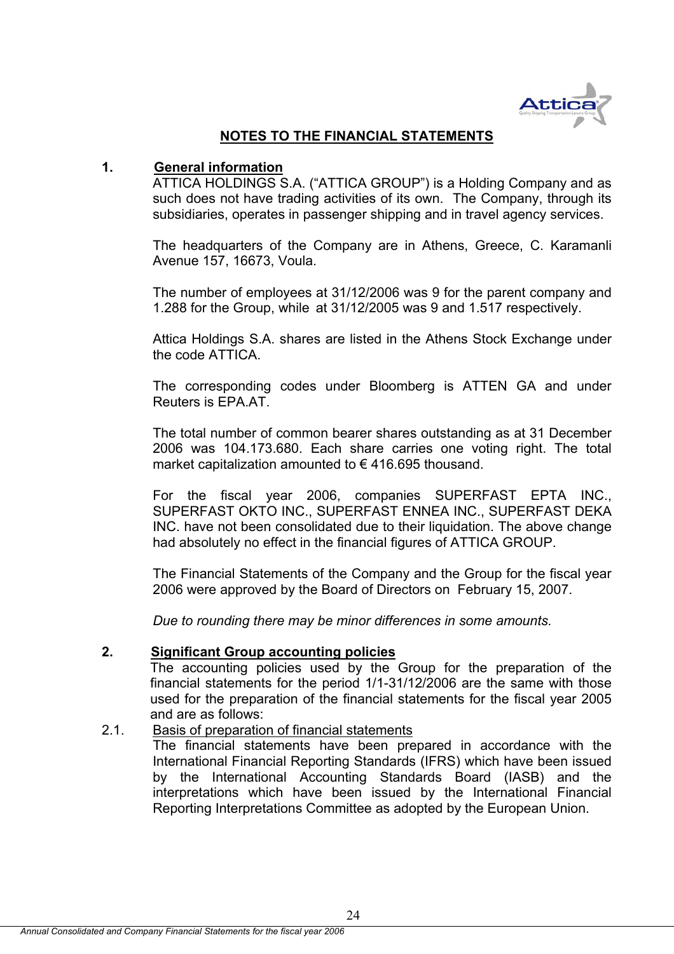

## **NOTES TO THE FINANCIAL STATEMENTS**

## **1. General information**

ATTICA HOLDINGS S.A. ("ATTICA GROUP") is a Holding Company and as such does not have trading activities of its own. The Company, through its subsidiaries, operates in passenger shipping and in travel agency services.

The headquarters of the Company are in Athens, Greece, C. Karamanli Avenue 157, 16673, Voula.

The number of employees at 31/12/2006 was 9 for the parent company and 1.288 for the Group, while at 31/12/2005 was 9 and 1.517 respectively.

Attica Holdings S.A. shares are listed in the Athens Stock Exchange under the code ATTICA.

The corresponding codes under Bloomberg is ATTEN GA and under Reuters is EPA.AT.

The total number of common bearer shares outstanding as at 31 December 2006 was 104.173.680. Each share carries one voting right. The total market capitalization amounted to  $\epsilon$  416.695 thousand.

For the fiscal year 2006, companies SUPERFAST EPTA INC., SUPERFAST OKTO INC., SUPERFAST ENNEA INC., SUPERFAST DEKA INC. have not been consolidated due to their liquidation. The above change had absolutely no effect in the financial figures of ATTICA GROUP.

The Financial Statements of the Company and the Group for the fiscal year 2006 were approved by the Board of Directors on February 15, 2007.

*Due to rounding there may be minor differences in some amounts.* 

## **2. Significant Group accounting policies**

The accounting policies used by the Group for the preparation of the financial statements for the period 1/1-31/12/2006 are the same with those used for the preparation of the financial statements for the fiscal year 2005 and are as follows:

## 2.1. Basis of preparation of financial statements

The financial statements have been prepared in accordance with the International Financial Reporting Standards (IFRS) which have been issued by the International Accounting Standards Board (IASB) and the interpretations which have been issued by the International Financial Reporting Interpretations Committee as adopted by the European Union.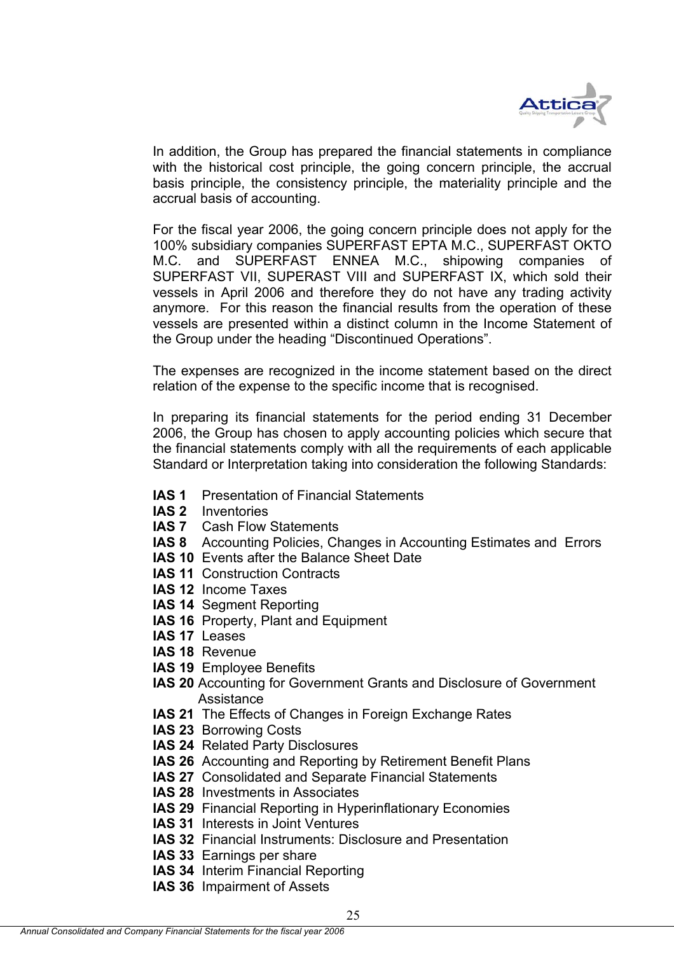

In addition, the Group has prepared the financial statements in compliance with the historical cost principle, the going concern principle, the accrual basis principle, the consistency principle, the materiality principle and the accrual basis of accounting.

For the fiscal year 2006, the going concern principle does not apply for the 100% subsidiary companies SUPERFAST EPTA M.C., SUPERFAST OKTO M.C. and SUPERFAST ENNEA M.C., shipowing companies of SUPERFAST VII, SUPERAST VIII and SUPERFAST IX, which sold their vessels in April 2006 and therefore they do not have any trading activity anymore. For this reason the financial results from the operation of these vessels are presented within a distinct column in the Income Statement of the Group under the heading "Discontinued Operations".

The expenses are recognized in the income statement based on the direct relation of the expense to the specific income that is recognised.

In preparing its financial statements for the period ending 31 December 2006, the Group has chosen to apply accounting policies which secure that the financial statements comply with all the requirements of each applicable Standard or Interpretation taking into consideration the following Standards:

- **IAS 1** Presentation of Financial Statements
- **IAS 2** Inventories
- **IAS 7** Cash Flow Statements
- **IAS 8** Accounting Policies, Changes in Accounting Estimates and Errors
- **IAS 10** Events after the Balance Sheet Date
- **IAS 11 Construction Contracts**
- **IAS 12** Income Taxes
- **IAS 14** Segment Reporting
- **IAS 16** Property, Plant and Equipment
- **IAS 17** Leases
- **IAS 18** Revenue
- **IAS 19** Employee Benefits
- **IAS 20** Accounting for Government Grants and Disclosure of Government Assistance
- **IAS 21** The Effects of Changes in Foreign Exchange Rates
- **IAS 23** Borrowing Costs
- **IAS 24** Related Party Disclosures
- **IAS 26** Accounting and Reporting by Retirement Benefit Plans
- **IAS 27** Consolidated and Separate Financial Statements
- **IAS 28** Investments in Associates
- **IAS 29** Financial Reporting in Hyperinflationary Economies
- **IAS 31** Interests in Joint Ventures
- **IAS 32** Financial Instruments: Disclosure and Presentation

25

- **IAS 33** Earnings per share
- **IAS 34** Interim Financial Reporting
- **IAS 36** Impairment of Assets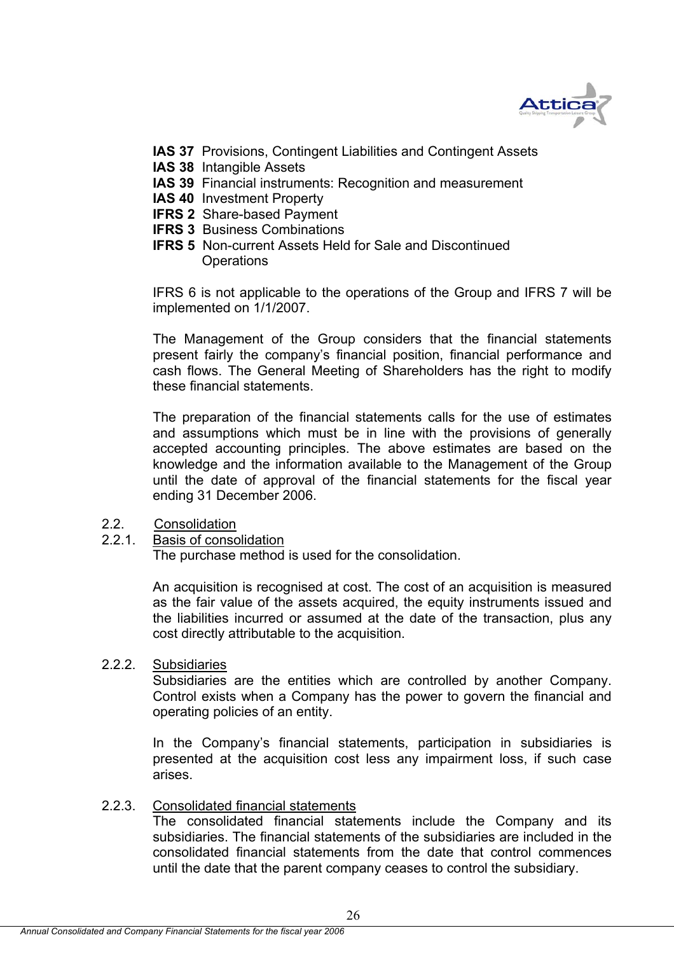

- **IAS 37** Provisions, Contingent Liabilities and Contingent Assets
- **IAS 38** Intangible Assets
- **IAS 39** Financial instruments: Recognition and measurement
- **IAS 40** Investment Property
- **IFRS 2** Share-based Payment
- **IFRS 3 Business Combinations**
- **IFRS 5** Non-current Assets Held for Sale and Discontinued Operations

IFRS 6 is not applicable to the operations of the Group and IFRS 7 will be implemented on 1/1/2007.

The Management of the Group considers that the financial statements present fairly the company's financial position, financial performance and cash flows. The General Meeting of Shareholders has the right to modify these financial statements.

The preparation of the financial statements calls for the use of estimates and assumptions which must be in line with the provisions of generally accepted accounting principles. The above estimates are based οn the knowledge and the information available to the Management of the Group until the date of approval of the financial statements for the fiscal year ending 31 December 2006.

- 2.2. Consolidation
- 2.2.1. Basis of consolidation

The purchase method is used for the consolidation.

An acquisition is recognised at cost. The cost of an acquisition is measured as the fair value of the assets acquired, the equity instruments issued and the liabilities incurred or assumed at the date of the transaction, plus any cost directly attributable to the acquisition.

2.2.2. Subsidiaries

Subsidiaries are the entities which are controlled by another Company. Control exists when a Company has the power to govern the financial and operating policies of an entity.

In the Company's financial statements, participation in subsidiaries is presented at the acquisition cost less any impairment loss, if such case arises.

2.2.3. Consolidated financial statements

The consolidated financial statements include the Company and its subsidiaries. The financial statements of the subsidiaries are included in the consolidated financial statements from the date that control commences until the date that the parent company ceases to control the subsidiary.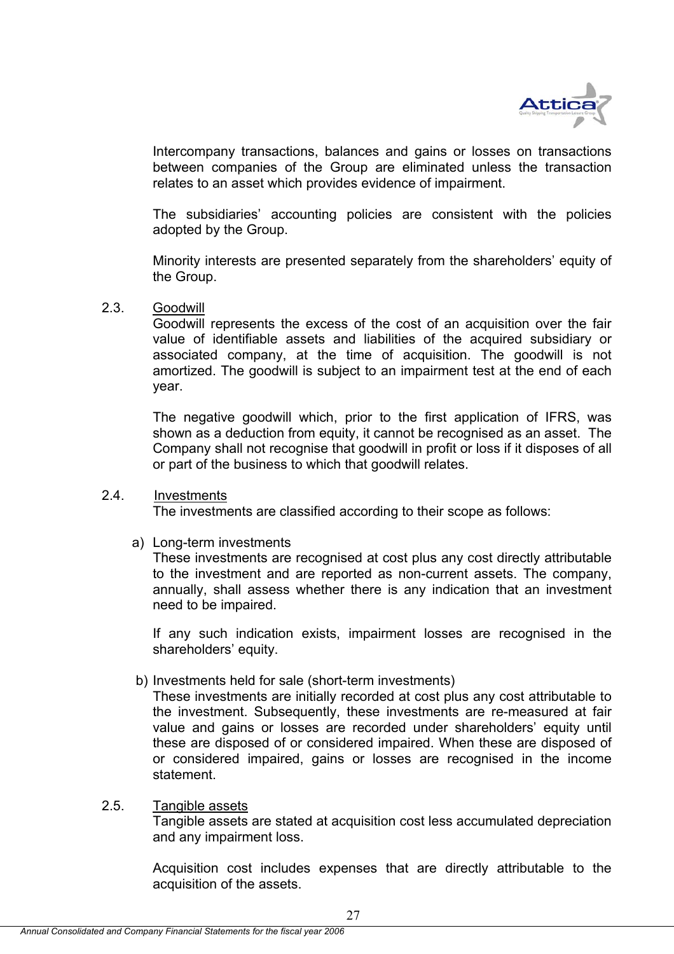

Intercompany transactions, balances and gains or losses on transactions between companies of the Group are eliminated unless the transaction relates to an asset which provides evidence of impairment.

The subsidiaries' accounting policies are consistent with the policies adopted by the Group.

Minority interests are presented separately from the shareholders' equity of the Group.

## 2.3. Goodwill

Goodwill represents the excess of the cost of an acquisition over the fair value of identifiable assets and liabilities of the acquired subsidiary or associated company, at the time of acquisition. The goodwill is not amortized. The goodwill is subject to an impairment test at the end of each year.

The negative goodwill which, prior to the first application of IFRS, was shown as a deduction from equity, it cannot be recognised as an asset. The Company shall not recognise that goodwill in profit or loss if it disposes of all or part of the business to which that goodwill relates.

## 2.4. Investments

The investments are classified according to their scope as follows:

a) Long-term investments

These investments are recognised at cost plus any cost directly attributable to the investment and are reported as non-current assets. The company, annually, shall assess whether there is any indication that an investment need to be impaired.

If any such indication exists, impairment losses are recognised in the shareholders' equity.

b) Investments held for sale (short-term investments)

These investments are initially recorded at cost plus any cost attributable to the investment. Subsequently, these investments are re-measured at fair value and gains or losses are recorded under shareholders' equity until these are disposed of or considered impaired. When these are disposed of or considered impaired, gains or losses are recognised in the income statement.

## 2.5. Tangible assets

Tangible assets are stated at acquisition cost less accumulated depreciation and any impairment loss.

Acquisition cost includes expenses that are directly attributable to the acquisition of the assets.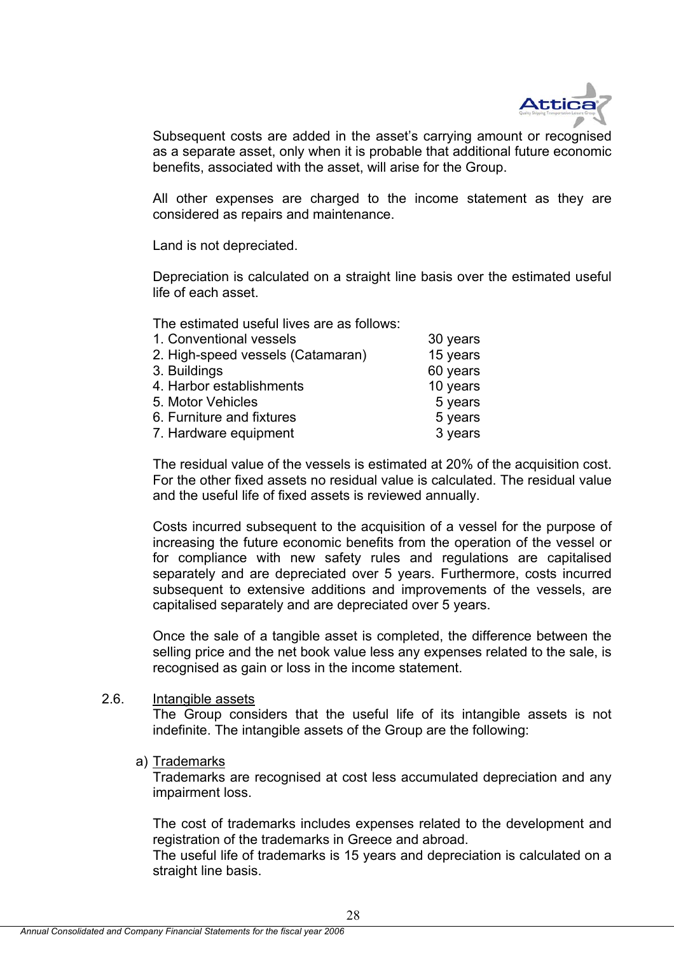

Subsequent costs are added in the asset's carrying amount or recognised as a separate asset, only when it is probable that additional future economic benefits, associated with the asset, will arise for the Group.

All other expenses are charged to the income statement as they are considered as repairs and maintenance.

Land is not depreciated.

Depreciation is calculated on a straight line basis over the estimated useful life of each asset.

The estimated useful lives are as follows:

| 1. Conventional vessels           | 30 years |
|-----------------------------------|----------|
| 2. High-speed vessels (Catamaran) | 15 years |
| 3. Buildings                      | 60 years |
| 4. Harbor establishments          | 10 years |
| 5. Motor Vehicles                 | 5 years  |
| 6. Furniture and fixtures         | 5 years  |
| 7. Hardware equipment             | 3 years  |
|                                   |          |

The residual value of the vessels is estimated at 20% of the acquisition cost. For the other fixed assets no residual value is calculated. The residual value and the useful life of fixed assets is reviewed annually.

Costs incurred subsequent to the acquisition of a vessel for the purpose of increasing the future economic benefits from the operation of the vessel or for compliance with new safety rules and regulations are capitalised separately and are depreciated over 5 years. Furthermore, costs incurred subsequent to extensive additions and improvements of the vessels, are capitalised separately and are depreciated over 5 years.

Once the sale of a tangible asset is completed, the difference between the selling price and the net book value less any expenses related to the sale, is recognised as gain or loss in the income statement.

## 2.6. Intangible assets

 The Group considers that the useful life of its intangible assets is not indefinite. The intangible assets of the Group are the following:

a) Trademarks

 Trademarks are recognised at cost less accumulated depreciation and any impairment loss.

 The cost of trademarks includes expenses related to the development and registration of the trademarks in Greece and abroad.

The useful life of trademarks is 15 years and depreciation is calculated on a straight line basis.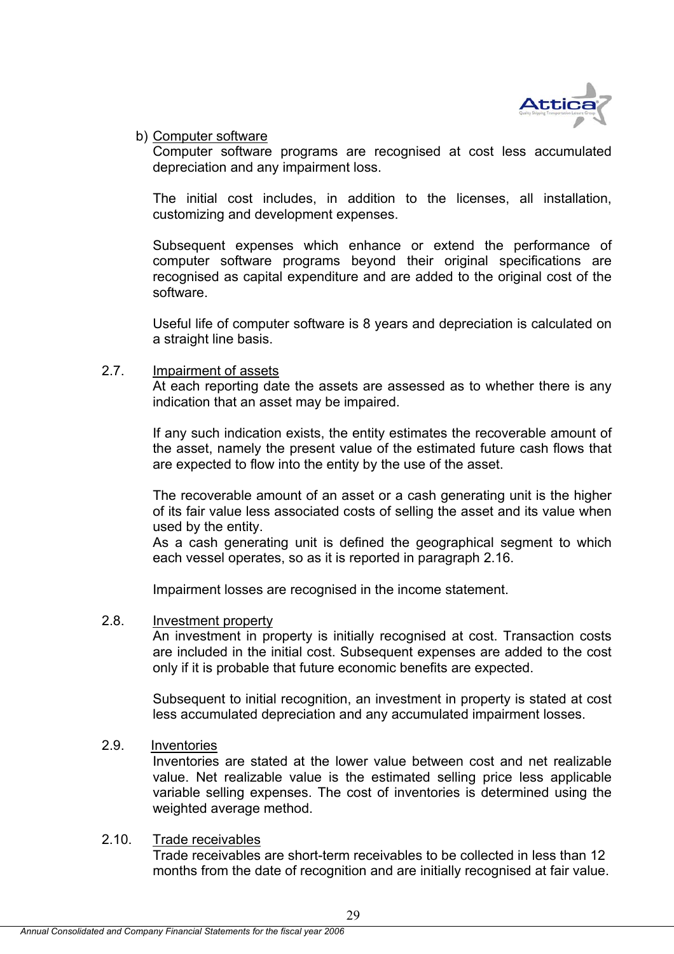

b) Computer software

 Computer software programs are recognised at cost less accumulated depreciation and any impairment loss.

 The initial cost includes, in addition to the licenses, all installation, customizing and development expenses.

Subsequent expenses which enhance or extend the performance of computer software programs beyond their original specifications are recognised as capital expenditure and are added to the original cost of the software.

Useful life of computer software is 8 years and depreciation is calculated on a straight line basis.

## 2.7. Impairment of assets

At each reporting date the assets are assessed as to whether there is any indication that an asset may be impaired.

If any such indication exists, the entity estimates the recoverable amount of the asset, namely the present value of the estimated future cash flows that are expected to flow into the entity by the use of the asset.

The recoverable amount of an asset or a cash generating unit is the higher of its fair value less associated costs of selling the asset and its value when used by the entity.

As a cash generating unit is defined the geographical segment to which each vessel operates, so as it is reported in paragraph 2.16.

Impairment losses are recognised in the income statement.

## 2.8. Investment property

An investment in property is initially recognised at cost. Transaction costs are included in the initial cost. Subsequent expenses are added to the cost only if it is probable that future economic benefits are expected.

Subsequent to initial recognition, an investment in property is stated at cost less accumulated depreciation and any accumulated impairment losses.

## 2.9. Inventories

Inventories are stated at the lower value between cost and net realizable value. Net realizable value is the estimated selling price less applicable variable selling expenses. The cost of inventories is determined using the weighted average method.

## 2.10. Trade receivables

Trade receivables are short-term receivables to be collected in less than 12 months from the date of recognition and are initially recognised at fair value.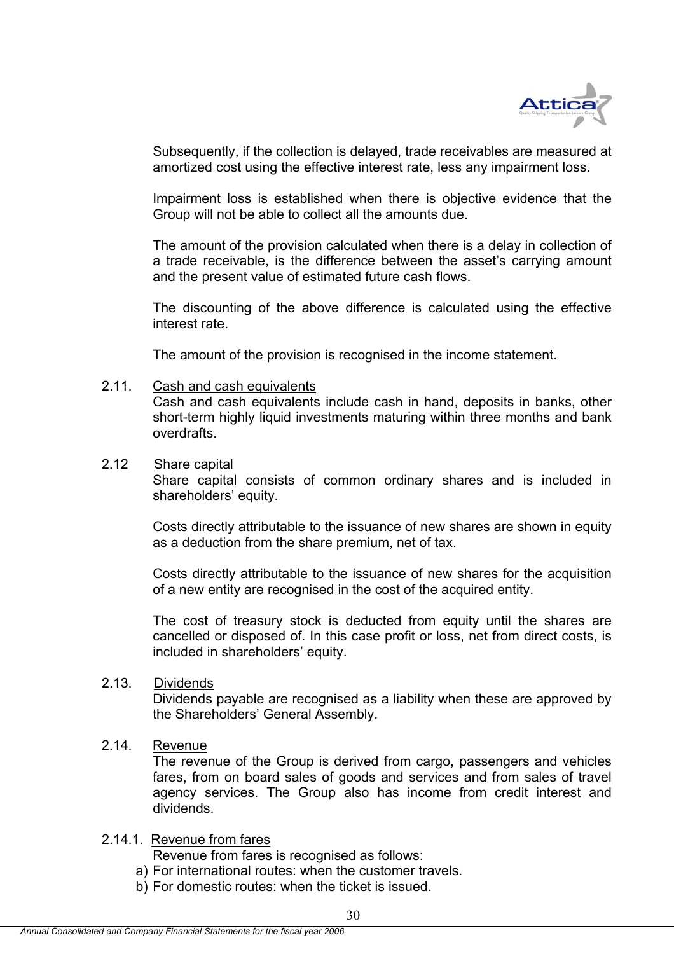

Subsequently, if the collection is delayed, trade receivables are measured at amortized cost using the effective interest rate, less any impairment loss.

Impairment loss is established when there is objective evidence that the Group will not be able to collect all the amounts due.

The amount of the provision calculated when there is a delay in collection of a trade receivable, is the difference between the asset's carrying amount and the present value of estimated future cash flows.

The discounting of the above difference is calculated using the effective interest rate.

The amount of the provision is recognised in the income statement.

## 2.11. Cash and cash equivalents

Cash and cash equivalents include cash in hand, deposits in banks, other short-term highly liquid investments maturing within three months and bank overdrafts.

## 2.12 Share capital

Share capital consists of common ordinary shares and is included in shareholders' equity.

Costs directly attributable to the issuance of new shares are shown in equity as a deduction from the share premium, net of tax.

Costs directly attributable to the issuance of new shares for the acquisition of a new entity are recognised in the cost of the acquired entity.

The cost of treasury stock is deducted from equity until the shares are cancelled or disposed of. In this case profit or loss, net from direct costs, is included in shareholders' equity.

## 2.13. Dividends

Dividends payable are recognised as a liability when these are approved by the Shareholders' General Assembly.

## 2.14. Revenue

The revenue of the Group is derived from cargo, passengers and vehicles fares, from on board sales of goods and services and from sales of travel agency services. The Group also has income from credit interest and dividends.

## 2.14.1. Revenue from fares

Revenue from fares is recognised as follows:

a) For international routes: when the customer travels.

b) For domestic routes: when the ticket is issued.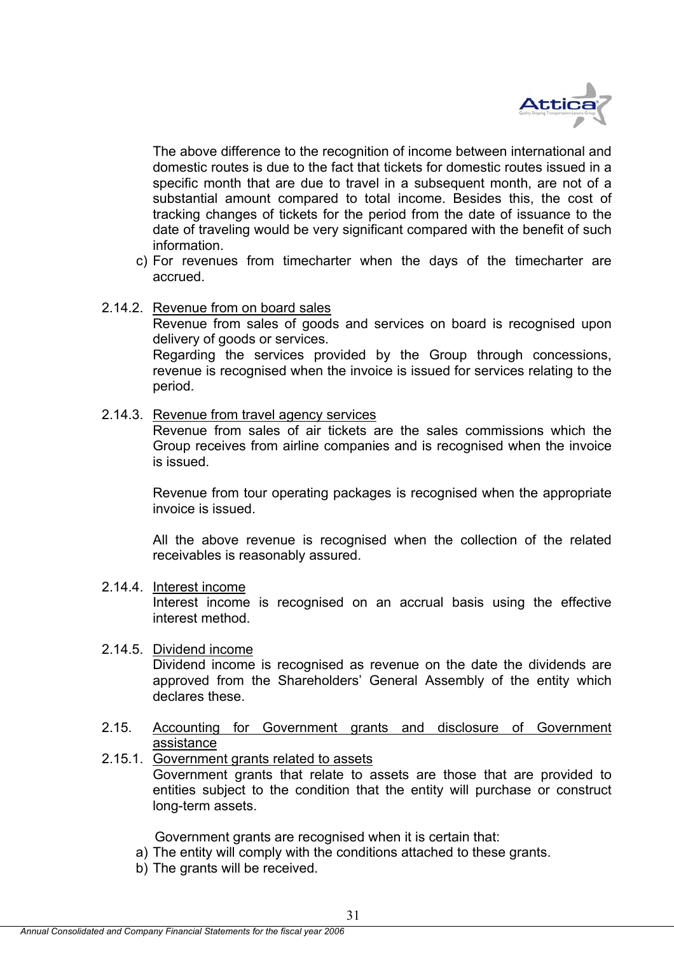

The above difference to the recognition of income between international and domestic routes is due to the fact that tickets for domestic routes issued in a specific month that are due to travel in a subsequent month, are not of a substantial amount compared to total income. Besides this, the cost of tracking changes of tickets for the period from the date of issuance to the date of traveling would be very significant compared with the benefit of such information.

- c) For revenues from timecharter when the days of the timecharter are accrued.
- 2.14.2. Revenue from on board sales

Revenue from sales of goods and services on board is recognised upon delivery of goods or services.

Regarding the services provided by the Group through concessions, revenue is recognised when the invoice is issued for services relating to the period.

2.14.3. Revenue from travel agency services

Revenue from sales of air tickets are the sales commissions which the Group receives from airline companies and is recognised when the invoice is issued.

Revenue from tour operating packages is recognised when the appropriate invoice is issued.

All the above revenue is recognised when the collection of the related receivables is reasonably assured.

2.14.4. Interest income

Interest income is recognised on an accrual basis using the effective interest method.

2.14.5. Dividend income

Dividend income is recognised as revenue on the date the dividends are approved from the Shareholders' General Assembly of the entity which declares these.

- 2.15. Accounting for Government grants and disclosure of Government assistance
- 2.15.1. Government grants related to assets Government grants that relate to assets are those that are provided to entities subject to the condition that the entity will purchase or construct long-term assets.

Government grants are recognised when it is certain that:

- a) The entity will comply with the conditions attached to these grants.
- b) The grants will be received.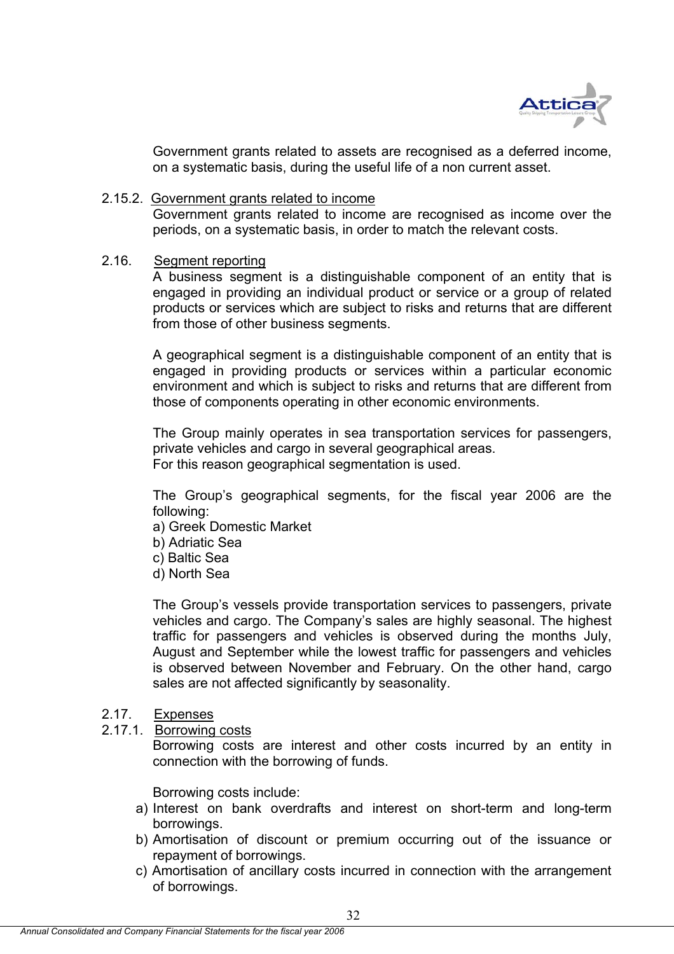

Government grants related to assets are recognised as a deferred income, on a systematic basis, during the useful life of a non current asset.

## 2.15.2. Government grants related to income

Government grants related to income are recognised as income over the periods, on a systematic basis, in order to match the relevant costs.

## 2.16. Segment reporting

A business segment is a distinguishable component of an entity that is engaged in providing an individual product or service or a group of related products or services which are subject to risks and returns that are different from those of other business segments.

A geographical segment is a distinguishable component of an entity that is engaged in providing products or services within a particular economic environment and which is subject to risks and returns that are different from those of components operating in other economic environments.

The Group mainly operates in sea transportation services for passengers, private vehicles and cargo in several geographical areas. For this reason geographical segmentation is used.

The Group's geographical segments, for the fiscal year 2006 are the following:

- a) Greek Domestic Market
- b) Adriatic Sea
- c) Baltic Sea
- d) North Sea

The Group's vessels provide transportation services to passengers, private vehicles and cargo. The Company's sales are highly seasonal. The highest traffic for passengers and vehicles is observed during the months July, August and September while the lowest traffic for passengers and vehicles is observed between November and February. On the other hand, cargo sales are not affected significantly by seasonality.

## 2.17. Expenses

2.17.1. Borrowing costs

 Borrowing costs are interest and other costs incurred by an entity in connection with the borrowing of funds.

Borrowing costs include:

- a) Interest on bank overdrafts and interest on short-term and long-term borrowings.
- b) Amortisation of discount or premium occurring out of the issuance or repayment of borrowings.
- c) Amortisation of ancillary costs incurred in connection with the arrangement of borrowings.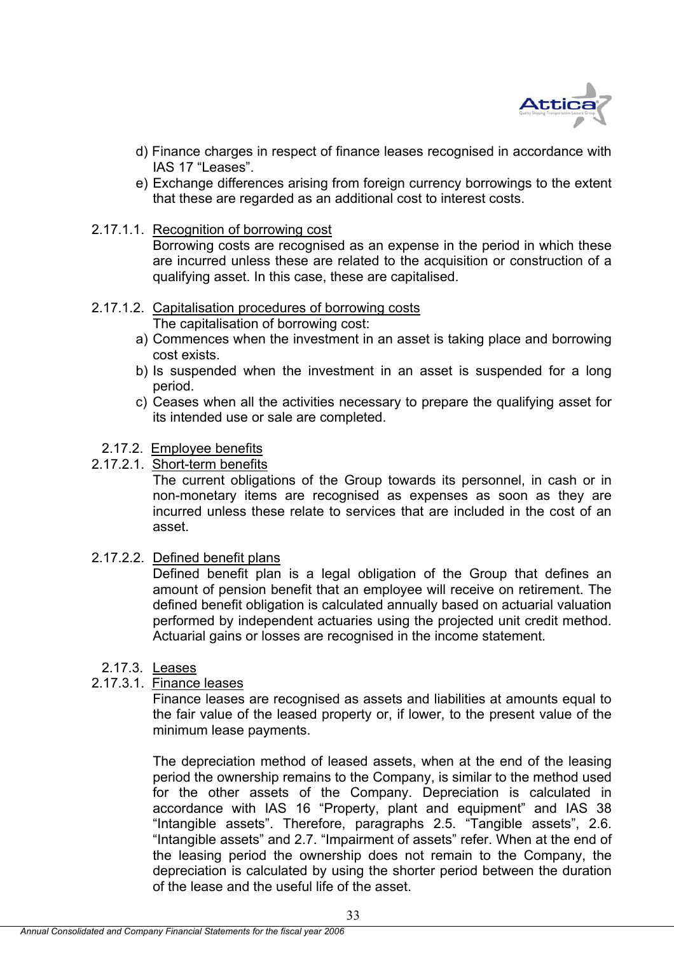

- d) Finance charges in respect of finance leases recognised in accordance with IAS 17 "Leases".
- e) Exchange differences arising from foreign currency borrowings to the extent that these are regarded as an additional cost to interest costs.
- 2.17.1.1. Recognition of borrowing cost

Borrowing costs are recognised as an expense in the period in which these are incurred unless these are related to the acquisition or construction of a qualifying asset. In this case, these are capitalised.

#### 2.17.1.2. Capitalisation procedures of borrowing costs The capitalisation of borrowing cost:

- a) Commences when the investment in an asset is taking place and borrowing cost exists.
- b) Is suspended when the investment in an asset is suspended for a long period.
- c) Ceases when all the activities necessary to prepare the qualifying asset for its intended use or sale are completed.

## 2.17.2. Employee benefits

2.17.2.1. Short-term benefits

 The current obligations of the Group towards its personnel, in cash or in non-monetary items are recognised as expenses as soon as they are incurred unless these relate to services that are included in the cost of an asset.

2.17.2.2. Defined benefit plans

 Defined benefit plan is a legal obligation of the Group that defines an amount of pension benefit that an employee will receive on retirement. The defined benefit obligation is calculated annually based on actuarial valuation performed by independent actuaries using the projected unit credit method. Actuarial gains or losses are recognised in the income statement.

2.17.3. Leases

## 2.17.3.1. Finance leases

Finance leases are recognised as assets and liabilities at amounts equal to the fair value of the leased property or, if lower, to the present value of the minimum lease payments.

The depreciation method of leased assets, when at the end of the leasing period the ownership remains to the Company, is similar to the method used for the other assets of the Company. Depreciation is calculated in accordance with IAS 16 "Property, plant and equipment" and IAS 38 "Intangible assets". Therefore, paragraphs 2.5. "Tangible assets", 2.6. "Intangible assets" and 2.7. "Impairment of assets" refer. When at the end of the leasing period the ownership does not remain to the Company, the depreciation is calculated by using the shorter period between the duration of the lease and the useful life of the asset.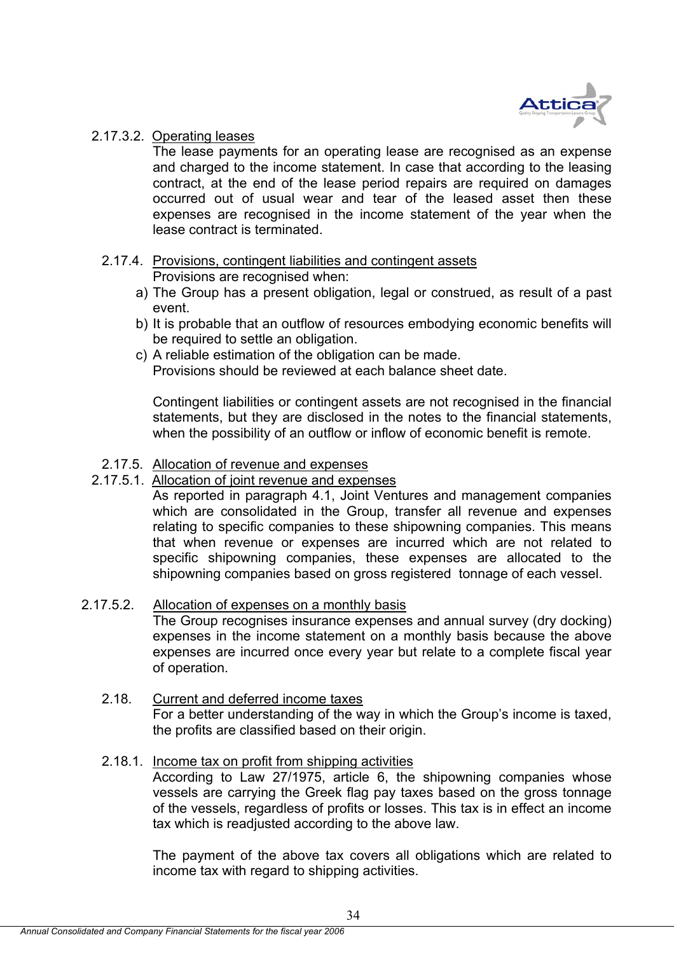

## 2.17.3.2. Operating leases

The lease payments for an operating lease are recognised as an expense and charged to the income statement. In case that according to the leasing contract, at the end of the lease period repairs are required on damages occurred out of usual wear and tear of the leased asset then these expenses are recognised in the income statement of the year when the lease contract is terminated.

## 2.17.4. Provisions, contingent liabilities and contingent assets Provisions are recognised when:

- a) The Group has a present obligation, legal or construed, as result of a past event.
- b) It is probable that an outflow of resources embodying economic benefits will be required to settle an obligation.
- c) A reliable estimation of the obligation can be made. Provisions should be reviewed at each balance sheet date.

 Contingent liabilities or contingent assets are not recognised in the financial statements, but they are disclosed in the notes to the financial statements, when the possibility of an outflow or inflow of economic benefit is remote.

## 2.17.5. Allocation of revenue and expenses

## 2.17.5.1. Allocation of joint revenue and expenses

As reported in paragraph 4.1, Joint Ventures and management companies which are consolidated in the Group, transfer all revenue and expenses relating to specific companies to these shipowning companies. This means that when revenue or expenses are incurred which are not related to specific shipowning companies, these expenses are allocated to the shipowning companies based on gross registered tonnage of each vessel.

## 2.17.5.2. Allocation of expenses on a monthly basis

The Group recognises insurance expenses and annual survey (dry docking) expenses in the income statement on a monthly basis because the above expenses are incurred once every year but relate to a complete fiscal year of operation.

## 2.18. Current and deferred income taxes

For a better understanding of the way in which the Group's income is taxed, the profits are classified based on their origin.

## 2.18.1. Income tax on profit from shipping activities

According to Law 27/1975, article 6, the shipowning companies whose vessels are carrying the Greek flag pay taxes based on the gross tonnage of the vessels, regardless of profits or losses. This tax is in effect an income tax which is readjusted according to the above law.

The payment of the above tax covers all obligations which are related to income tax with regard to shipping activities.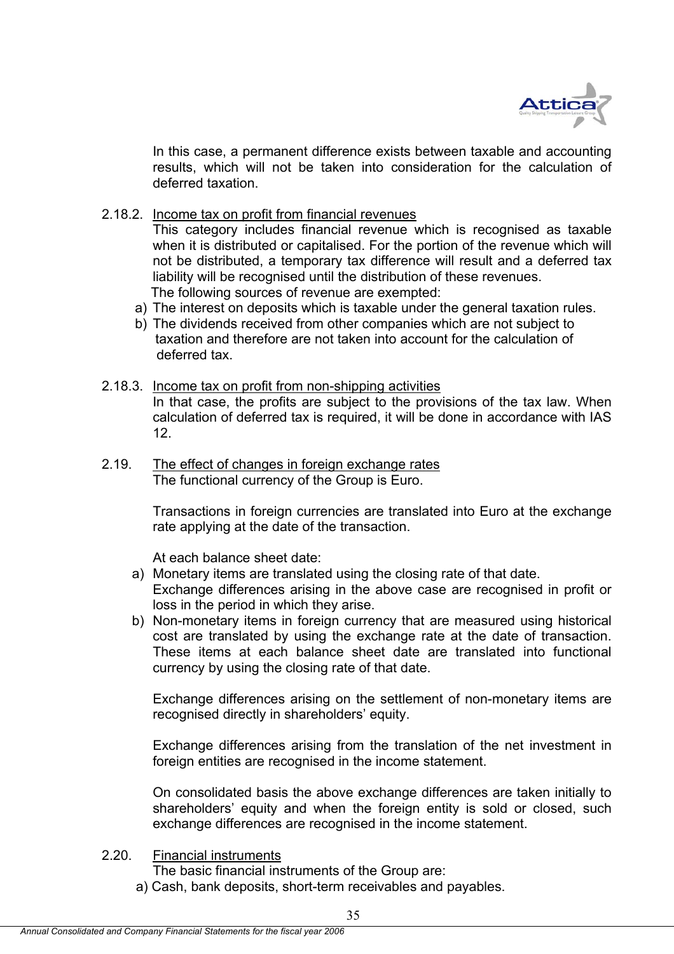

In this case, a permanent difference exists between taxable and accounting results, which will not be taken into consideration for the calculation of deferred taxation.

2.18.2. Income tax on profit from financial revenues

This category includes financial revenue which is recognised as taxable when it is distributed or capitalised. For the portion of the revenue which will not be distributed, a temporary tax difference will result and a deferred tax liability will be recognised until the distribution of these revenues. The following sources of revenue are exempted:

- a) The interest on deposits which is taxable under the general taxation rules.
- b) The dividends received from other companies which are not subject to taxation and therefore are not taken into account for the calculation of deferred tax.
- 2.18.3. Income tax on profit from non-shipping activities

In that case, the profits are subject to the provisions of the tax law. When calculation of deferred tax is required, it will be done in accordance with IAS 12.

2.19. The effect of changes in foreign exchange rates The functional currency of the Group is Euro.

> Transactions in foreign currencies are translated into Euro at the exchange rate applying at the date of the transaction.

At each balance sheet date:

- a) Monetary items are translated using the closing rate of that date. Exchange differences arising in the above case are recognised in profit or loss in the period in which they arise.
- b) Non-monetary items in foreign currency that are measured using historical cost are translated by using the exchange rate at the date of transaction. These items at each balance sheet date are translated into functional currency by using the closing rate of that date.

Exchange differences arising on the settlement of non-monetary items are recognised directly in shareholders' equity.

 Exchange differences arising from the translation of the net investment in foreign entities are recognised in the income statement.

On consolidated basis the above exchange differences are taken initially to shareholders' equity and when the foreign entity is sold or closed, such exchange differences are recognised in the income statement.

- 2.20. Financial instruments
	- The basic financial instruments of the Group are:
	- a) Cash, bank deposits, short-term receivables and payables.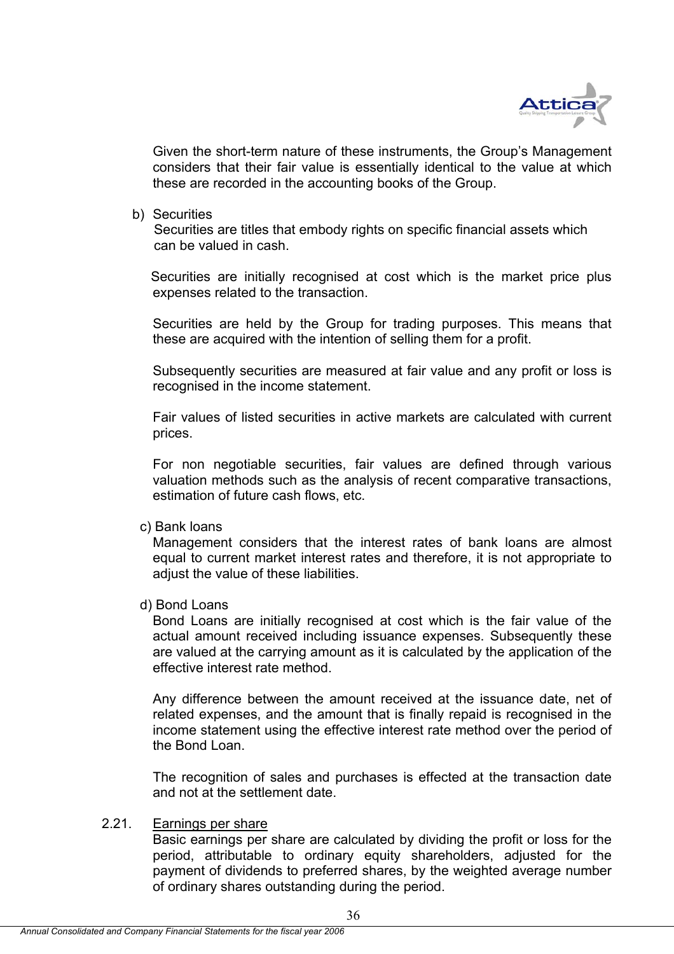

Given the short-term nature of these instruments, the Group's Management considers that their fair value is essentially identical to the value at which these are recorded in the accounting books of the Group.

b) Securities

 Securities are titles that embody rights on specific financial assets which can be valued in cash.

 Securities are initially recognised at cost which is the market price plus expenses related to the transaction.

Securities are held by the Group for trading purposes. This means that these are acquired with the intention of selling them for a profit.

Subsequently securities are measured at fair value and any profit or loss is recognised in the income statement.

 Fair values of listed securities in active markets are calculated with current prices.

For non negotiable securities, fair values are defined through various valuation methods such as the analysis of recent comparative transactions, estimation of future cash flows, etc.

c) Bank loans

 Management considers that the interest rates of bank loans are almost equal to current market interest rates and therefore, it is not appropriate to adjust the value of these liabilities.

d) Bond Loans

 Bond Loans are initially recognised at cost which is the fair value of the actual amount received including issuance expenses. Subsequently these are valued at the carrying amount as it is calculated by the application of the effective interest rate method.

Any difference between the amount received at the issuance date, net of related expenses, and the amount that is finally repaid is recognised in the income statement using the effective interest rate method over the period of the Bond Loan.

The recognition of sales and purchases is effected at the transaction date and not at the settlement date.

## 2.21. Earnings per share

Basic earnings per share are calculated by dividing the profit or loss for the period, attributable to ordinary equity shareholders, adjusted for the payment of dividends to preferred shares, by the weighted average number of ordinary shares outstanding during the period.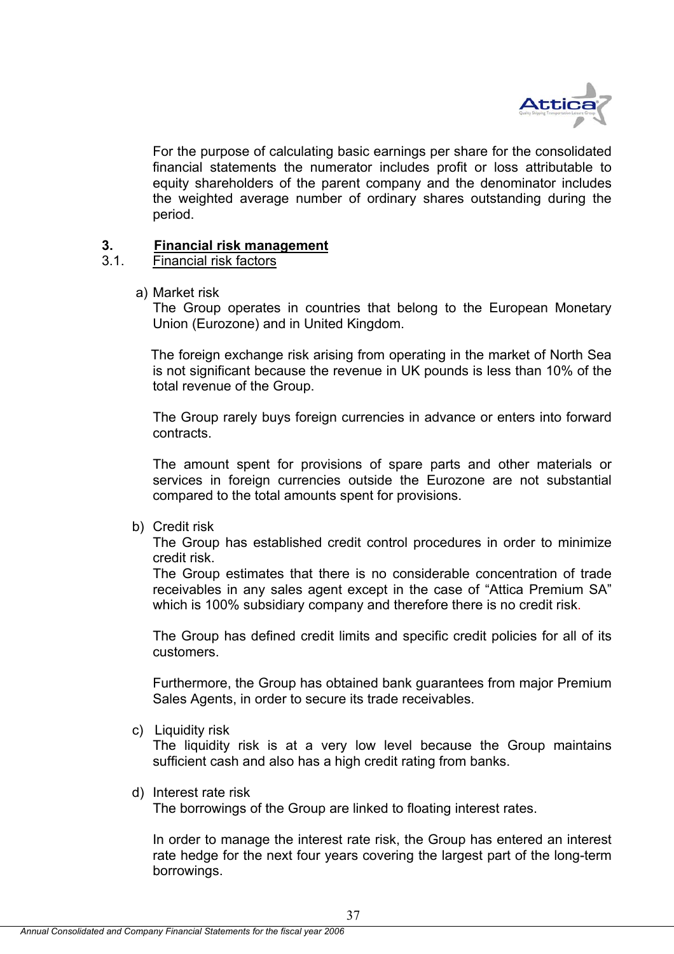

For the purpose of calculating basic earnings per share for the consolidated financial statements the numerator includes profit or loss attributable to equity shareholders of the parent company and the denominator includes the weighted average number of ordinary shares outstanding during the period.

## **3. Financial risk management**

## 3.1. Financial risk factors

a) Market risk

 The Group operates in countries that belong to the European Monetary Union (Eurozone) and in United Kingdom.

 The foreign exchange risk arising from operating in the market of North Sea is not significant because the revenue in UK pounds is less than 10% of the total revenue of the Group.

The Group rarely buys foreign currencies in advance or enters into forward contracts.

The amount spent for provisions of spare parts and other materials or services in foreign currencies outside the Eurozone are not substantial compared to the total amounts spent for provisions.

b) Credit risk

 The Group has established credit control procedures in order to minimize credit risk.

 The Group estimates that there is no considerable concentration of trade receivables in any sales agent except in the case of "Attica Premium SA" which is 100% subsidiary company and therefore there is no credit risk.

The Group has defined credit limits and specific credit policies for all of its customers.

 Furthermore, the Group has obtained bank guarantees from major Premium Sales Agents, in order to secure its trade receivables.

c) Liquidity risk

 The liquidity risk is at a very low level because the Group maintains sufficient cash and also has a high credit rating from banks.

d) Interest rate risk

The borrowings of the Group are linked to floating interest rates.

 In order to manage the interest rate risk, the Group has entered an interest rate hedge for the next four years covering the largest part of the long-term borrowings.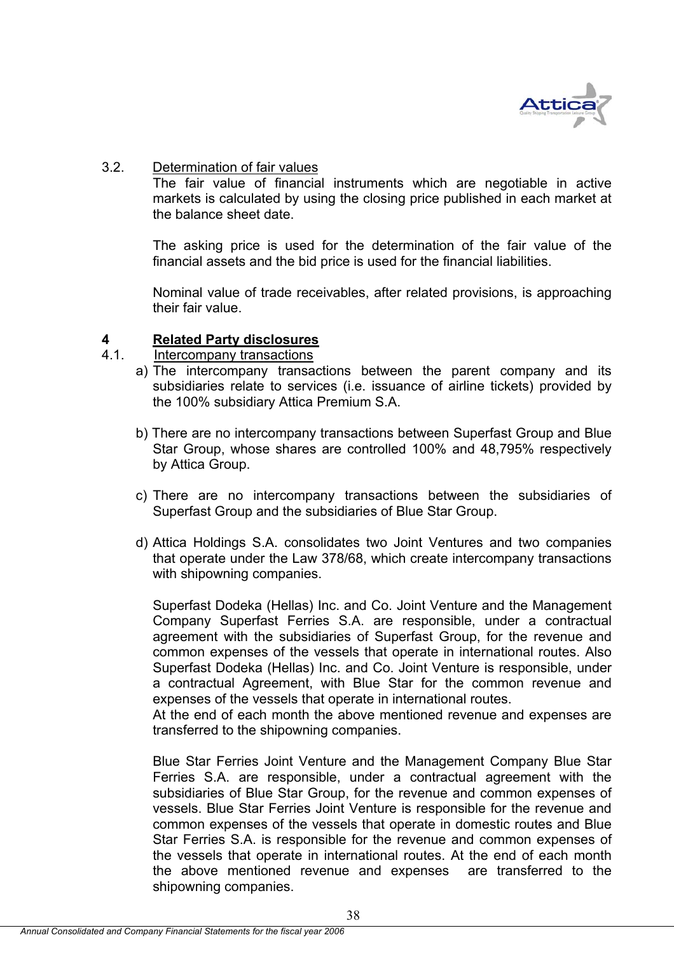

### 3.2. Determination of fair values

The fair value of financial instruments which are negotiable in active markets is calculated by using the closing price published in each market at the balance sheet date.

The asking price is used for the determination of the fair value of the financial assets and the bid price is used for the financial liabilities.

Nominal value of trade receivables, after related provisions, is approaching their fair value.

# **4 Related Party disclosures**

- Intercompany transactions
	- a) The intercompany transactions between the parent company and its subsidiaries relate to services (i.e. issuance of airline tickets) provided by the 100% subsidiary Attica Premium S.A.
	- b) There are no intercompany transactions between Superfast Group and Blue Star Group, whose shares are controlled 100% and 48,795% respectively by Attica Group.
	- c) There are no intercompany transactions between the subsidiaries of Superfast Group and the subsidiaries of Blue Star Group.
	- d) Attica Holdings S.A. consolidates two Joint Ventures and two companies that operate under the Law 378/68, which create intercompany transactions with shipowning companies.

Superfast Dodeka (Hellas) Inc. and Co. Joint Venture and the Management Company Superfast Ferries S.A. are responsible, under a contractual agreement with the subsidiaries of Superfast Group, for the revenue and common expenses of the vessels that operate in international routes. Also Superfast Dodeka (Hellas) Inc. and Co. Joint Venture is responsible, under a contractual Agreement, with Blue Star for the common revenue and expenses of the vessels that operate in international routes.

At the end of each month the above mentioned revenue and expenses are transferred to the shipowning companies.

Blue Star Ferries Joint Venture and the Management Company Blue Star Ferries S.A. are responsible, under a contractual agreement with the subsidiaries of Blue Star Group, for the revenue and common expenses of vessels. Blue Star Ferries Joint Venture is responsible for the revenue and common expenses of the vessels that operate in domestic routes and Blue Star Ferries S.A. is responsible for the revenue and common expenses of the vessels that operate in international routes. At the end of each month the above mentioned revenue and expenses are transferred to the shipowning companies.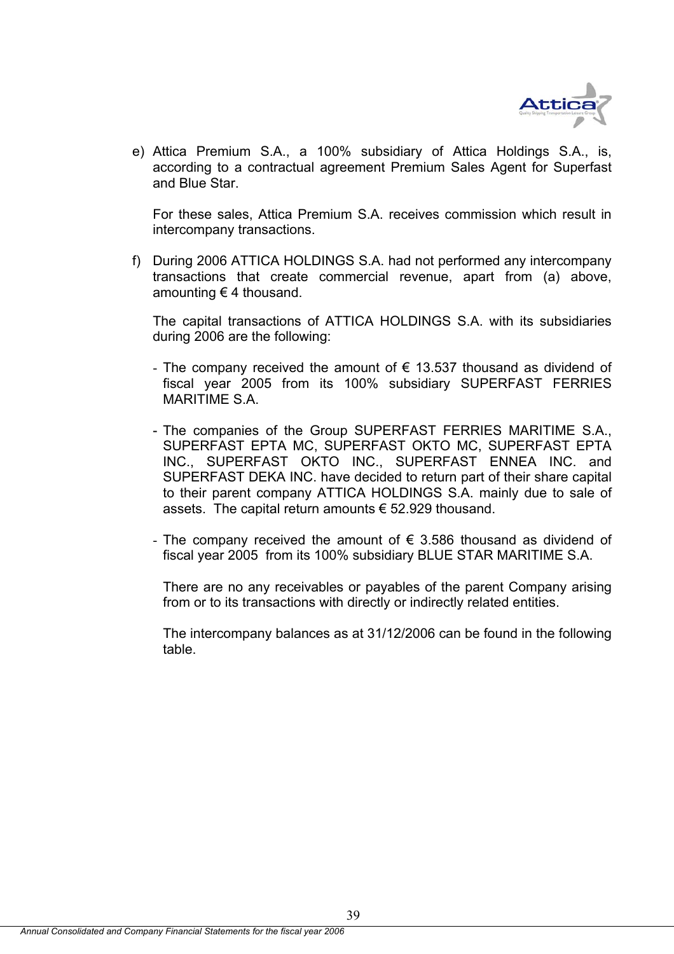

e) Attica Premium S.A., a 100% subsidiary of Attica Holdings S.A., is, according to a contractual agreement Premium Sales Agent for Superfast and Blue Star.

For these sales, Attica Premium S.A. receives commission which result in intercompany transactions.

f) During 2006 ATTICA HOLDINGS S.A. had not performed any intercompany transactions that create commercial revenue, apart from (a) above, amounting  $\epsilon$  4 thousand.

The capital transactions of ATTICA HOLDINGS S.A. with its subsidiaries during 2006 are the following:

- The company received the amount of  $\epsilon$  13.537 thousand as dividend of fiscal year 2005 from its 100% subsidiary SUPERFAST FERRIES MARITIME S.A.
- The companies of the Group SUPERFAST FERRIES MARITIME S.A., SUPERFAST EPTA MC, SUPERFAST OKTO MC, SUPERFAST EPTA INC., SUPERFAST OKTO INC., SUPERFAST ENNEA INC. and SUPERFAST DEKA INC. have decided to return part of their share capital to their parent company ATTICA HOLDINGS S.A. mainly due to sale of assets. The capital return amounts € 52.929 thousand.
- The company received the amount of  $\epsilon$  3.586 thousand as dividend of fiscal year 2005 from its 100% subsidiary BLUE STAR MARITIME S.A.

There are no any receivables or payables of the parent Company arising from or to its transactions with directly or indirectly related entities.

The intercompany balances as at 31/12/2006 can be found in the following table.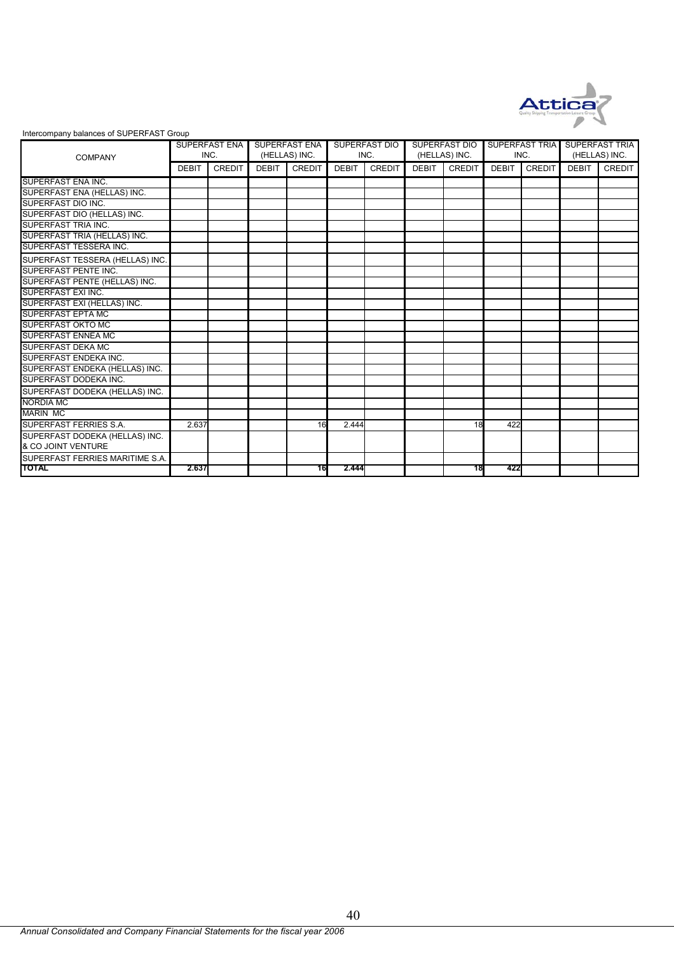

#### Intercompany balances of SUPERFAST Group

| <b>COMPANY</b>                  |              | SUPERFAST ENA<br>INC. |              | SUPERFAST ENA<br>(HELLAS) INC. |              | <b>SUPERFAST DIO</b><br>INC. |              | <b>SUPERFAST DIO</b><br>(HELLAS) INC. | SUPERFAST TRIA<br>INC. |               | <b>SUPERFAST TRIA</b><br>(HELLAS) INC. |               |
|---------------------------------|--------------|-----------------------|--------------|--------------------------------|--------------|------------------------------|--------------|---------------------------------------|------------------------|---------------|----------------------------------------|---------------|
|                                 | <b>DEBIT</b> | <b>CREDIT</b>         | <b>DEBIT</b> | <b>CREDIT</b>                  | <b>DEBIT</b> | <b>CREDIT</b>                | <b>DEBIT</b> | <b>CREDIT</b>                         | <b>DEBIT</b>           | <b>CREDIT</b> | <b>DEBIT</b>                           | <b>CREDIT</b> |
| SUPERFAST ENA INC.              |              |                       |              |                                |              |                              |              |                                       |                        |               |                                        |               |
| SUPERFAST ENA (HELLAS) INC.     |              |                       |              |                                |              |                              |              |                                       |                        |               |                                        |               |
| SUPERFAST DIO INC.              |              |                       |              |                                |              |                              |              |                                       |                        |               |                                        |               |
| SUPERFAST DIO (HELLAS) INC.     |              |                       |              |                                |              |                              |              |                                       |                        |               |                                        |               |
| SUPERFAST TRIA INC.             |              |                       |              |                                |              |                              |              |                                       |                        |               |                                        |               |
| SUPERFAST TRIA (HELLAS) INC.    |              |                       |              |                                |              |                              |              |                                       |                        |               |                                        |               |
| SUPERFAST TESSERA INC.          |              |                       |              |                                |              |                              |              |                                       |                        |               |                                        |               |
| SUPERFAST TESSERA (HELLAS) INC. |              |                       |              |                                |              |                              |              |                                       |                        |               |                                        |               |
| <b>SUPERFAST PENTE INC.</b>     |              |                       |              |                                |              |                              |              |                                       |                        |               |                                        |               |
| SUPERFAST PENTE (HELLAS) INC.   |              |                       |              |                                |              |                              |              |                                       |                        |               |                                        |               |
| SUPERFAST EXI INC.              |              |                       |              |                                |              |                              |              |                                       |                        |               |                                        |               |
| SUPERFAST EXI (HELLAS) INC.     |              |                       |              |                                |              |                              |              |                                       |                        |               |                                        |               |
| <b>SUPERFAST EPTA MC</b>        |              |                       |              |                                |              |                              |              |                                       |                        |               |                                        |               |
| <b>SUPERFAST OKTO MC</b>        |              |                       |              |                                |              |                              |              |                                       |                        |               |                                        |               |
| <b>SUPERFAST ENNEA MC</b>       |              |                       |              |                                |              |                              |              |                                       |                        |               |                                        |               |
| <b>SUPERFAST DEKA MC</b>        |              |                       |              |                                |              |                              |              |                                       |                        |               |                                        |               |
| SUPERFAST ENDEKA INC.           |              |                       |              |                                |              |                              |              |                                       |                        |               |                                        |               |
| SUPERFAST ENDEKA (HELLAS) INC.  |              |                       |              |                                |              |                              |              |                                       |                        |               |                                        |               |
| SUPERFAST DODEKA INC.           |              |                       |              |                                |              |                              |              |                                       |                        |               |                                        |               |
| SUPERFAST DODEKA (HELLAS) INC.  |              |                       |              |                                |              |                              |              |                                       |                        |               |                                        |               |
| <b>NORDIA MC</b>                |              |                       |              |                                |              |                              |              |                                       |                        |               |                                        |               |
| <b>MARIN MC</b>                 |              |                       |              |                                |              |                              |              |                                       |                        |               |                                        |               |
| <b>SUPERFAST FERRIES S.A.</b>   | 2.637        |                       |              | 16                             | 2.444        |                              |              | 18                                    | 422                    |               |                                        |               |
| SUPERFAST DODEKA (HELLAS) INC.  |              |                       |              |                                |              |                              |              |                                       |                        |               |                                        |               |
| & CO JOINT VENTURE              |              |                       |              |                                |              |                              |              |                                       |                        |               |                                        |               |
| SUPERFAST FERRIES MARITIME S.A. |              |                       |              |                                |              |                              |              |                                       |                        |               |                                        |               |
| <b>TOTAL</b>                    | 2.637        |                       |              | 16                             | 2.444        |                              |              | 18                                    | 422                    |               |                                        |               |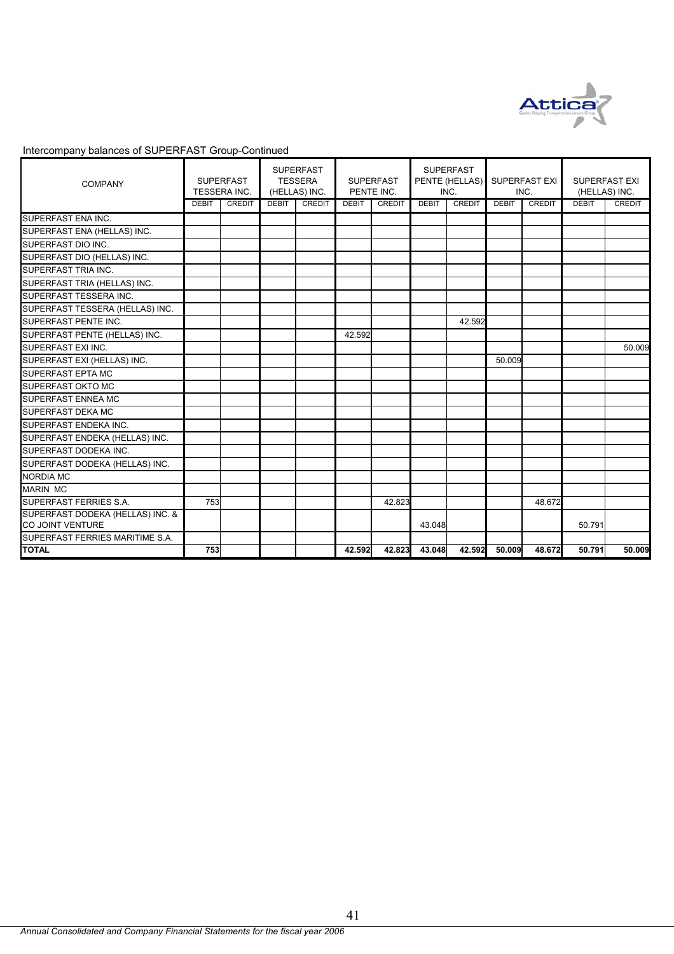

| <b>COMPANY</b>                                       | <b>SUPERFAST</b><br>TESSERA INC. |        |              | <b>SUPERFAST</b><br><b>TESSERA</b><br>(HELLAS) INC. | <b>SUPERFAST</b><br>PENTE INC. |               | <b>SUPERFAST</b><br>PENTE (HELLAS)<br>INC. |               | <b>SUPERFAST EXI</b><br>INC. |        | <b>SUPERFAST EXI</b><br>(HELLAS) INC. |        |
|------------------------------------------------------|----------------------------------|--------|--------------|-----------------------------------------------------|--------------------------------|---------------|--------------------------------------------|---------------|------------------------------|--------|---------------------------------------|--------|
|                                                      | <b>DEBIT</b>                     | CREDIT | <b>DEBIT</b> | <b>CREDIT</b>                                       | <b>DEBIT</b>                   | <b>CREDIT</b> | <b>DEBIT</b>                               | <b>CREDIT</b> | <b>DEBIT</b>                 | CREDIT | <b>DEBIT</b>                          | CREDIT |
| SUPERFAST ENA INC.                                   |                                  |        |              |                                                     |                                |               |                                            |               |                              |        |                                       |        |
| SUPERFAST ENA (HELLAS) INC.                          |                                  |        |              |                                                     |                                |               |                                            |               |                              |        |                                       |        |
| SUPERFAST DIO INC.                                   |                                  |        |              |                                                     |                                |               |                                            |               |                              |        |                                       |        |
| SUPERFAST DIO (HELLAS) INC.                          |                                  |        |              |                                                     |                                |               |                                            |               |                              |        |                                       |        |
| <b>SUPERFAST TRIA INC.</b>                           |                                  |        |              |                                                     |                                |               |                                            |               |                              |        |                                       |        |
| SUPERFAST TRIA (HELLAS) INC.                         |                                  |        |              |                                                     |                                |               |                                            |               |                              |        |                                       |        |
| SUPERFAST TESSERA INC.                               |                                  |        |              |                                                     |                                |               |                                            |               |                              |        |                                       |        |
| SUPERFAST TESSERA (HELLAS) INC.                      |                                  |        |              |                                                     |                                |               |                                            |               |                              |        |                                       |        |
| SUPERFAST PENTE INC.                                 |                                  |        |              |                                                     |                                |               |                                            | 42.592        |                              |        |                                       |        |
| SUPERFAST PENTE (HELLAS) INC.                        |                                  |        |              |                                                     | 42.592                         |               |                                            |               |                              |        |                                       |        |
| SUPERFAST EXI INC.                                   |                                  |        |              |                                                     |                                |               |                                            |               |                              |        |                                       | 50.009 |
| SUPERFAST EXI (HELLAS) INC.                          |                                  |        |              |                                                     |                                |               |                                            |               | 50.009                       |        |                                       |        |
| <b>SUPERFAST EPTA MC</b>                             |                                  |        |              |                                                     |                                |               |                                            |               |                              |        |                                       |        |
| SUPERFAST OKTO MC                                    |                                  |        |              |                                                     |                                |               |                                            |               |                              |        |                                       |        |
| <b>SUPERFAST ENNEA MC</b>                            |                                  |        |              |                                                     |                                |               |                                            |               |                              |        |                                       |        |
| <b>SUPERFAST DEKA MC</b>                             |                                  |        |              |                                                     |                                |               |                                            |               |                              |        |                                       |        |
| SUPERFAST ENDEKA INC.                                |                                  |        |              |                                                     |                                |               |                                            |               |                              |        |                                       |        |
| SUPERFAST ENDEKA (HELLAS) INC.                       |                                  |        |              |                                                     |                                |               |                                            |               |                              |        |                                       |        |
| SUPERFAST DODEKA INC.                                |                                  |        |              |                                                     |                                |               |                                            |               |                              |        |                                       |        |
| SUPERFAST DODEKA (HELLAS) INC.                       |                                  |        |              |                                                     |                                |               |                                            |               |                              |        |                                       |        |
| <b>NORDIA MC</b>                                     |                                  |        |              |                                                     |                                |               |                                            |               |                              |        |                                       |        |
| <b>MARIN MC</b>                                      |                                  |        |              |                                                     |                                |               |                                            |               |                              |        |                                       |        |
| SUPERFAST FERRIES S.A.                               | 753                              |        |              |                                                     |                                | 42.823        |                                            |               |                              | 48.672 |                                       |        |
| SUPERFAST DODEKA (HELLAS) INC. &<br>CO JOINT VENTURE |                                  |        |              |                                                     |                                |               | 43.048                                     |               |                              |        | 50.791                                |        |
| SUPERFAST FERRIES MARITIME S.A.                      |                                  |        |              |                                                     |                                |               |                                            |               |                              |        |                                       |        |
| <b>TOTAL</b>                                         | 753                              |        |              |                                                     | 42.592                         | 42.823        | 43.048                                     | 42.592        | 50.009                       | 48.672 | 50.791                                | 50.009 |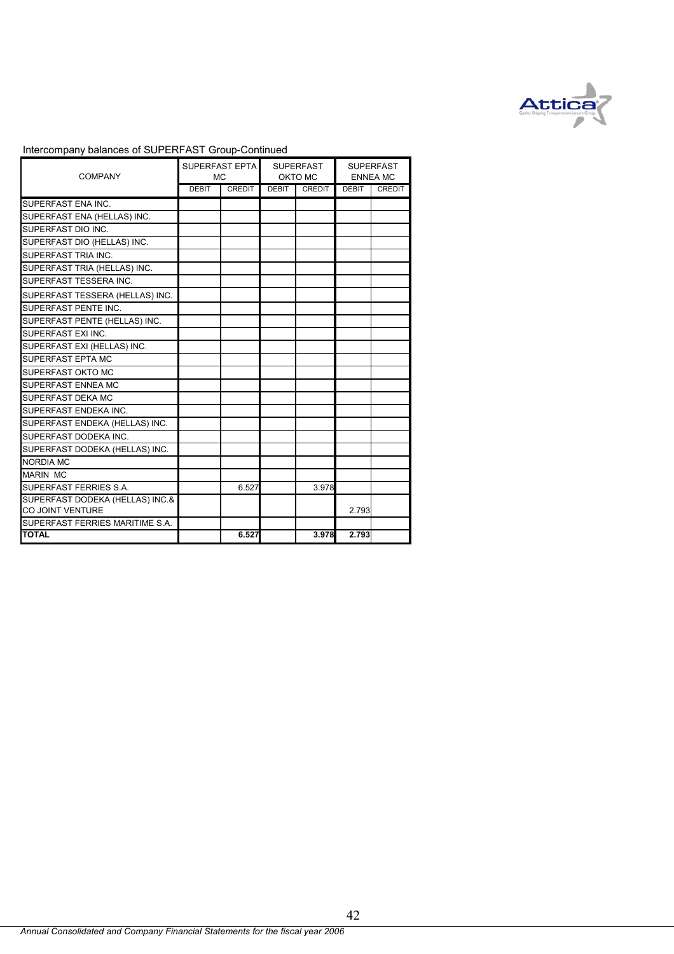

| <b>COMPANY</b>                                      | SUPERFAST EPTA<br><b>MC</b> |               |       | <b>SUPERFAST</b><br>OKTO MC | <b>SUPERFAST</b><br><b>ENNEA MC</b> |               |
|-----------------------------------------------------|-----------------------------|---------------|-------|-----------------------------|-------------------------------------|---------------|
|                                                     | <b>DEBIT</b>                | <b>CREDIT</b> | DEBIT | <b>CREDIT</b>               | <b>DEBIT</b>                        | <b>CREDIT</b> |
| SUPERFAST ENA INC.                                  |                             |               |       |                             |                                     |               |
| SUPERFAST ENA (HELLAS) INC.                         |                             |               |       |                             |                                     |               |
| SUPERFAST DIO INC.                                  |                             |               |       |                             |                                     |               |
| SUPERFAST DIO (HELLAS) INC.                         |                             |               |       |                             |                                     |               |
| SUPERFAST TRIA INC.                                 |                             |               |       |                             |                                     |               |
| SUPERFAST TRIA (HELLAS) INC.                        |                             |               |       |                             |                                     |               |
| SUPERFAST TESSERA INC.                              |                             |               |       |                             |                                     |               |
| SUPERFAST TESSERA (HELLAS) INC.                     |                             |               |       |                             |                                     |               |
| SUPERFAST PENTE INC.                                |                             |               |       |                             |                                     |               |
| SUPERFAST PENTE (HELLAS) INC.                       |                             |               |       |                             |                                     |               |
| SUPERFAST EXI INC.                                  |                             |               |       |                             |                                     |               |
| SUPERFAST EXI (HELLAS) INC.                         |                             |               |       |                             |                                     |               |
| SUPERFAST EPTA MC                                   |                             |               |       |                             |                                     |               |
| <b>SUPERFAST OKTO MC</b>                            |                             |               |       |                             |                                     |               |
| <b>SUPERFAST ENNEA MC</b>                           |                             |               |       |                             |                                     |               |
| <b>SUPERFAST DEKA MC</b>                            |                             |               |       |                             |                                     |               |
| SUPERFAST ENDEKA INC.                               |                             |               |       |                             |                                     |               |
| SUPERFAST ENDEKA (HELLAS) INC.                      |                             |               |       |                             |                                     |               |
| SUPERFAST DODEKA INC.                               |                             |               |       |                             |                                     |               |
| SUPERFAST DODEKA (HELLAS) INC.                      |                             |               |       |                             |                                     |               |
| <b>NORDIA MC</b>                                    |                             |               |       |                             |                                     |               |
| <b>MARIN MC</b>                                     |                             |               |       |                             |                                     |               |
| SUPERFAST FERRIES S.A.                              |                             | 6.527         |       | 3.978                       |                                     |               |
| SUPERFAST DODEKA (HELLAS) INC.&<br>CO JOINT VENTURE |                             |               |       |                             | 2.793                               |               |
| SUPERFAST FERRIES MARITIME S.A.                     |                             |               |       |                             |                                     |               |
| <b>TOTAL</b>                                        |                             | 6.527         |       | 3.978                       | 2.793                               |               |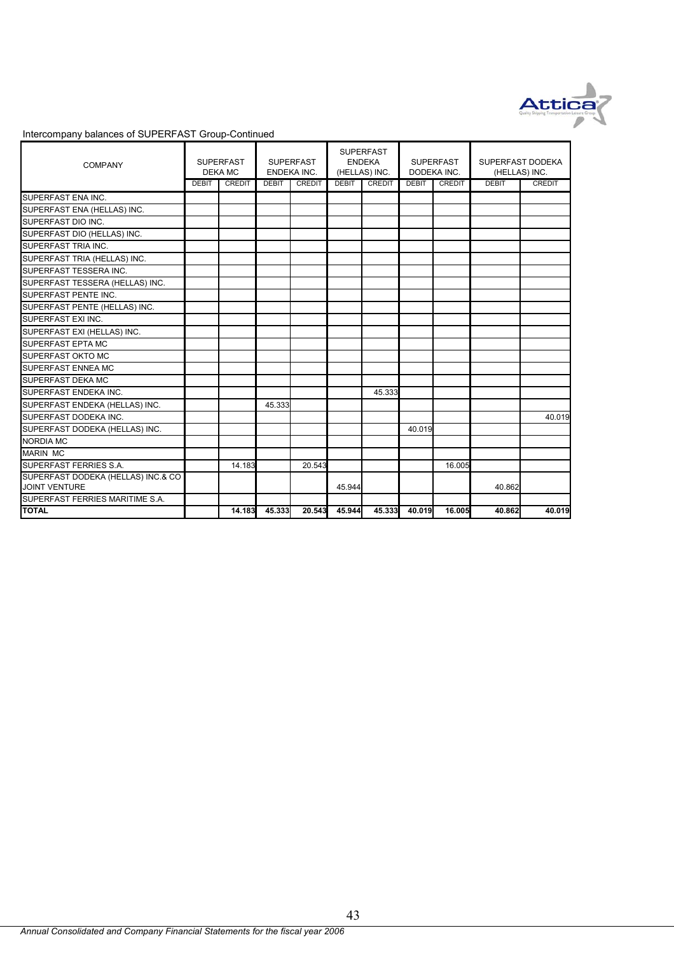

| <b>COMPANY</b>                                             | <b>SUPERFAST</b><br><b>DEKA MC</b> |               | <b>SUPERFAST</b><br>ENDEKA INC. |               | <b>SUPERFAST</b><br><b>ENDEKA</b><br>(HELLAS) INC. |               | <b>SUPERFAST</b><br>DODEKA INC. |               | SUPERFAST DODEKA<br>(HELLAS) INC. |               |
|------------------------------------------------------------|------------------------------------|---------------|---------------------------------|---------------|----------------------------------------------------|---------------|---------------------------------|---------------|-----------------------------------|---------------|
|                                                            | <b>DEBIT</b>                       | <b>CREDIT</b> | <b>DEBIT</b>                    | <b>CREDIT</b> | <b>DEBIT</b>                                       | <b>CREDIT</b> | <b>DEBIT</b>                    | <b>CREDIT</b> | <b>DEBIT</b>                      | <b>CREDIT</b> |
| SUPERFAST ENA INC.                                         |                                    |               |                                 |               |                                                    |               |                                 |               |                                   |               |
| SUPERFAST ENA (HELLAS) INC.                                |                                    |               |                                 |               |                                                    |               |                                 |               |                                   |               |
| SUPERFAST DIO INC.                                         |                                    |               |                                 |               |                                                    |               |                                 |               |                                   |               |
| SUPERFAST DIO (HELLAS) INC.                                |                                    |               |                                 |               |                                                    |               |                                 |               |                                   |               |
| SUPERFAST TRIA INC.                                        |                                    |               |                                 |               |                                                    |               |                                 |               |                                   |               |
| SUPERFAST TRIA (HELLAS) INC.                               |                                    |               |                                 |               |                                                    |               |                                 |               |                                   |               |
| SUPERFAST TESSERA INC.                                     |                                    |               |                                 |               |                                                    |               |                                 |               |                                   |               |
| SUPERFAST TESSERA (HELLAS) INC.                            |                                    |               |                                 |               |                                                    |               |                                 |               |                                   |               |
| SUPERFAST PENTE INC.                                       |                                    |               |                                 |               |                                                    |               |                                 |               |                                   |               |
| SUPERFAST PENTE (HELLAS) INC.                              |                                    |               |                                 |               |                                                    |               |                                 |               |                                   |               |
| SUPERFAST EXI INC.                                         |                                    |               |                                 |               |                                                    |               |                                 |               |                                   |               |
| SUPERFAST EXI (HELLAS) INC.                                |                                    |               |                                 |               |                                                    |               |                                 |               |                                   |               |
| SUPERFAST EPTA MC                                          |                                    |               |                                 |               |                                                    |               |                                 |               |                                   |               |
| SUPERFAST OKTO MC                                          |                                    |               |                                 |               |                                                    |               |                                 |               |                                   |               |
| <b>SUPERFAST ENNEA MC</b>                                  |                                    |               |                                 |               |                                                    |               |                                 |               |                                   |               |
| <b>SUPERFAST DEKA MC</b>                                   |                                    |               |                                 |               |                                                    |               |                                 |               |                                   |               |
| SUPERFAST ENDEKA INC.                                      |                                    |               |                                 |               |                                                    | 45.333        |                                 |               |                                   |               |
| SUPERFAST ENDEKA (HELLAS) INC.                             |                                    |               | 45.333                          |               |                                                    |               |                                 |               |                                   |               |
| SUPERFAST DODEKA INC.                                      |                                    |               |                                 |               |                                                    |               |                                 |               |                                   | 40.019        |
| SUPERFAST DODEKA (HELLAS) INC.                             |                                    |               |                                 |               |                                                    |               | 40.019                          |               |                                   |               |
| <b>NORDIA MC</b>                                           |                                    |               |                                 |               |                                                    |               |                                 |               |                                   |               |
| <b>MARIN MC</b>                                            |                                    |               |                                 |               |                                                    |               |                                 |               |                                   |               |
| SUPERFAST FERRIES S.A.                                     |                                    | 14.183        |                                 | 20.543        |                                                    |               |                                 | 16.005        |                                   |               |
| SUPERFAST DODEKA (HELLAS) INC.& CO<br><b>JOINT VENTURE</b> |                                    |               |                                 |               | 45.944                                             |               |                                 |               | 40.862                            |               |
| SUPERFAST FERRIES MARITIME S.A.                            |                                    |               |                                 |               |                                                    |               |                                 |               |                                   |               |
| <b>TOTAL</b>                                               |                                    | 14.183        | 45.333                          | 20.543        | 45.944                                             | 45.333        | 40.019                          | 16.005        | 40.862                            | 40.019        |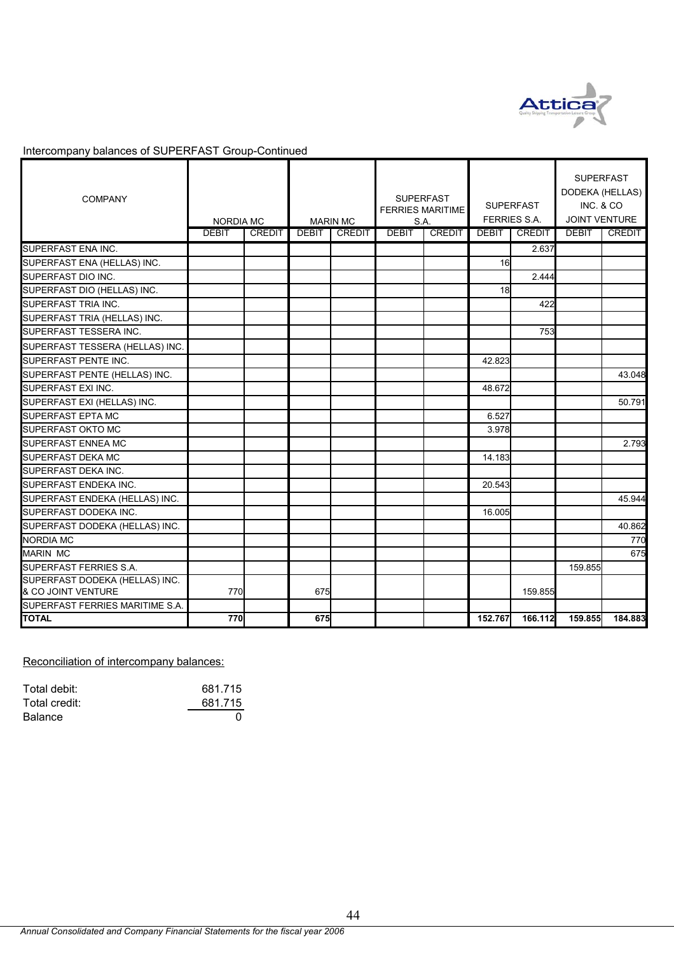

| <b>COMPANY</b>                  | NORDIA MC    |               | <b>MARIN MC</b> |               | <b>SUPERFAST</b><br><b>FERRIES MARITIME</b><br>S.A. |               | <b>SUPERFAST</b><br><b>FERRIES S.A.</b> |               | <b>SUPERFAST</b><br>DODEKA (HELLAS)<br>INC. & CO<br><b>JOINT VENTURE</b> |               |
|---------------------------------|--------------|---------------|-----------------|---------------|-----------------------------------------------------|---------------|-----------------------------------------|---------------|--------------------------------------------------------------------------|---------------|
|                                 | <b>DEBIT</b> | <b>CREDIT</b> | <b>DEBIT</b>    | <b>CREDIT</b> | <b>DEBIT</b>                                        | <b>CREDIT</b> | <b>DEBIT</b>                            | <b>CREDIT</b> | <b>DEBIT</b>                                                             | <b>CREDIT</b> |
| SUPERFAST ENA INC.              |              |               |                 |               |                                                     |               |                                         | 2.637         |                                                                          |               |
| SUPERFAST ENA (HELLAS) INC.     |              |               |                 |               |                                                     |               | 16                                      |               |                                                                          |               |
| SUPERFAST DIO INC.              |              |               |                 |               |                                                     |               |                                         | 2.444         |                                                                          |               |
| SUPERFAST DIO (HELLAS) INC.     |              |               |                 |               |                                                     |               | 18                                      |               |                                                                          |               |
| <b>SUPERFAST TRIA INC.</b>      |              |               |                 |               |                                                     |               |                                         | 422           |                                                                          |               |
| SUPERFAST TRIA (HELLAS) INC.    |              |               |                 |               |                                                     |               |                                         |               |                                                                          |               |
| SUPERFAST TESSERA INC.          |              |               |                 |               |                                                     |               |                                         | 753           |                                                                          |               |
| SUPERFAST TESSERA (HELLAS) INC. |              |               |                 |               |                                                     |               |                                         |               |                                                                          |               |
| <b>SUPERFAST PENTE INC.</b>     |              |               |                 |               |                                                     |               | 42.823                                  |               |                                                                          |               |
| SUPERFAST PENTE (HELLAS) INC.   |              |               |                 |               |                                                     |               |                                         |               |                                                                          | 43.048        |
| SUPERFAST EXI INC.              |              |               |                 |               |                                                     |               | 48.672                                  |               |                                                                          |               |
| SUPERFAST EXI (HELLAS) INC.     |              |               |                 |               |                                                     |               |                                         |               |                                                                          | 50.791        |
| <b>SUPERFAST EPTA MC</b>        |              |               |                 |               |                                                     |               | 6.527                                   |               |                                                                          |               |
| <b>SUPERFAST OKTO MC</b>        |              |               |                 |               |                                                     |               | 3.978                                   |               |                                                                          |               |
| SUPERFAST ENNEA MC              |              |               |                 |               |                                                     |               |                                         |               |                                                                          | 2.793         |
| <b>SUPERFAST DEKA MC</b>        |              |               |                 |               |                                                     |               | 14.183                                  |               |                                                                          |               |
| SUPERFAST DEKA INC.             |              |               |                 |               |                                                     |               |                                         |               |                                                                          |               |
| SUPERFAST ENDEKA INC.           |              |               |                 |               |                                                     |               | 20.543                                  |               |                                                                          |               |
| SUPERFAST ENDEKA (HELLAS) INC.  |              |               |                 |               |                                                     |               |                                         |               |                                                                          | 45.944        |
| SUPERFAST DODEKA INC.           |              |               |                 |               |                                                     |               | 16.005                                  |               |                                                                          |               |
| SUPERFAST DODEKA (HELLAS) INC.  |              |               |                 |               |                                                     |               |                                         |               |                                                                          | 40.862        |
| <b>NORDIA MC</b>                |              |               |                 |               |                                                     |               |                                         |               |                                                                          | 770           |
| <b>MARIN MC</b>                 |              |               |                 |               |                                                     |               |                                         |               |                                                                          | 675           |
| <b>SUPERFAST FERRIES S.A.</b>   |              |               |                 |               |                                                     |               |                                         |               | 159.855                                                                  |               |
| SUPERFAST DODEKA (HELLAS) INC.  |              |               |                 |               |                                                     |               |                                         |               |                                                                          |               |
| & CO JOINT VENTURE              | 770          |               | 675             |               |                                                     |               |                                         | 159.855       |                                                                          |               |
| SUPERFAST FERRIES MARITIME S.A. |              |               |                 |               |                                                     |               |                                         |               |                                                                          |               |
| <b>TOTAL</b>                    | 770          |               | 675             |               |                                                     |               | 152.767                                 | 166.112       | 159.855                                                                  | 184.883       |

## Reconciliation of intercompany balances:

| Total debit:   | 681.715 |
|----------------|---------|
| Total credit:  | 681.715 |
| <b>Balance</b> |         |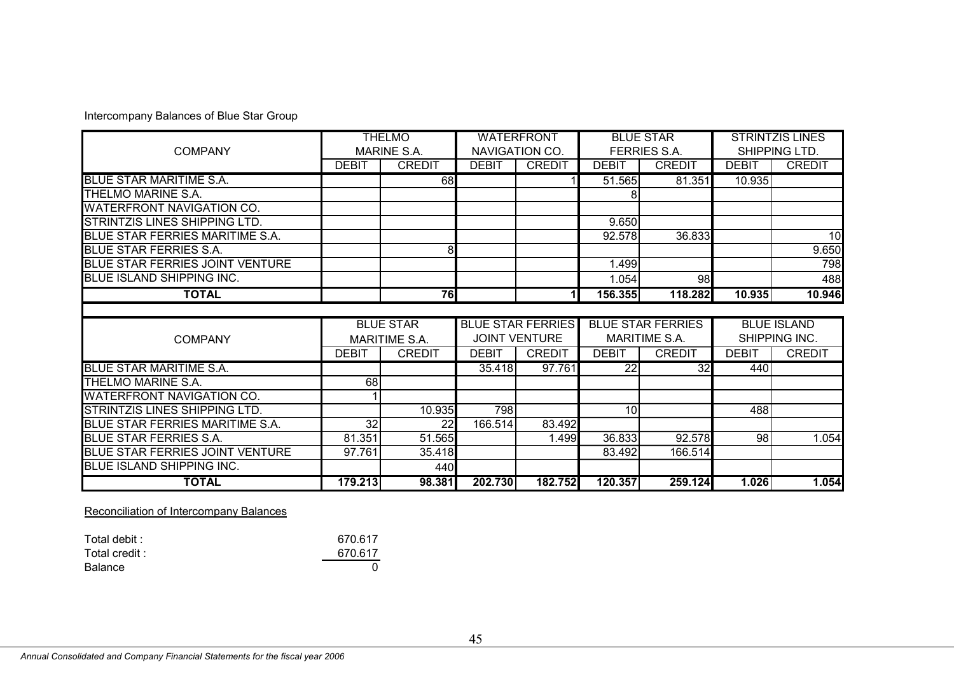|                                        |                 | <b>THELMO</b>      |              | <b>WATERFRONT</b>        |              | <b>BLUE STAR</b>         |              | <b>STRINTZIS LINES</b> |
|----------------------------------------|-----------------|--------------------|--------------|--------------------------|--------------|--------------------------|--------------|------------------------|
| <b>COMPANY</b>                         |                 | <b>MARINE S.A.</b> |              | NAVIGATION CO.           |              | <b>FERRIES S.A.</b>      |              | SHIPPING LTD.          |
|                                        | <b>DEBIT</b>    | <b>CREDIT</b>      | <b>DEBIT</b> | <b>CREDIT</b>            | <b>DEBIT</b> | <b>CREDIT</b>            | <b>DEBIT</b> | <b>CREDIT</b>          |
| <b>BLUE STAR MARITIME S.A.</b>         |                 | 68                 |              |                          | 51.565       | 81.351                   | 10.935       |                        |
| THELMO MARINE S.A.                     |                 |                    |              |                          |              |                          |              |                        |
| <b>WATERFRONT NAVIGATION CO.</b>       |                 |                    |              |                          |              |                          |              |                        |
| <b>STRINTZIS LINES SHIPPING LTD.</b>   |                 |                    |              |                          | 9.650        |                          |              |                        |
| BLUE STAR FERRIES MARITIME S.A.        |                 |                    |              |                          | 92.578       | 36.833                   |              | 10                     |
| <b>BLUE STAR FERRIES S.A.</b>          |                 | 8                  |              |                          |              |                          |              | 9.650                  |
| <b>BLUE STAR FERRIES JOINT VENTURE</b> |                 |                    |              |                          | 1.499        |                          |              | 798                    |
| <b>BLUE ISLAND SHIPPING INC.</b>       |                 |                    |              |                          | 1.054        | 98                       |              | 488                    |
| <b>TOTAL</b>                           |                 | 76                 |              | 11                       | 156.355      | 118.282                  | 10.935       | 10.946                 |
|                                        |                 |                    |              |                          |              |                          |              |                        |
|                                        |                 |                    |              |                          |              |                          |              |                        |
|                                        |                 | <b>BLUE STAR</b>   |              | <b>BLUE STAR FERRIES</b> |              | <b>BLUE STAR FERRIES</b> |              | <b>BLUE ISLAND</b>     |
| <b>COMPANY</b>                         |                 | MARITIME S.A.      |              | <b>JOINT VENTURE</b>     |              | <b>MARITIME S.A.</b>     |              | SHIPPING INC.          |
|                                        | <b>DEBIT</b>    | <b>CREDIT</b>      | <b>DEBIT</b> | <b>CREDIT</b>            | <b>DEBIT</b> | <b>CREDIT</b>            | <b>DEBIT</b> | <b>CREDIT</b>          |
| <b>BLUE STAR MARITIME S.A.</b>         |                 |                    | 35.418       | 97.761                   | 22           | 32                       | 440          |                        |
| THELMO MARINE S.A.                     | 68              |                    |              |                          |              |                          |              |                        |
| <b>WATERFRONT NAVIGATION CO.</b>       |                 |                    |              |                          |              |                          |              |                        |
| STRINTZIS LINES SHIPPING LTD.          |                 | 10.935             | 798          |                          | 10           |                          | 488          |                        |
| BLUE STAR FERRIES MARITIME S.A.        | $\overline{32}$ | 22                 | 166.514      | 83.492                   |              |                          |              |                        |
| <b>BLUE STAR FERRIES S.A.</b>          | 81.351          | 51.565             |              | 1.499                    | 36.833       | 92.578                   | 98           | 1.054                  |
| BLUE STAR FERRIES JOINT VENTURE        | 97.761          | 35.418             |              |                          | 83.492       | 166.514                  |              |                        |
| BLUE ISLAND SHIPPING INC.              |                 | 440                |              |                          |              |                          |              |                        |

Reconciliation of Intercompany Balances

| Total debit :  | 670.617 |
|----------------|---------|
| Total credit : | 670.617 |
| Balance        |         |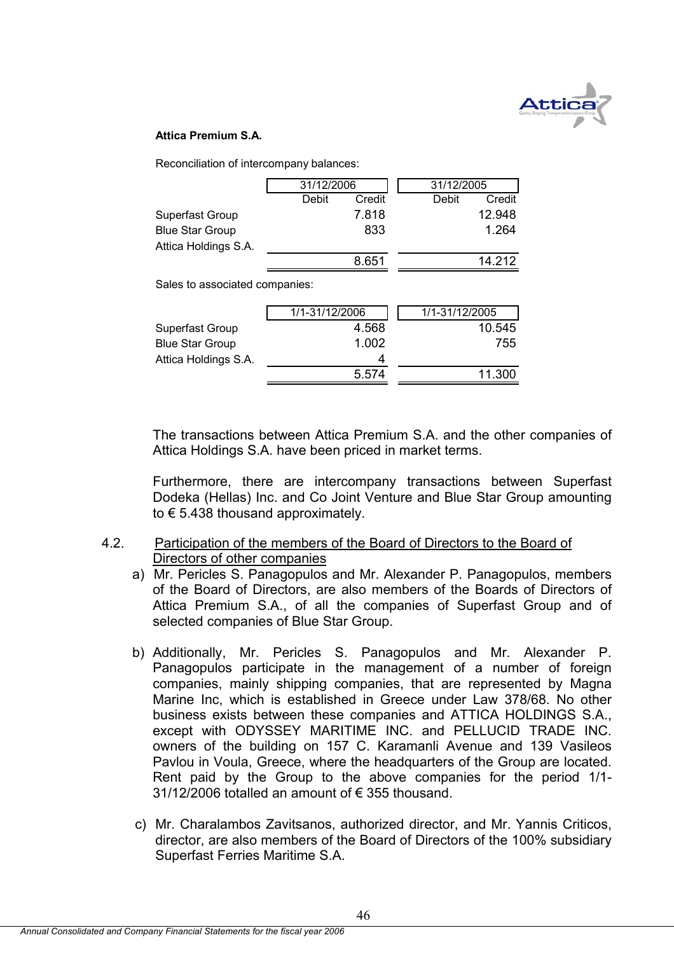

#### **Attica Premium S.A.**

Reconciliation of intercompany balances:

|                        | 31/12/2006 |        |       | 31/12/2005 |  |  |
|------------------------|------------|--------|-------|------------|--|--|
|                        | Debit      | Credit | Debit | Credit     |  |  |
| Superfast Group        |            | 7.818  |       | 12.948     |  |  |
| <b>Blue Star Group</b> |            | 833    |       | 1.264      |  |  |
| Attica Holdings S.A.   |            |        |       |            |  |  |
|                        |            | 8.651  |       | 14 212     |  |  |

Sales to associated companies:

|                        | 1/1-31/12/2006 | 1/1-31/12/2005 |
|------------------------|----------------|----------------|
| Superfast Group        | 4.568          | 10.545         |
| <b>Blue Star Group</b> | 1.002          | 755            |
| Attica Holdings S.A.   | Δ              |                |
|                        | 5.574          | 11.300         |

The transactions between Attica Premium S.A. and the other companies of Attica Holdings S.A. have been priced in market terms.

Furthermore, there are intercompany transactions between Superfast Dodeka (Hellas) Inc. and Co Joint Venture and Blue Star Group amounting to € 5.438 thousand approximately.

### 4.2. Participation of the members of the Board of Directors to the Board of Directors of other companies

- a) Mr. Pericles S. Panagopulos and Mr. Alexander P. Panagopulos, members of the Board of Directors, are also members of the Boards of Directors of Attica Premium S.A., of all the companies of Superfast Group and of selected companies of Blue Star Group.
- b) Additionally, Mr. Pericles S. Panagopulos and Mr. Alexander P. Panagopulos participate in the management of a number of foreign companies, mainly shipping companies, that are represented by Magna Marine Inc, which is established in Greece under Law 378/68. No other business exists between these companies and ATTICA HOLDINGS S.A., except with ODYSSEY MARITIME INC. and PELLUCID TRADE INC. owners of the building on 157 C. Karamanli Avenue and 139 Vasileos Pavlou in Voula, Greece, where the headquarters of the Group are located. Rent paid by the Group to the above companies for the period 1/1-  $31/12/2006$  totalled an amount of  $\epsilon$  355 thousand.
- c) Mr. Charalambos Zavitsanos, authorized director, and Mr. Yannis Criticos, director, are also members of the Board of Directors of the 100% subsidiary Superfast Ferries Maritime S.A.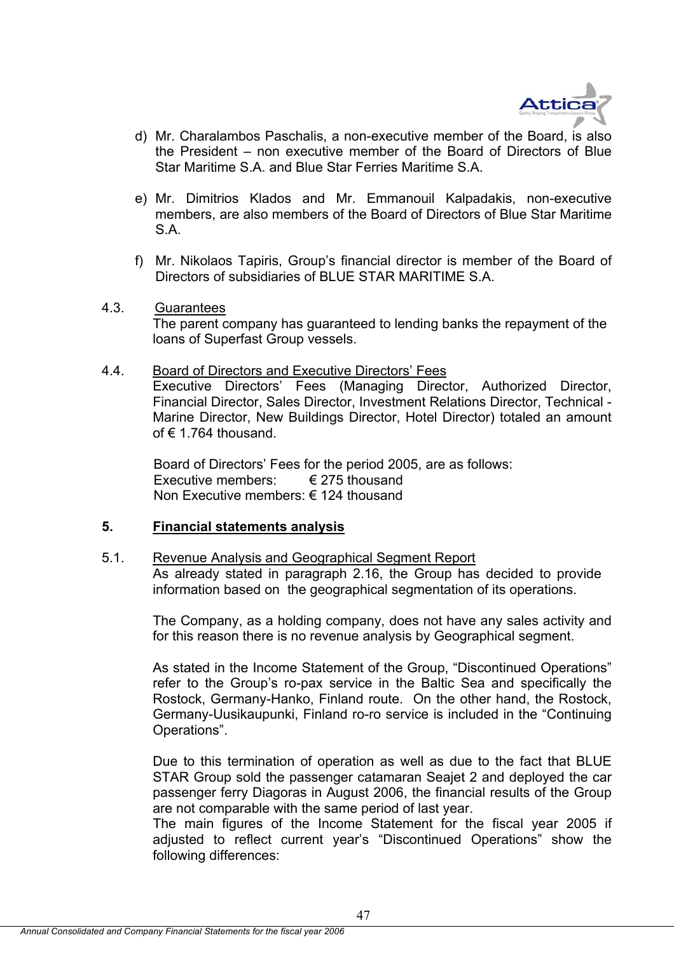

- d) Mr. Charalambos Paschalis, a non-executive member of the Board, is also the President – non executive member of the Board of Directors of Blue Star Maritime S.A. and Blue Star Ferries Maritime S.A.
- e) Mr. Dimitrios Klados and Mr. Emmanouil Kalpadakis, non-executive members, are also members of the Board of Directors of Blue Star Maritime S.A.
- f) Mr. Nikolaos Tapiris, Group's financial director is member of the Board of Directors of subsidiaries of BLUE STAR MARITIME S.A.
- 4.3. Guarantees The parent company has guaranteed to lending banks the repayment of the loans of Superfast Group vessels.
- 4.4. Board of Directors and Executive Directors' Fees

Executive Directors' Fees (Managing Director, Authorized Director, Financial Director, Sales Director, Investment Relations Director, Technical - Marine Director, New Buildings Director, Hotel Director) totaled an amount of  $\epsilon$  1.764 thousand.

Board of Directors' Fees for the period 2005, are as follows: Executive members:  $\epsilon$  275 thousand Non Executive members: € 124 thousand

#### **5. Financial statements analysis**

#### 5.1. Revenue Analysis and Geographical Segment Report

As already stated in paragraph 2.16, the Group has decided to provide information based on the geographical segmentation of its operations.

The Company, as a holding company, does not have any sales activity and for this reason there is no revenue analysis by Geographical segment.

As stated in the Income Statement of the Group, "Discontinued Operations" refer to the Group's ro-pax service in the Baltic Sea and specifically the Rostock, Germany-Hanko, Finland route. On the other hand, the Rostock, Germany-Uusikaupunki, Finland ro-ro service is included in the "Continuing Operations".

Due to this termination of operation as well as due to the fact that BLUE STAR Group sold the passenger catamaran Seajet 2 and deployed the car passenger ferry Diagoras in August 2006, the financial results of the Group are not comparable with the same period of last year.

The main figures of the Income Statement for the fiscal year 2005 if adjusted to reflect current year's "Discontinued Operations" show the following differences: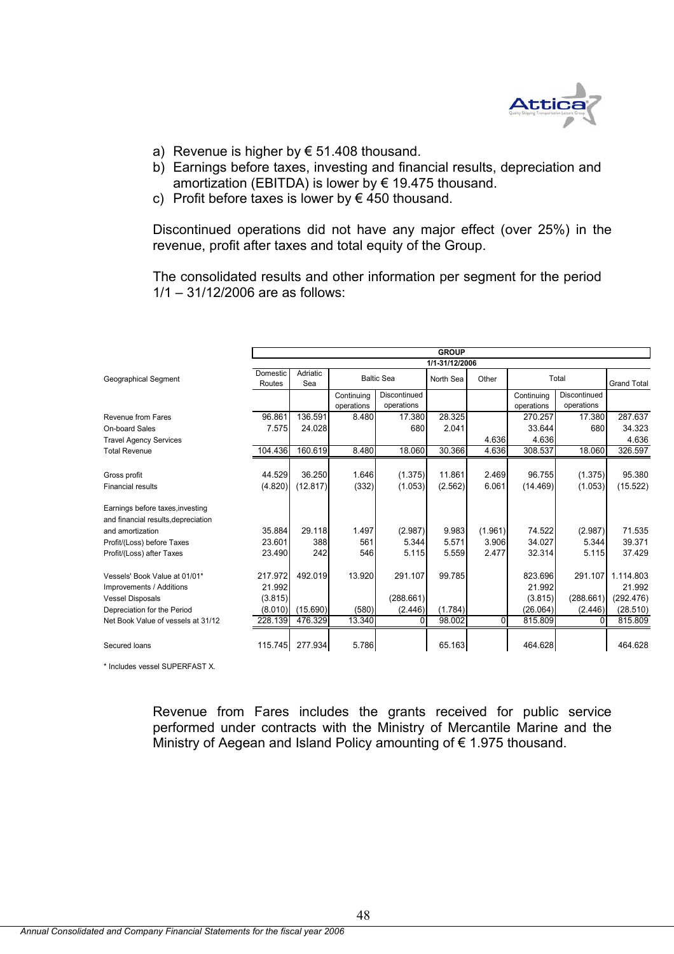

- a) Revenue is higher by  $\epsilon$  51.408 thousand.
- b) Earnings before taxes, investing and financial results, depreciation and amortization (EBITDA) is lower by € 19.475 thousand.
- c) Profit before taxes is lower by  $\epsilon$  450 thousand.

Discontinued operations did not have any major effect (over 25%) in the revenue, profit after taxes and total equity of the Group.

The consolidated results and other information per segment for the period 1/1 – 31/12/2006 are as follows:

|                                                                                      |                              |                                      |                          |                            | <b>GROUP</b>   |          |                              |                            |                                  |  |
|--------------------------------------------------------------------------------------|------------------------------|--------------------------------------|--------------------------|----------------------------|----------------|----------|------------------------------|----------------------------|----------------------------------|--|
|                                                                                      |                              |                                      |                          |                            | 1/1-31/12/2006 |          |                              |                            |                                  |  |
| Geographical Segment                                                                 | Domestic<br>Routes           | Adriatic<br><b>Baltic Sea</b><br>Sea |                          | North Sea                  | Other          | Total    |                              | <b>Grand Total</b>         |                                  |  |
|                                                                                      |                              |                                      | Continuing<br>operations | Discontinued<br>operations |                |          | Continuing<br>operations     | Discontinued<br>operations |                                  |  |
| Revenue from Fares                                                                   | 96.861                       | 136.591                              | 8.480                    | 17.380                     | 28.325         |          | 270.257                      | 17.380                     | 287.637                          |  |
| On-board Sales                                                                       | 7.575                        | 24.028                               |                          | 680                        | 2.041          |          | 33.644                       | 680                        | 34.323                           |  |
| <b>Travel Agency Services</b>                                                        |                              |                                      |                          |                            |                | 4.636    | 4.636                        |                            | 4.636                            |  |
| <b>Total Revenue</b>                                                                 | 104.436                      | 160.619                              | 8.480                    | 18.060                     | 30.366         | 4.636    | 308.537                      | 18.060                     | 326.597                          |  |
|                                                                                      |                              |                                      |                          |                            |                |          |                              |                            |                                  |  |
| Gross profit                                                                         | 44.529                       | 36.250                               | 1.646                    | (1.375)                    | 11.861         | 2.469    | 96.755                       | (1.375)                    | 95.380                           |  |
| Financial results                                                                    | (4.820)                      | (12.817)                             | (332)                    | (1.053)                    | (2.562)        | 6.061    | (14.469)                     | (1.053)                    | (15.522)                         |  |
| Earnings before taxes, investing<br>and financial results, depreciation              |                              |                                      |                          |                            |                |          |                              |                            |                                  |  |
| and amortization                                                                     | 35.884                       | 29.118                               | 1.497                    | (2.987)                    | 9.983          | (1.961)  | 74.522                       | (2.987)                    | 71.535                           |  |
| Profit/(Loss) before Taxes                                                           | 23.601                       | 388                                  | 561                      | 5.344                      | 5.571          | 3.906    | 34.027                       | 5.344                      | 39.371                           |  |
| Profit/(Loss) after Taxes                                                            | 23.490                       | 242                                  | 546                      | 5.115                      | 5.559          | 2.477    | 32.314                       | 5.115                      | 37.429                           |  |
| Vessels' Book Value at 01/01*<br>Improvements / Additions<br><b>Vessel Disposals</b> | 217.972<br>21.992<br>(3.815) | 492.019                              | 13.920                   | 291.107<br>(288.661)       | 99.785         |          | 823.696<br>21.992<br>(3.815) | 291.107<br>(288.661)       | 1.114.803<br>21.992<br>(292.476) |  |
| Depreciation for the Period                                                          | (8.010)                      | (15.690)                             | (580)                    | (2.446)                    | (1.784)        |          | (26.064)                     | (2.446)                    | (28.510)                         |  |
| Net Book Value of vessels at 31/12                                                   | 228.139                      | 476.329                              | 13.340                   | <sup>0</sup>               | 98.002         | $\Omega$ | 815.809                      | $\Omega$                   | 815.809                          |  |
|                                                                                      |                              |                                      |                          |                            |                |          |                              |                            |                                  |  |
| Secured loans                                                                        | 115.745                      | 277.934                              | 5.786                    |                            | 65.163         |          | 464.628                      |                            | 464.628                          |  |

\* Includes vessel SUPERFAST X.

Revenue from Fares includes the grants received for public service performed under contracts with the Ministry of Mercantile Marine and the Ministry of Aegean and Island Policy amounting of € 1.975 thousand.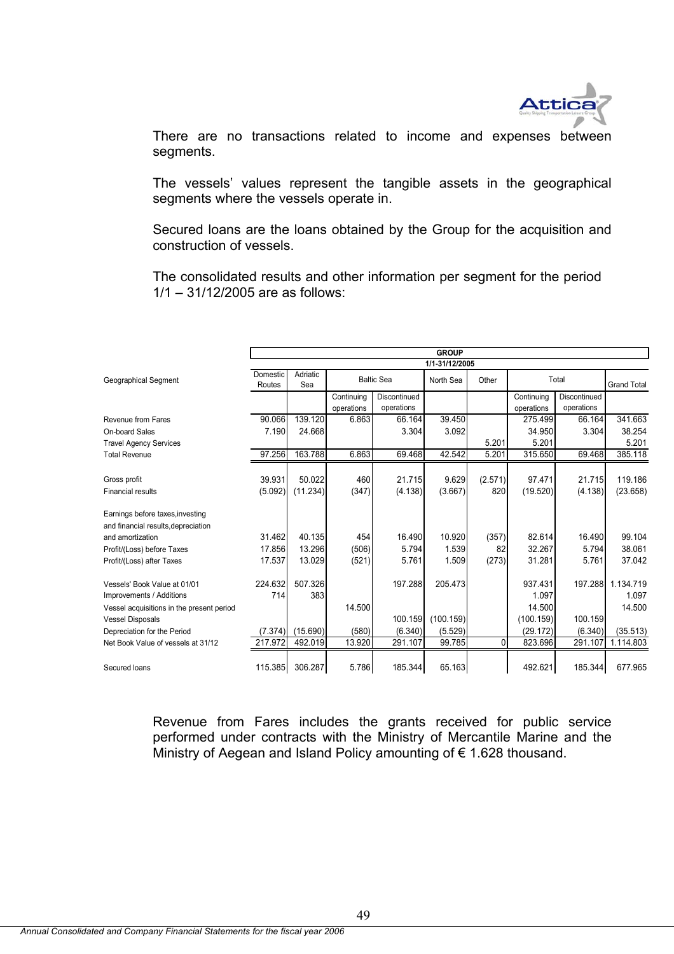

There are no transactions related to income and expenses between segments.

The vessels' values represent the tangible assets in the geographical segments where the vessels operate in.

Secured loans are the loans obtained by the Group for the acquisition and construction of vessels.

The consolidated results and other information per segment for the period 1/1 – 31/12/2005 are as follows:

|                                           |                 | <b>GROUP</b> |            |                   |                |         |            |              |                    |
|-------------------------------------------|-----------------|--------------|------------|-------------------|----------------|---------|------------|--------------|--------------------|
|                                           |                 |              |            |                   | 1/1-31/12/2005 |         |            |              |                    |
| Geographical Segment                      | <b>Domestic</b> | Adriatic     |            | <b>Baltic Sea</b> | North Sea      | Other   |            | Total        |                    |
|                                           | Routes          | Sea          |            |                   |                |         |            |              | <b>Grand Total</b> |
|                                           |                 |              | Continuing | Discontinued      |                |         | Continuing | Discontinued |                    |
|                                           |                 |              | operations | operations        |                |         | operations | operations   |                    |
| Revenue from Fares                        | 90.066          | 139.120      | 6.863      | 66.164            | 39.450         |         | 275.499    | 66.164       | 341.663            |
| On-board Sales                            | 7.190           | 24.668       |            | 3.304             | 3.092          |         | 34.950     | 3.304        | 38.254             |
| <b>Travel Agency Services</b>             |                 |              |            |                   |                | 5.201   | 5.201      |              | 5.201              |
| <b>Total Revenue</b>                      | 97.256          | 163.788      | 6.863      | 69.468            | 42.542         | 5.201   | 315.650    | 69.468       | 385.118            |
|                                           |                 |              |            |                   |                |         |            |              |                    |
| Gross profit                              | 39.931          | 50.022       | 460        | 21.715            | 9.629          | (2.571) | 97.471     | 21.715       | 119.186            |
| <b>Financial results</b>                  | (5.092)         | (11.234)     | (347)      | (4.138)           | (3.667)        | 820     | (19.520)   | (4.138)      | (23.658)           |
|                                           |                 |              |            |                   |                |         |            |              |                    |
| Earnings before taxes, investing          |                 |              |            |                   |                |         |            |              |                    |
| and financial results, depreciation       |                 |              |            |                   |                |         |            |              |                    |
| and amortization                          | 31.462          | 40.135       | 454        | 16.490            | 10.920         | (357)   | 82.614     | 16.490       | 99.104             |
| Profit/(Loss) before Taxes                | 17.856          | 13.296       | (506)      | 5.794             | 1.539          | 82      | 32.267     | 5.794        | 38.061             |
| Profit/(Loss) after Taxes                 | 17.537          | 13.029       | (521)      | 5.761             | 1.509          | (273)   | 31.281     | 5.761        | 37.042             |
|                                           |                 |              |            |                   |                |         |            |              |                    |
| Vessels' Book Value at 01/01              | 224.632         | 507.326      |            | 197.288           | 205.473        |         | 937.431    | 197.288      | 1.134.719          |
| Improvements / Additions                  | 714             | 383          |            |                   |                |         | 1.097      |              | 1.097              |
| Vessel acquisitions in the present period |                 |              | 14.500     |                   |                |         | 14.500     |              | 14.500             |
| <b>Vessel Disposals</b>                   |                 |              |            | 100.159           | (100.159)      |         | (100.159)  | 100.159      |                    |
| Depreciation for the Period               | (7.374)         | (15.690)     | (580)      | (6.340)           | (5.529)        |         | (29.172)   | (6.340)      | (35.513)           |
| Net Book Value of vessels at 31/12        | 217.972         | 492.019      | 13.920     | 291.107           | 99.785         | 0       | 823.696    | 291.107      | 1.114.803          |
|                                           |                 |              |            |                   |                |         |            |              |                    |
| Secured loans                             | 115.385         | 306.287      | 5.786      | 185.344           | 65.163         |         | 492.621    | 185.344      | 677.965            |

Revenue from Fares includes the grants received for public service performed under contracts with the Ministry of Mercantile Marine and the Ministry of Aegean and Island Policy amounting of € 1.628 thousand.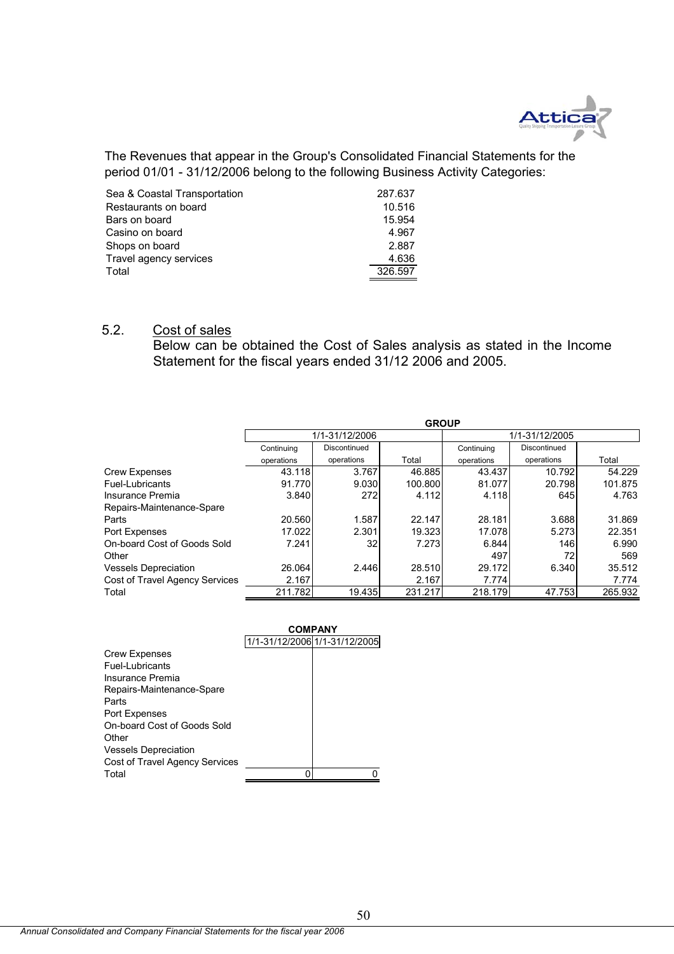

The Revenues that appear in the Group's Consolidated Financial Statements for the period 01/01 - 31/12/2006 belong to the following Business Activity Categories:

| Sea & Coastal Transportation | 287.637 |
|------------------------------|---------|
| Restaurants on board         | 10.516  |
| Bars on board                | 15.954  |
| Casino on board              | 4.967   |
| Shops on board               | 2.887   |
| Travel agency services       | 4.636   |
| Total                        | 326.597 |

## 5.2. Cost of sales

Below can be obtained the Cost of Sales analysis as stated in the Income Statement for the fiscal years ended 31/12 2006 and 2005.

|                                       | <b>GROUP</b> |                |         |            |                |         |  |
|---------------------------------------|--------------|----------------|---------|------------|----------------|---------|--|
|                                       |              | 1/1-31/12/2006 |         |            | 1/1-31/12/2005 |         |  |
|                                       | Continuing   | Discontinued   |         | Continuing | Discontinued   |         |  |
|                                       | operations   | operations     | Total   | operations | operations     | Total   |  |
| <b>Crew Expenses</b>                  | 43.118       | 3.767          | 46.885  | 43.437     | 10.792         | 54.229  |  |
| Fuel-Lubricants                       | 91.770       | 9.030          | 100.800 | 81.077     | 20.798         | 101.875 |  |
| Insurance Premia                      | 3.840        | 272            | 4.112   | 4.118      | 645            | 4.763   |  |
| Repairs-Maintenance-Spare             |              |                |         |            |                |         |  |
| Parts                                 | 20.560       | 1.587          | 22.147  | 28.181     | 3.688          | 31.869  |  |
| Port Expenses                         | 17.022       | 2.301          | 19.323  | 17.078     | 5.273          | 22.351  |  |
| On-board Cost of Goods Sold           | 7.241        | 32             | 7.273   | 6.844      | 146I           | 6.990   |  |
| Other                                 |              |                |         | 497        | 721            | 569     |  |
| <b>Vessels Depreciation</b>           | 26.064       | 2.446          | 28.510  | 29.172     | 6.340          | 35.512  |  |
| <b>Cost of Travel Agency Services</b> | 2.167        |                | 2.167   | 7.774      |                | 7.774   |  |
| Total                                 | 211.782      | 19.435         | 231.217 | 218.179    | 47.753         | 265.932 |  |

|                                | <b>COMPANY</b> |                               |  |  |
|--------------------------------|----------------|-------------------------------|--|--|
|                                |                | 1/1-31/12/2006 1/1-31/12/2005 |  |  |
| <b>Crew Expenses</b>           |                |                               |  |  |
| Fuel-Lubricants                |                |                               |  |  |
| Insurance Premia               |                |                               |  |  |
| Repairs-Maintenance-Spare      |                |                               |  |  |
| Parts                          |                |                               |  |  |
| Port Expenses                  |                |                               |  |  |
| On-board Cost of Goods Sold    |                |                               |  |  |
| Other                          |                |                               |  |  |
| <b>Vessels Depreciation</b>    |                |                               |  |  |
| Cost of Travel Agency Services |                |                               |  |  |
| Total                          |                |                               |  |  |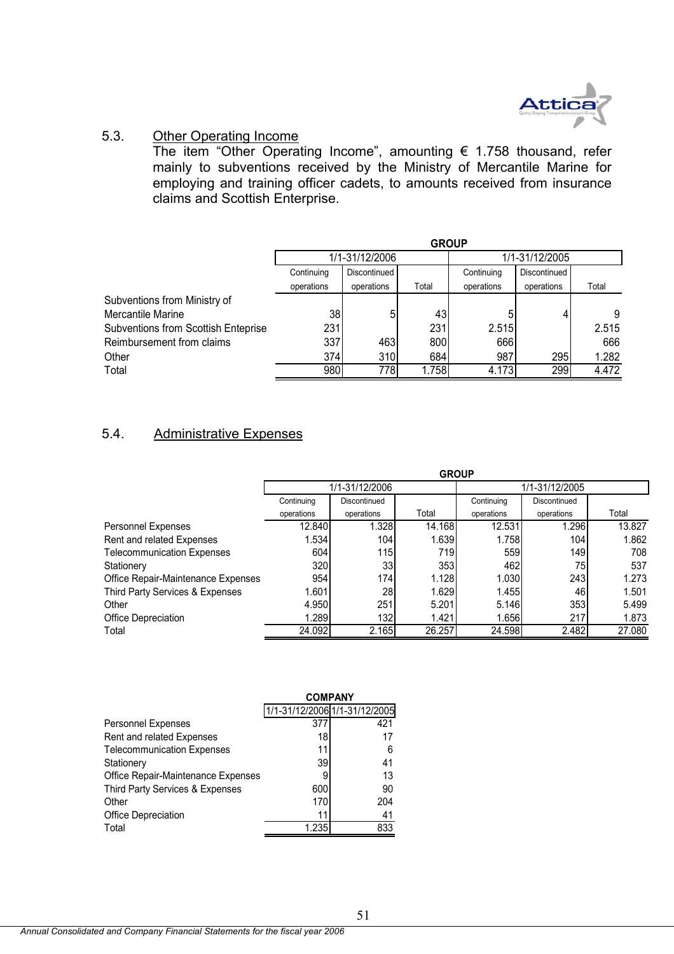

## 5.3. Other Operating Income

The item "Other Operating Income", amounting  $\epsilon$  1.758 thousand, refer mainly to subventions received by the Ministry of Mercantile Marine for employing and training officer cadets, to amounts received from insurance claims and Scottish Enterprise.

|                                     | <b>GROUP</b>    |                |       |            |                |       |  |
|-------------------------------------|-----------------|----------------|-------|------------|----------------|-------|--|
|                                     |                 | 1/1-31/12/2006 |       |            | 1/1-31/12/2005 |       |  |
|                                     | Continuing      | Discontinued   |       | Continuing | Discontinued   |       |  |
|                                     | operations      | operations     | Total | operations | operations     | Total |  |
| Subventions from Ministry of        |                 |                |       |            |                |       |  |
| Mercantile Marine                   | 38 <sub>l</sub> |                | 43    |            |                | 9     |  |
| Subventions from Scottish Enteprise | 231             |                | 231   | 2.515      |                | 2.515 |  |
| Reimbursement from claims           | 337             | 463            | 800   | 666        |                | 666   |  |
| Other                               | 374             | 310            | 684   | 987        | 295            | 1.282 |  |
| Total                               | 980             | 778            | 1.758 | 4.173      | 299            | 4.472 |  |

## 5.4. Administrative Expenses

|                                    | <b>GROUP</b> |                |        |                |              |        |
|------------------------------------|--------------|----------------|--------|----------------|--------------|--------|
|                                    |              | 1/1-31/12/2006 |        | 1/1-31/12/2005 |              |        |
|                                    | Continuing   | Discontinued   |        | Continuing     | Discontinued |        |
|                                    | operations   | operations     | Total  | operations     | operations   | Total  |
| Personnel Expenses                 | 12.840       | 1.328          | 14.168 | 12.531         | 1.296        | 13.827 |
| Rent and related Expenses          | 1.534        | 104            | 1.639  | 1.758          | 104          | 1.862  |
| <b>Telecommunication Expenses</b>  | 604          | 115l           | 719    | 559            | 149          | 708    |
| Stationery                         | 320          | 33             | 353    | 462            | 75           | 537    |
| Office Repair-Maintenance Expenses | 954          | 174            | 1.128  | 1.030          | 243          | 1.273  |
| Third Party Services & Expenses    | 1.601        | 28             | 1.629  | 1.455          | 46           | 1.501  |
| Other                              | 4.950        | 251            | 5.201  | 5.146          | 353          | 5.499  |
| <b>Office Depreciation</b>         | 1.289        | 132            | 1.421  | 1.656          | 217          | 1.873  |
| Total                              | 24.092       | 2.165          | 26.257 | 24.598         | 2.482        | 27.080 |

|                                    | <b>COMPANY</b> |                               |
|------------------------------------|----------------|-------------------------------|
|                                    |                | 1/1-31/12/2006 1/1-31/12/2005 |
| <b>Personnel Expenses</b>          | 377            | 421                           |
| Rent and related Expenses          | 18             | 17                            |
| <b>Telecommunication Expenses</b>  | 11             | 6                             |
| Stationery                         | 39             | 41                            |
| Office Repair-Maintenance Expenses | 9              | 13                            |
| Third Party Services & Expenses    | 600            | 90                            |
| Other                              | 170            | 204                           |
| Office Depreciation                | 11             | 41                            |
| Total                              | 1.235          | 833                           |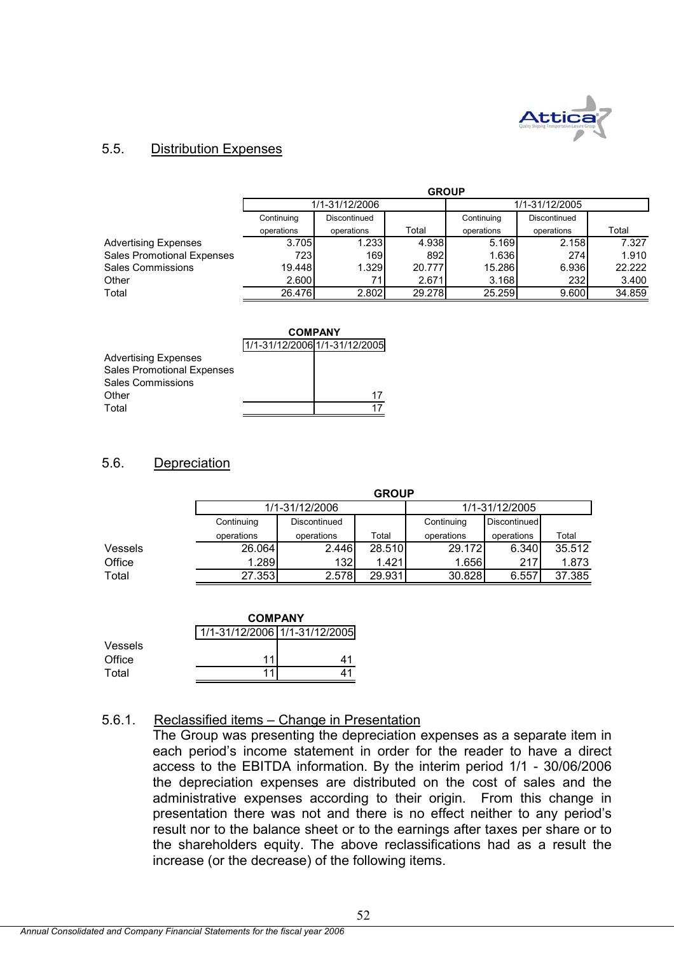

## 5.5. Distribution Expenses

|                                   | <b>GROUP</b> |                |        |                |              |        |
|-----------------------------------|--------------|----------------|--------|----------------|--------------|--------|
|                                   |              | 1/1-31/12/2006 |        | 1/1-31/12/2005 |              |        |
|                                   | Continuing   | Discontinued   |        | Continuing     | Discontinued |        |
|                                   | operations   | operations     | Total  | operations     | operations   | Total  |
| <b>Advertising Expenses</b>       | 3.705        | 1.233          | 4.938  | 5.169          | 2.158        | 7.327  |
| <b>Sales Promotional Expenses</b> | 723I         | 169            | 892    | 1.636          | 274          | 1.910  |
| Sales Commissions                 | 19.448       | 1.329          | 20.777 | 15.286         | 6.936        | 22.222 |
| Other                             | 2.600        | 71.            | 2.671  | 3.168          | 232          | 3.400  |
| Total                             | 26.476       | 2.802          | 29.278 | 25.259         | 9.600        | 34.859 |

|                                   | <b>COMPANY</b> |                               |  |  |
|-----------------------------------|----------------|-------------------------------|--|--|
|                                   |                | 1/1-31/12/2006 1/1-31/12/2005 |  |  |
| <b>Advertising Expenses</b>       |                |                               |  |  |
| <b>Sales Promotional Expenses</b> |                |                               |  |  |
| <b>Sales Commissions</b>          |                |                               |  |  |
| Other                             |                | 17                            |  |  |
| Total                             |                |                               |  |  |

## 5.6. Depreciation

|                | <b>GROUP</b>   |              |        |                |              |        |
|----------------|----------------|--------------|--------|----------------|--------------|--------|
|                | 1/1-31/12/2006 |              |        | 1/1-31/12/2005 |              |        |
|                | Continuing     | Discontinued |        | Continuing     | Discontinued |        |
|                | operations     | operations   | Total  | operations     | operations   | Total  |
| <b>Vessels</b> | 26.064         | 2.446        | 28.510 | 29.172         | 6.340        | 35.512 |
| Office         | .289           | 132          | 1.421  | 1.656          | 217          | 1.873  |
| Total          | 27.353         | 2.578        | 29.931 | 30.828         | 6.557        | 37.385 |

|         |                               | <b>COMPANY</b> |  |  |  |  |
|---------|-------------------------------|----------------|--|--|--|--|
|         | 1/1-31/12/2006 1/1-31/12/2005 |                |  |  |  |  |
| Vessels |                               |                |  |  |  |  |
| Office  | 11                            | 41             |  |  |  |  |
| Total   | 11                            |                |  |  |  |  |

#### 5.6.1. Reclassified items – Change in Presentation

The Group was presenting the depreciation expenses as a separate item in each period's income statement in order for the reader to have a direct access to the EBITDA information. By the interim period 1/1 - 30/06/2006 the depreciation expenses are distributed on the cost of sales and the administrative expenses according to their origin. From this change in presentation there was not and there is no effect neither to any period's result nor to the balance sheet or to the earnings after taxes per share or to the shareholders equity. The above reclassifications had as a result the increase (or the decrease) of the following items.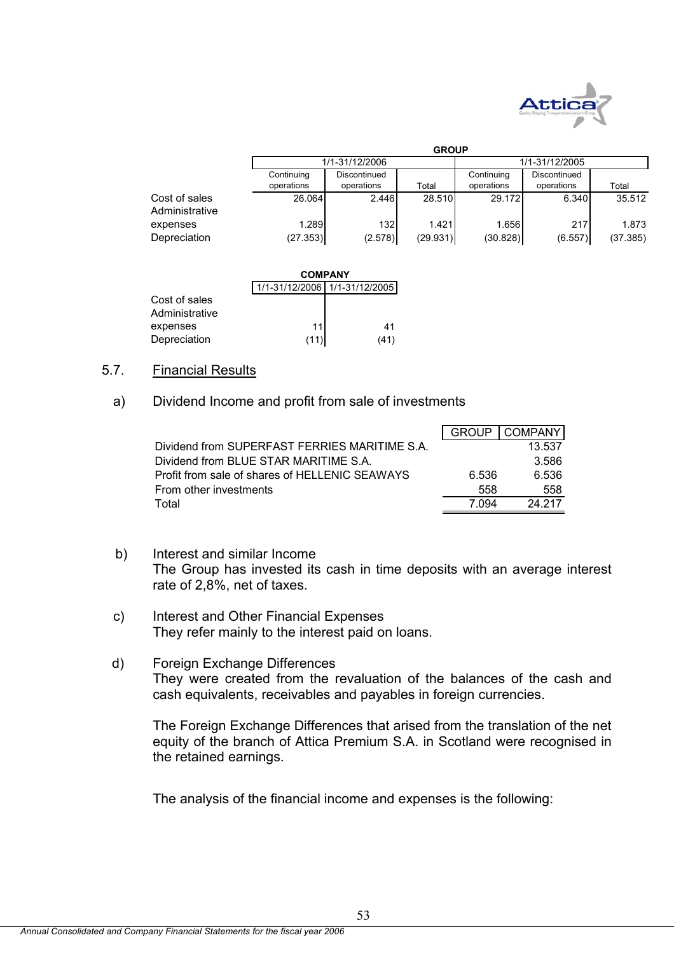

|                                 |                          | <b>GROUP</b>               |          |                          |                            |          |  |  |
|---------------------------------|--------------------------|----------------------------|----------|--------------------------|----------------------------|----------|--|--|
|                                 |                          | 1/1-31/12/2006             |          | 1/1-31/12/2005           |                            |          |  |  |
|                                 | Continuing<br>operations | Discontinued<br>operations | Total    | Continuing<br>operations | Discontinued<br>operations | Total    |  |  |
| Cost of sales<br>Administrative | 26.064                   | 2.446                      | 28.510   | 29.172                   | 6.340                      | 35.512   |  |  |
| expenses                        | 1.289                    | 132 <sub>l</sub>           | 1.421    | 1.656                    | 217                        | 1.873    |  |  |
| Depreciation                    | (27.353)                 | (2.578)                    | (29.931) | (30.828)                 | (6.557)                    | (37.385) |  |  |

|                                 |      | <b>COMPANY</b>                |  |  |  |  |
|---------------------------------|------|-------------------------------|--|--|--|--|
|                                 |      | 1/1-31/12/2006 1/1-31/12/2005 |  |  |  |  |
| Cost of sales<br>Administrative |      |                               |  |  |  |  |
| expenses                        | 11   | 41                            |  |  |  |  |
| Depreciation                    | (11) | (41)                          |  |  |  |  |

### 5.7. Financial Results

## a) Dividend Income and profit from sale of investments

|                                                | <b>GROUP</b> | <b>COMPANY</b> |
|------------------------------------------------|--------------|----------------|
| Dividend from SUPERFAST FERRIES MARITIME S.A.  |              | 13.537         |
| Dividend from BLUE STAR MARITIME S.A.          |              | 3.586          |
| Profit from sale of shares of HELLENIC SEAWAYS | 6.536        | 6.536          |
| From other investments                         | 558          | 558            |
| Total                                          | 7 094        | 24 217         |

- b) Interest and similar Income The Group has invested its cash in time deposits with an average interest rate of 2,8%, net of taxes.
- c) Interest and Other Financial Expenses They refer mainly to the interest paid on loans.
- d) Foreign Exchange Differences They were created from the revaluation of the balances of the cash and cash equivalents, receivables and payables in foreign currencies.

The Foreign Exchange Differences that arised from the translation of the net equity of the branch of Attica Premium S.A. in Scotland were recognised in the retained earnings.

The analysis of the financial income and expenses is the following: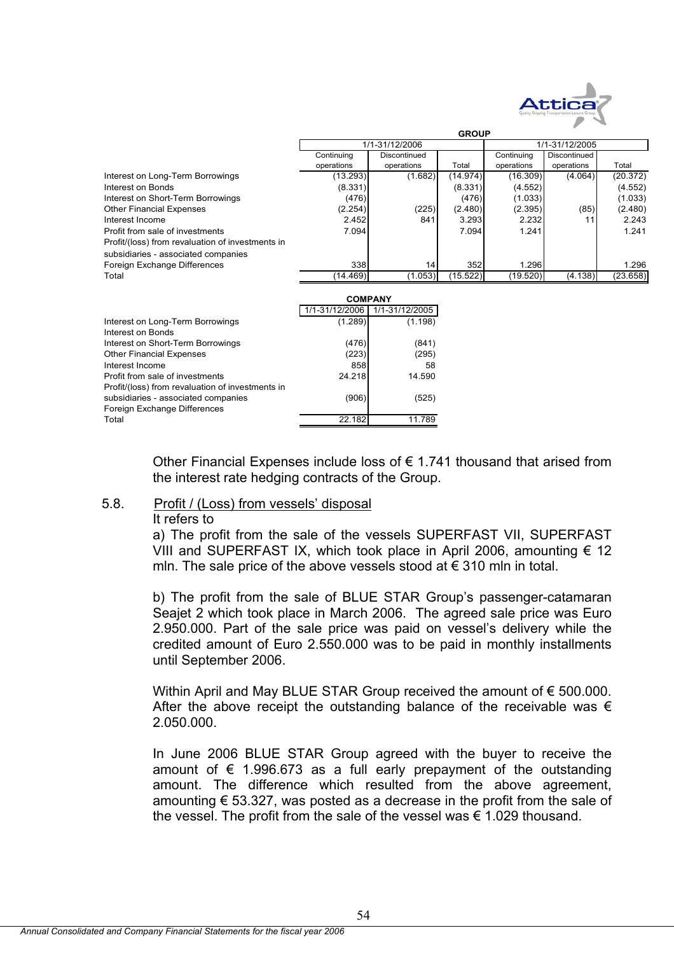

|                                                  | <b>GROUP</b>   |                |          |                |              |          |  |  |  |
|--------------------------------------------------|----------------|----------------|----------|----------------|--------------|----------|--|--|--|
|                                                  |                | 1/1-31/12/2006 |          | 1/1-31/12/2005 |              |          |  |  |  |
|                                                  | Continuing     | Discontinued   |          | Continuing     | Discontinued |          |  |  |  |
|                                                  | operations     | operations     | Total    | operations     | operations   | Total    |  |  |  |
| Interest on Long-Term Borrowings                 | (13.293)       | (1.682)        | (14.974) | (16.309)       | (4.064)      | (20.372) |  |  |  |
| Interest on Bonds                                | (8.331)        |                | (8.331)  | (4.552)        |              | (4.552)  |  |  |  |
| Interest on Short-Term Borrowings                | (476)          |                | (476)    | (1.033)        |              | (1.033)  |  |  |  |
| <b>Other Financial Expenses</b>                  | (2.254)        | (225)          | (2.480)  | (2.395)        | (85)         | (2.480)  |  |  |  |
| Interest Income                                  | 2.452          | 841            | 3.293    | 2.232          | 11           | 2.243    |  |  |  |
| Profit from sale of investments                  | 7.094          |                | 7.094    | 1.241          |              | 1.241    |  |  |  |
| Profit/(loss) from revaluation of investments in |                |                |          |                |              |          |  |  |  |
| subsidiaries - associated companies              |                |                |          |                |              |          |  |  |  |
| Foreign Exchange Differences                     | 338            | 14             | 352      | 1.296          |              | 1.296    |  |  |  |
| Total                                            | (14.469)       | (1.053)        | (15.522) | (19.520)       | (4.138)      | (23.658) |  |  |  |
|                                                  |                |                |          |                |              |          |  |  |  |
|                                                  | <b>COMPANY</b> |                |          |                |              |          |  |  |  |
|                                                  | 1/1-31/12/2006 | 1/1-31/12/2005 |          |                |              |          |  |  |  |
| Interest on Long-Term Borrowings                 | (1.289)        | (1.198)        |          |                |              |          |  |  |  |
| Interest on Bonds                                |                |                |          |                |              |          |  |  |  |
| Interest on Short-Term Borrowings                | (476)          | (841)          |          |                |              |          |  |  |  |
| <b>Other Financial Expenses</b>                  | (223)          | (295)          |          |                |              |          |  |  |  |
| Interest Income                                  | 858            | 58             |          |                |              |          |  |  |  |
| Profit from sale of investments                  | 24.218         | 14.590         |          |                |              |          |  |  |  |
| Profit/(loss) from revaluation of investments in |                |                |          |                |              |          |  |  |  |
| subsidiaries - associated companies              | (906)          | (525)          |          |                |              |          |  |  |  |
| Foreign Exchange Differences                     |                |                |          |                |              |          |  |  |  |
| Total                                            | 22.182         | 11.789         |          |                |              |          |  |  |  |
|                                                  |                |                |          |                |              |          |  |  |  |
|                                                  |                |                |          |                |              |          |  |  |  |

Other Financial Expenses include loss of  $\epsilon$  1.741 thousand that arised from the interest rate hedging contracts of the Group.

#### 5.8. Profit / (Loss) from vessels' disposal

#### It refers to

a) The profit from the sale of the vessels SUPERFAST VII, SUPERFAST VIII and SUPERFAST IX, which took place in April 2006, amounting  $\epsilon$  12 mln. The sale price of the above vessels stood at € 310 mln in total.

b) The profit from the sale of BLUE STAR Group's passenger-catamaran Seajet 2 which took place in March 2006. The agreed sale price was Euro 2.950.000. Part of the sale price was paid on vessel's delivery while the credited amount of Euro 2.550.000 was to be paid in monthly installments until September 2006.

Within April and May BLUE STAR Group received the amount of € 500.000. After the above receipt the outstanding balance of the receivable was  $\epsilon$ 2.050.000.

In June 2006 BLUE STAR Group agreed with the buyer to receive the amount of  $\epsilon$  1.996.673 as a full early prepayment of the outstanding amount. The difference which resulted from the above agreement, amounting  $\epsilon$  53.327, was posted as a decrease in the profit from the sale of the vessel. The profit from the sale of the vessel was  $\epsilon$  1.029 thousand.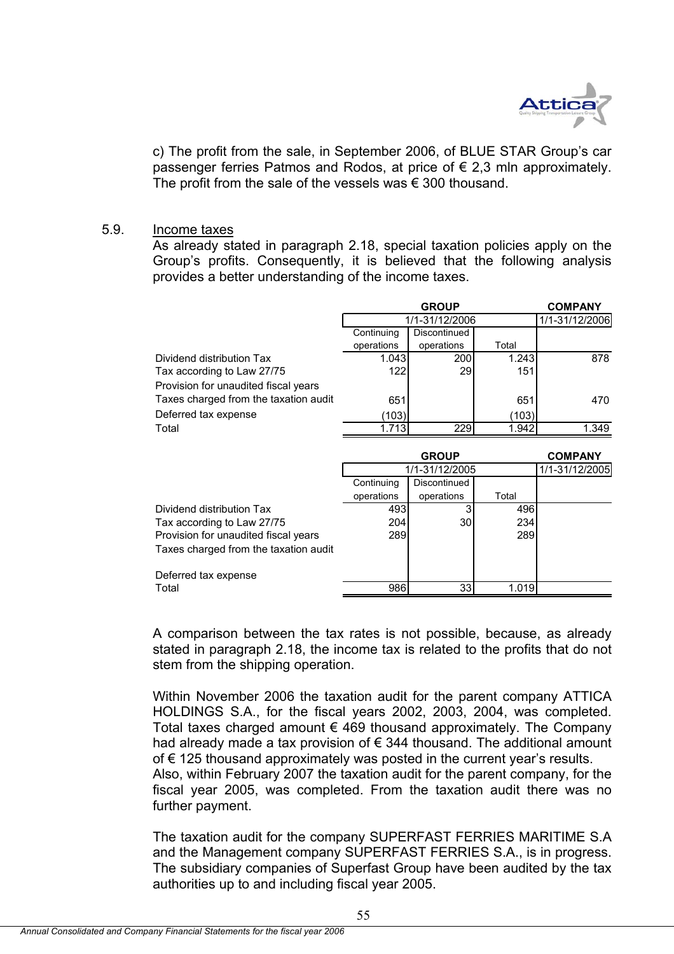

c) The profit from the sale, in September 2006, of BLUE STAR Group's car passenger ferries Patmos and Rodos, at price of € 2,3 mln approximately. The profit from the sale of the vessels was  $\epsilon$  300 thousand.

#### 5.9. Income taxes

As already stated in paragraph 2.18, special taxation policies apply on the Group's profits. Consequently, it is believed that the following analysis provides a better understanding of the income taxes.

|                                       | <b>COMPANY</b><br><b>GROUP</b> |                |       |                |  |  |  |
|---------------------------------------|--------------------------------|----------------|-------|----------------|--|--|--|
|                                       |                                | 1/1-31/12/2006 |       | 1/1-31/12/2006 |  |  |  |
|                                       | Continuing                     | Discontinued   |       |                |  |  |  |
|                                       | operations                     | operations     | Total |                |  |  |  |
| Dividend distribution Tax             | 1.043                          | 200            | 1.243 | 878            |  |  |  |
| Tax according to Law 27/75            | 122                            | 29             | 151   |                |  |  |  |
| Provision for unaudited fiscal years  |                                |                |       |                |  |  |  |
| Taxes charged from the taxation audit | 651                            |                | 651   | 470            |  |  |  |
| Deferred tax expense                  | (103)                          |                | (103) |                |  |  |  |
| Total                                 | 1.713                          | 229            | 1.942 | 1.349          |  |  |  |
|                                       |                                |                |       |                |  |  |  |
|                                       |                                | <b>GROUP</b>   |       | <b>COMPANY</b> |  |  |  |
|                                       |                                | 1/1-31/12/2005 |       | 1/1-31/12/2005 |  |  |  |
|                                       | Continuing                     | Discontinued   |       |                |  |  |  |
|                                       | operations                     | operations     | Total |                |  |  |  |
| Dividend distribution Tax             | 493                            | 3              | 496   |                |  |  |  |
| Tax according to Law 27/75            | 204                            | 30             | 234   |                |  |  |  |
| Provision for unaudited fiscal years  | 289                            |                | 289   |                |  |  |  |
| Taxes charged from the taxation audit |                                |                |       |                |  |  |  |
| Deferred tax expense                  |                                |                |       |                |  |  |  |
| Total                                 | 986                            | 33             | 1.019 |                |  |  |  |

A comparison between the tax rates is not possible, because, as already stated in paragraph 2.18, the income tax is related to the profits that do not stem from the shipping operation.

Within November 2006 the taxation audit for the parent company ATTICA HOLDINGS S.A., for the fiscal years 2002, 2003, 2004, was completed. Total taxes charged amount € 469 thousand approximately. The Company had already made a tax provision of € 344 thousand. The additional amount of € 125 thousand approximately was posted in the current year's results. Also, within February 2007 the taxation audit for the parent company, for the fiscal year 2005, was completed. From the taxation audit there was no further payment.

The taxation audit for the company SUPERFAST FERRIES MARITIME S.A and the Management company SUPERFAST FERRIES S.A., is in progress. The subsidiary companies of Superfast Group have been audited by the tax authorities up to and including fiscal year 2005.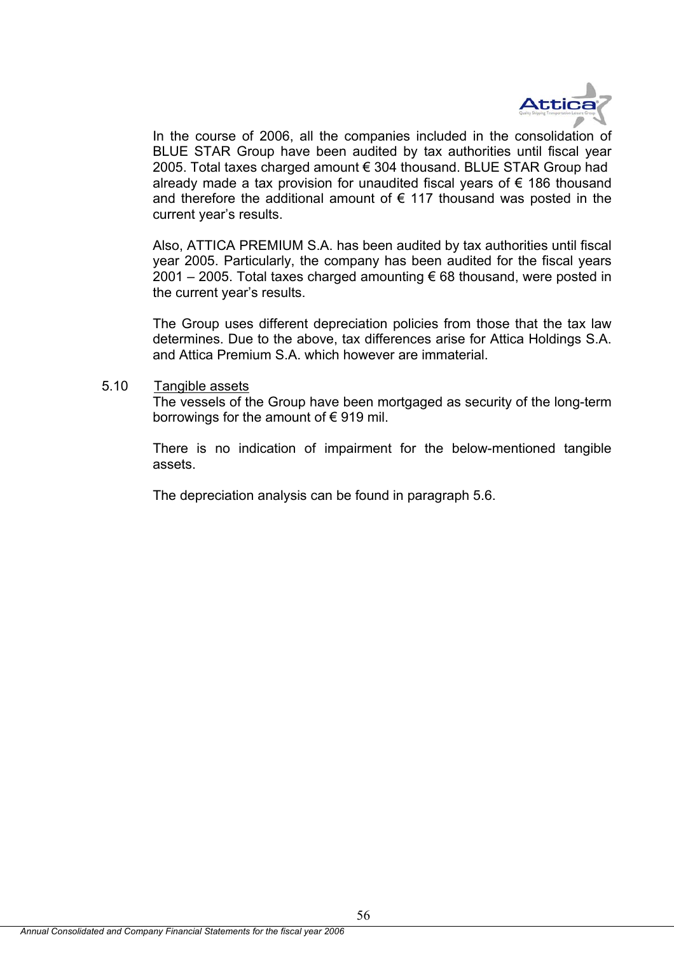

In the course of 2006, all the companies included in the consolidation of BLUE STAR Group have been audited by tax authorities until fiscal year 2005. Total taxes charged amount € 304 thousand. BLUE STAR Group had already made a tax provision for unaudited fiscal years of  $\epsilon$  186 thousand and therefore the additional amount of  $\epsilon$  117 thousand was posted in the current year's results.

Also, ATTICA PREMIUM S.A. has been audited by tax authorities until fiscal year 2005. Particularly, the company has been audited for the fiscal years 2001 – 2005. Total taxes charged amounting  $\epsilon$  68 thousand, were posted in the current year's results.

The Group uses different depreciation policies from those that the tax law determines. Due to the above, tax differences arise for Attica Holdings S.A. and Attica Premium S.A. which however are immaterial.

5.10 Tangible assets

The vessels of the Group have been mortgaged as security of the long-term borrowings for the amount of  $\epsilon$  919 mil.

There is no indication of impairment for the below-mentioned tangible assets.

The depreciation analysis can be found in paragraph 5.6.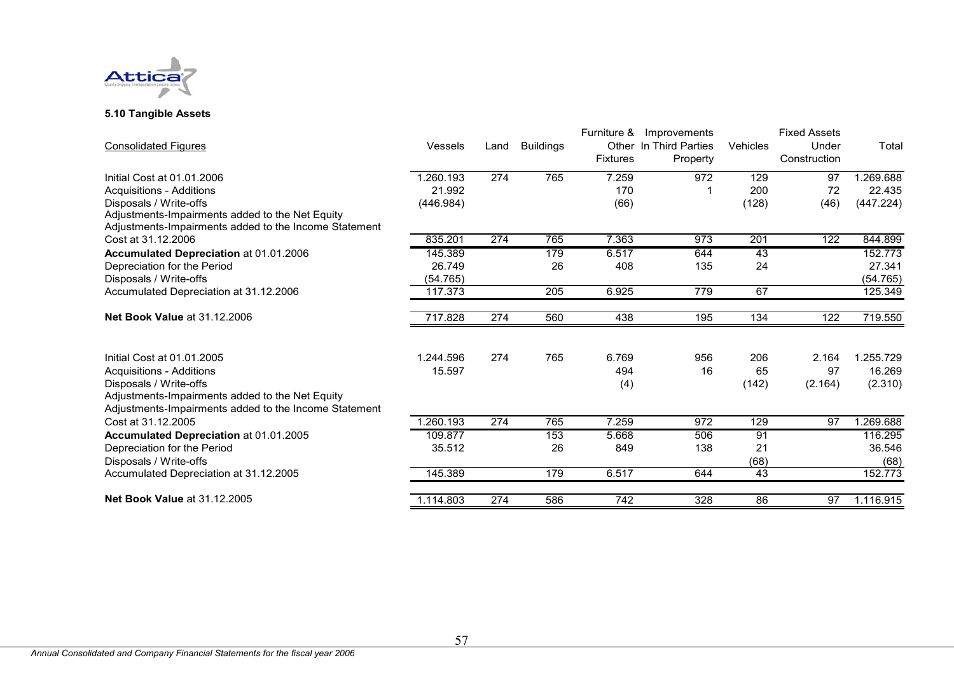

#### **5.10 Tangible Assets**

|           |     |                  | Furniture &      | Improvements |                        | <b>Fixed Assets</b> |                 |
|-----------|-----|------------------|------------------|--------------|------------------------|---------------------|-----------------|
| Vessels   |     | <b>Buildings</b> |                  |              | Vehicles               | Under               | Total           |
|           |     |                  | <b>Fixtures</b>  | Property     |                        | Construction        |                 |
| 1.260.193 | 274 | 765              | 7.259            | 972          | 129                    | 97                  | 1.269.688       |
| 21.992    |     |                  | 170              |              | 200                    | 72                  | 22.435          |
| (446.984) |     |                  | (66)             |              |                        |                     | (447.224)       |
|           |     |                  |                  |              |                        |                     |                 |
|           |     |                  |                  |              |                        |                     |                 |
| 835.201   | 274 | 765              | 7.363            | 973          | 201                    | 122                 | 844.899         |
| 145.389   |     | 179              | 6.517            | 644          | 43                     |                     | 152.773         |
| 26.749    |     | 26               | 408              | 135          | 24                     |                     | 27.341          |
| (54.765)  |     |                  |                  |              |                        |                     | (54.765)        |
| 117.373   |     | 205              | 6.925            | 779          | 67                     |                     | 125.349         |
| 717.828   | 274 | 560              | 438              | 195          | 134                    | 122                 | 719.550         |
| 1.244.596 | 274 |                  | 6.769            | 956          | 206                    | 2.164               | 1.255.729       |
| 15.597    |     |                  | 494              | 16           | 65                     | 97                  | 16.269          |
|           |     |                  |                  |              |                        |                     | (2.310)         |
|           |     |                  |                  |              |                        |                     |                 |
|           |     |                  |                  |              |                        |                     |                 |
| 1.260.193 | 274 | 765              | 7.259            | 972          | 129                    | 97                  | 1.269.688       |
| 109.877   |     | 153              | 5.668            | 506          | 91                     |                     | 116.295         |
| 35.512    |     | 26               | 849              | 138          | 21                     |                     | 36.546          |
|           |     |                  |                  |              | (68)                   |                     | (68)            |
| 145.389   |     | 179              | 6.517            | 644          | 43                     |                     | 152.773         |
| 1.114.803 | 274 | 586              | $\overline{742}$ | 328          | 86                     | 97                  | 1.116.915       |
|           |     |                  | Land<br>765      | (4)          | Other In Third Parties | (128)<br>(142)      | (46)<br>(2.164) |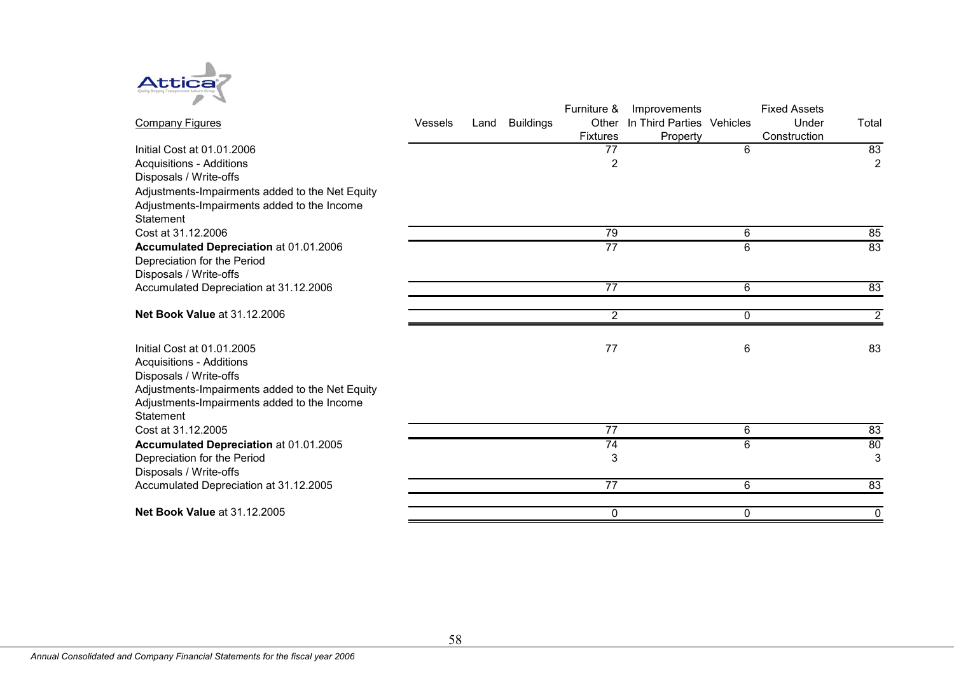

|                                                 |                |      |                  | Furniture &     | Improvements              |   | <b>Fixed Assets</b> |                  |
|-------------------------------------------------|----------------|------|------------------|-----------------|---------------------------|---|---------------------|------------------|
| <b>Company Figures</b>                          | <b>Vessels</b> | Land | <b>Buildings</b> | Other           | In Third Parties Vehicles |   | Under               | Total            |
|                                                 |                |      |                  | <b>Fixtures</b> | Property                  |   | Construction        |                  |
| Initial Cost at 01.01.2006                      |                |      |                  | 77              |                           | 6 |                     | 83               |
| <b>Acquisitions - Additions</b>                 |                |      |                  | 2               |                           |   |                     | $\overline{2}$   |
| Disposals / Write-offs                          |                |      |                  |                 |                           |   |                     |                  |
| Adjustments-Impairments added to the Net Equity |                |      |                  |                 |                           |   |                     |                  |
| Adjustments-Impairments added to the Income     |                |      |                  |                 |                           |   |                     |                  |
| Statement                                       |                |      |                  |                 |                           |   |                     |                  |
| Cost at 31.12.2006                              |                |      |                  | 79              |                           | 6 |                     | 85               |
| Accumulated Depreciation at 01.01.2006          |                |      |                  | $\overline{77}$ |                           | 6 |                     | 83               |
| Depreciation for the Period                     |                |      |                  |                 |                           |   |                     |                  |
| Disposals / Write-offs                          |                |      |                  |                 |                           |   |                     |                  |
| Accumulated Depreciation at 31.12.2006          |                |      |                  | 77              |                           | 6 |                     | 83               |
|                                                 |                |      |                  |                 |                           |   |                     |                  |
| <b>Net Book Value at 31.12.2006</b>             |                |      |                  | 2               |                           | 0 |                     | $\boldsymbol{2}$ |
|                                                 |                |      |                  |                 |                           |   |                     |                  |
| Initial Cost at 01.01.2005                      |                |      |                  | 77              |                           | 6 |                     | 83               |
| <b>Acquisitions - Additions</b>                 |                |      |                  |                 |                           |   |                     |                  |
| Disposals / Write-offs                          |                |      |                  |                 |                           |   |                     |                  |
| Adjustments-Impairments added to the Net Equity |                |      |                  |                 |                           |   |                     |                  |
| Adjustments-Impairments added to the Income     |                |      |                  |                 |                           |   |                     |                  |
| Statement                                       |                |      |                  |                 |                           |   |                     |                  |
| Cost at 31.12.2005                              |                |      |                  | 77              |                           | 6 |                     | 83               |
| Accumulated Depreciation at 01.01.2005          |                |      |                  | $\overline{74}$ |                           | 6 |                     | 80               |
| Depreciation for the Period                     |                |      |                  | 3               |                           |   |                     | 3                |
| Disposals / Write-offs                          |                |      |                  |                 |                           |   |                     |                  |
| Accumulated Depreciation at 31.12.2005          |                |      |                  | 77              |                           | 6 |                     | 83               |
| <b>Net Book Value at 31.12.2005</b>             |                |      |                  | 0               |                           | 0 |                     | $\mathbf 0$      |
|                                                 |                |      |                  |                 |                           |   |                     |                  |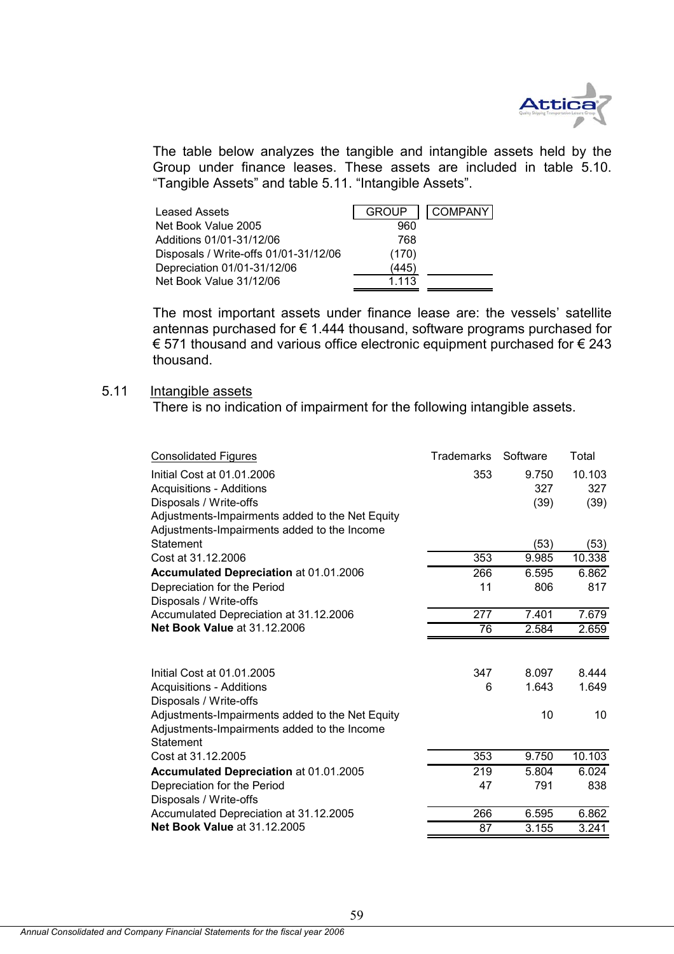

The table below analyzes the tangible and intangible assets held by the Group under finance leases. These assets are included in table 5.10. "Tangible Assets" and table 5.11. "Intangible Assets".

| <b>Leased Assets</b>                  | <b>GROUP</b> | <b>COMPANY</b> |
|---------------------------------------|--------------|----------------|
| Net Book Value 2005                   | 960          |                |
| Additions 01/01-31/12/06              | 768          |                |
| Disposals / Write-offs 01/01-31/12/06 | (170)        |                |
| Depreciation 01/01-31/12/06           | (445)        |                |
| Net Book Value 31/12/06               | 1 1 1 3      |                |

The most important assets under finance lease are: the vessels' satellite antennas purchased for  $\epsilon$  1.444 thousand, software programs purchased for € 571 thousand and various office electronic equipment purchased for € 243 thousand.

## 5.11 Intangible assets

There is no indication of impairment for the following intangible assets.

| <b>Consolidated Figures</b>                     | Trademarks | Software | Total  |
|-------------------------------------------------|------------|----------|--------|
| Initial Cost at 01.01.2006                      | 353        | 9.750    | 10.103 |
| <b>Acquisitions - Additions</b>                 |            | 327      | 327    |
| Disposals / Write-offs                          |            | (39)     | (39)   |
| Adjustments-Impairments added to the Net Equity |            |          |        |
| Adjustments-Impairments added to the Income     |            |          |        |
| Statement                                       |            | (53)     | (53)   |
| Cost at 31.12.2006                              | 353        | 9.985    | 10.338 |
| Accumulated Depreciation at 01.01.2006          | 266        | 6.595    | 6.862  |
| Depreciation for the Period                     | 11         | 806      | 817    |
| Disposals / Write-offs                          |            |          |        |
| Accumulated Depreciation at 31.12.2006          | 277        | 7.401    | 7.679  |
| <b>Net Book Value at 31.12.2006</b>             | 76         | 2.584    | 2.659  |
|                                                 |            |          |        |
| Initial Cost at 01.01.2005                      | 347        | 8.097    | 8.444  |
| <b>Acquisitions - Additions</b>                 | 6          | 1.643    | 1.649  |
| Disposals / Write-offs                          |            |          |        |
| Adjustments-Impairments added to the Net Equity |            | 10       | 10     |
| Adjustments-Impairments added to the Income     |            |          |        |
| Statement                                       |            |          |        |
| Cost at 31.12.2005                              | 353        | 9.750    | 10.103 |
| Accumulated Depreciation at 01.01.2005          | 219        | 5.804    | 6.024  |
| Depreciation for the Period                     | 47         | 791      | 838    |
| Disposals / Write-offs                          |            |          |        |
| Accumulated Depreciation at 31.12.2005          | 266        | 6.595    | 6.862  |
| <b>Net Book Value at 31.12.2005</b>             | 87         | 3.155    | 3.241  |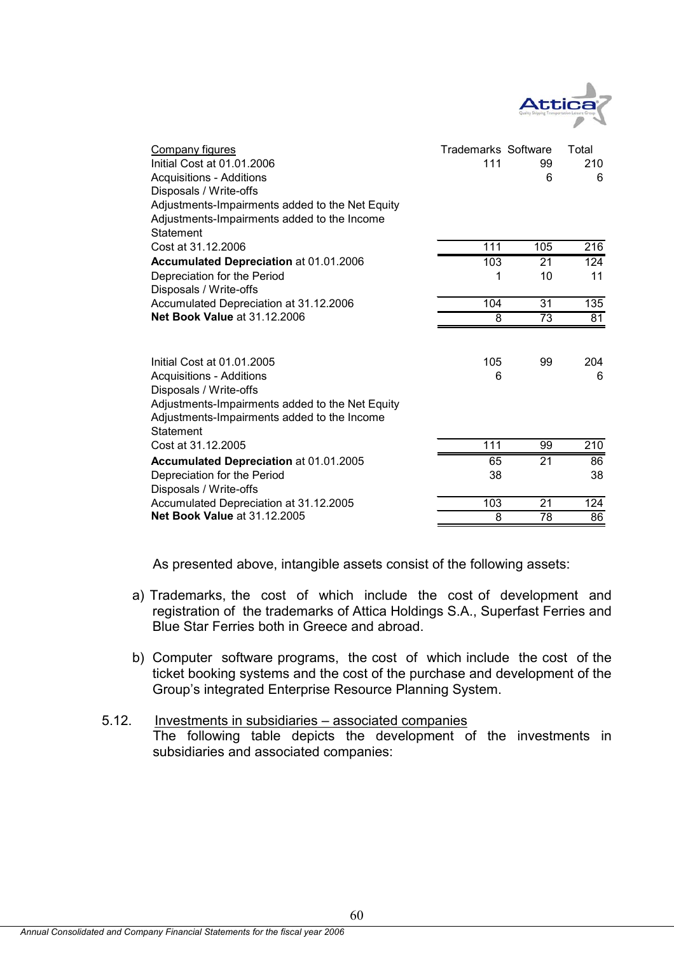

| Company figures<br>Initial Cost at 01.01.2006<br><b>Acquisitions - Additions</b><br>Disposals / Write-offs<br>Adjustments-Impairments added to the Net Equity<br>Adjustments-Impairments added to the Income<br>Statement | <b>Trademarks Software</b><br>111 | 99<br>6 | Total<br>210<br>6 |
|---------------------------------------------------------------------------------------------------------------------------------------------------------------------------------------------------------------------------|-----------------------------------|---------|-------------------|
| Cost at 31.12.2006                                                                                                                                                                                                        | 111                               | 105     | 216               |
| <b>Accumulated Depreciation at 01.01.2006</b>                                                                                                                                                                             | 103                               | 21      | 124               |
| Depreciation for the Period<br>Disposals / Write-offs                                                                                                                                                                     | 1                                 | 10      | 11                |
| Accumulated Depreciation at 31.12.2006                                                                                                                                                                                    | 104                               | 31      | $\overline{135}$  |
| <b>Net Book Value at 31.12.2006</b>                                                                                                                                                                                       | 8                                 | 73      | 81                |
| Initial Cost at 01.01.2005<br><b>Acquisitions - Additions</b><br>Disposals / Write-offs<br>Adjustments-Impairments added to the Net Equity<br>Adjustments-Impairments added to the Income<br>Statement                    | 105<br>6                          | 99      | 204<br>6          |
| Cost at 31.12.2005                                                                                                                                                                                                        | 111                               | 99      | 210               |
| Accumulated Depreciation at 01.01.2005                                                                                                                                                                                    | 65                                | 21      | 86                |
| Depreciation for the Period<br>Disposals / Write-offs                                                                                                                                                                     | 38                                |         | 38                |
| Accumulated Depreciation at 31.12.2005                                                                                                                                                                                    | 103                               | 21      | 124               |
| <b>Net Book Value at 31.12.2005</b>                                                                                                                                                                                       | 8                                 | 78      | 86                |

As presented above, intangible assets consist of the following assets:

- a) Trademarks, the cost of which include the cost of development and registration of the trademarks of Attica Holdings S.A., Superfast Ferries and Blue Star Ferries both in Greece and abroad.
- b) Computer software programs, the cost of which include the cost of the ticket booking systems and the cost of the purchase and development of the Group's integrated Enterprise Resource Planning System.
- 5.12. Investments in subsidiaries associated companies The following table depicts the development of the investments in subsidiaries and associated companies: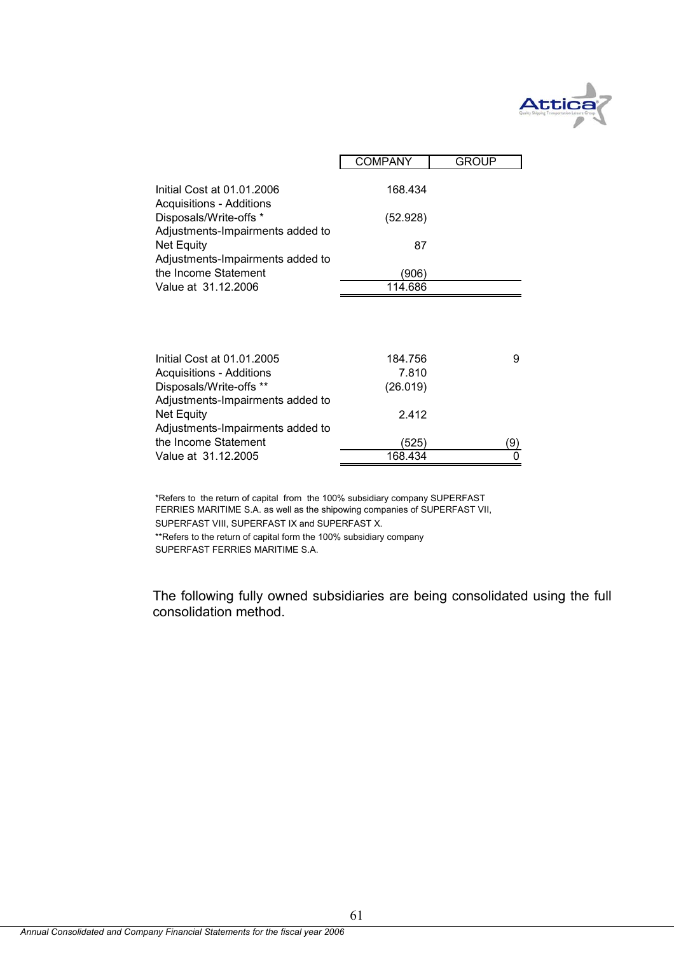

|                                                                                               | <b>COMPANY</b> | <b>GROUP</b> |
|-----------------------------------------------------------------------------------------------|----------------|--------------|
| Initial Cost at 01.01.2006                                                                    | 168.434        |              |
| <b>Acquisitions - Additions</b><br>Disposals/Write-offs *<br>Adjustments-Impairments added to | (52.928)       |              |
| Net Equity<br>Adjustments-Impairments added to                                                | 87             |              |
| the Income Statement                                                                          | (906)          |              |
| Value at 31.12.2006                                                                           | 114.686        |              |
|                                                                                               |                |              |
| Initial Cost at 01.01.2005                                                                    | 184.756        | 9            |
| <b>Acquisitions - Additions</b>                                                               | 7.810          |              |
| Disposals/Write-offs **                                                                       | (26.019)       |              |
| Adjustments-Impairments added to                                                              |                |              |
| Net Equity                                                                                    | 2.412          |              |
| Adjustments-Impairments added to                                                              |                |              |
| the Income Statement                                                                          | (525)          | (9)          |
| Value at 31.12.2005                                                                           | 168.434        | 0            |

\*\*Refers to the return of capital form the 100% subsidiary company \*Refers to the return of capital from the 100% subsidiary company SUPERFAST FERRIES MARITIME S.A. as well as the shipowing companies of SUPERFAST VII, SUPERFAST VIII, SUPERFAST IX and SUPERFAST X.

SUPERFAST FERRIES MARITIME S.A.

The following fully owned subsidiaries are being consolidated using the full consolidation method.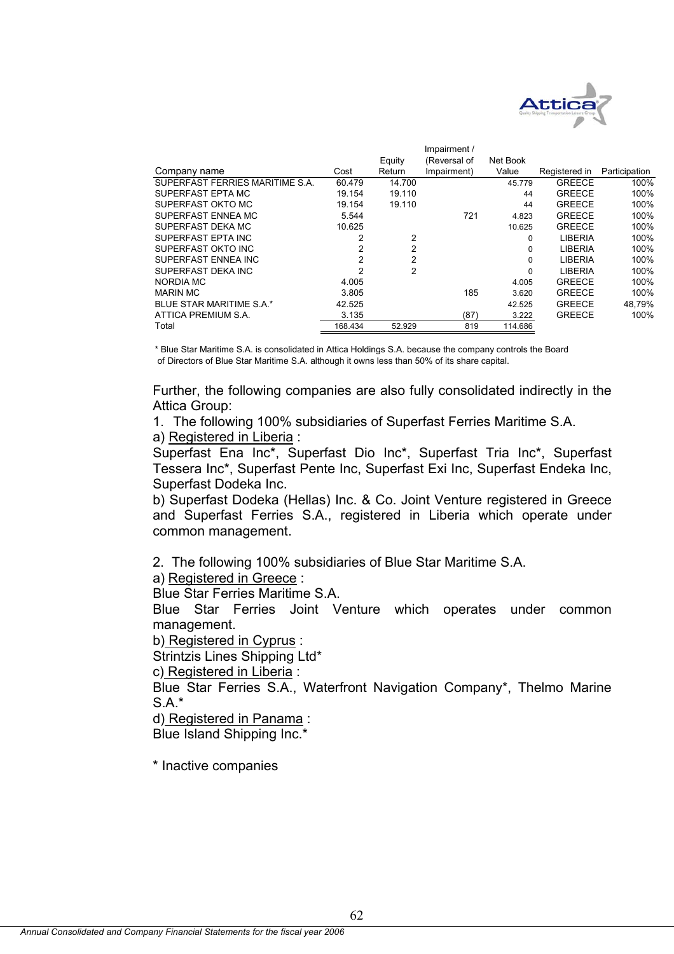

|                                 |         |        | Impairment / |          |                |               |
|---------------------------------|---------|--------|--------------|----------|----------------|---------------|
|                                 |         | Equity | (Reversal of | Net Book |                |               |
| Company name                    | Cost    | Return | Impairment)  | Value    | Registered in  | Participation |
| SUPERFAST FERRIES MARITIME S.A. | 60.479  | 14.700 |              | 45.779   | <b>GREECE</b>  | 100%          |
| SUPERFAST EPTA MC               | 19.154  | 19.110 |              | 44       | <b>GREECE</b>  | 100%          |
| SUPERFAST OKTO MC               | 19.154  | 19.110 |              | 44       | <b>GREECE</b>  | 100%          |
| SUPERFAST ENNEA MC              | 5.544   |        | 721          | 4.823    | <b>GREECE</b>  | 100%          |
| SUPERFAST DEKA MC               | 10.625  |        |              | 10.625   | <b>GREECE</b>  | 100%          |
| SUPERFAST EPTA INC              | 2       | 2      |              | 0        | <b>LIBERIA</b> | 100%          |
| SUPERFAST OKTO INC              | 2       | 2      |              | 0        | <b>LIBERIA</b> | 100%          |
| SUPERFAST ENNEA INC             | 2       | 2      |              | 0        | <b>LIBERIA</b> | 100%          |
| SUPERFAST DEKA INC              | 2       | 2      |              | 0        | <b>LIBERIA</b> | 100%          |
| NORDIA MC                       | 4.005   |        |              | 4.005    | <b>GREECE</b>  | 100%          |
| <b>MARIN MC</b>                 | 3.805   |        | 185          | 3.620    | <b>GREECE</b>  | 100%          |
| BLUE STAR MARITIME S.A.*        | 42.525  |        |              | 42.525   | <b>GREECE</b>  | 48,79%        |
| ATTICA PREMIUM S.A.             | 3.135   |        | (87)         | 3.222    | <b>GREECE</b>  | 100%          |
| Total                           | 168.434 | 52.929 | 819          | 114.686  |                |               |

\* Blue Star Maritime S.A. is consolidated in Attica Holdings S.A. because the company controls the Board of Directors of Blue Star Maritime S.A. although it owns less than 50% of its share capital.

Further, the following companies are also fully consolidated indirectly in the Attica Group:

1. The following 100% subsidiaries of Superfast Ferries Maritime S.A. a) Registered in Liberia :

Superfast Ena Inc\*, Superfast Dio Inc\*, Superfast Tria Inc\*, Superfast Tessera Inc\*, Superfast Pente Inc, Superfast Exi Inc, Superfast Endeka Inc, Superfast Dodeka Inc.

b) Superfast Dodeka (Hellas) Inc. & Co. Joint Venture registered in Greece and Superfast Ferries S.A., registered in Liberia which operate under common management.

2. The following 100% subsidiaries of Blue Star Maritime S.A.

a) Registered in Greece :

Blue Star Ferries Maritime S.A.

Blue Star Ferries Joint Venture which operates under common management.

b) Registered in Cyprus :

Strintzis Lines Shipping Ltd\*

c) Registered in Liberia :

Blue Star Ferries S.A., Waterfront Navigation Company\*, Thelmo Marine  $S$  A $*$ 

d) Registered in Panama :

Blue Island Shipping Inc.\*

\* Inactive companies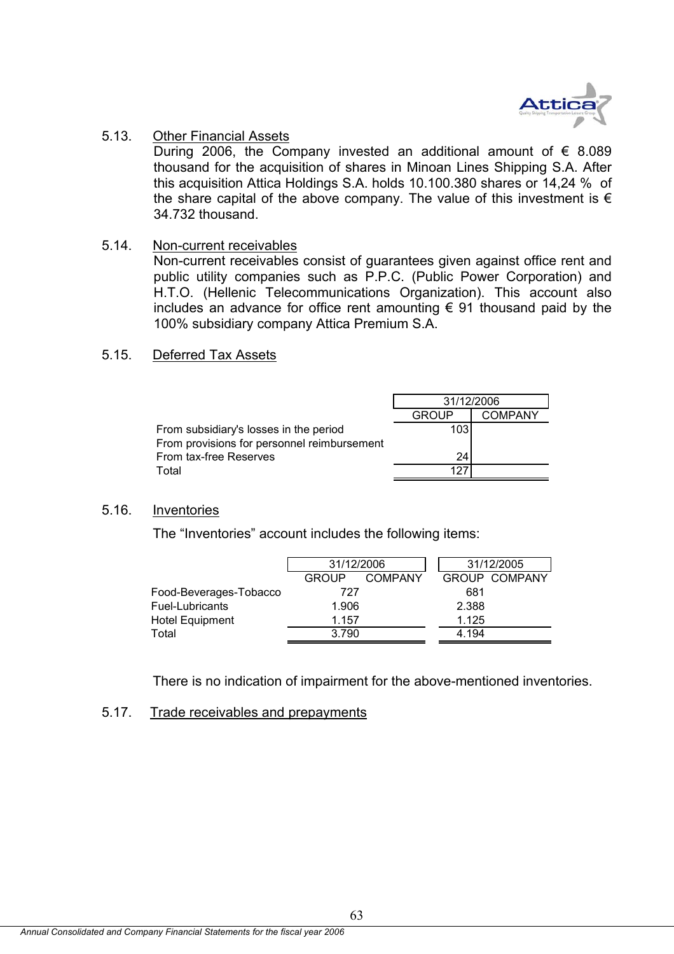

#### 5.13. Other Financial Assets

During 2006, the Company invested an additional amount of  $\epsilon$  8.089 thousand for the acquisition of shares in Minoan Lines Shipping S.A. After this acquisition Attica Holdings S.A. holds 10.100.380 shares or 14,24 % of the share capital of the above company. The value of this investment is  $\epsilon$ 34.732 thousand.

## 5.14. Non-current receivables

Non-current receivables consist of guarantees given against office rent and public utility companies such as P.P.C. (Public Power Corporation) and H.T.O. (Hellenic Telecommunications Organization). This account also includes an advance for office rent amounting  $\epsilon$  91 thousand paid by the 100% subsidiary company Attica Premium S.A.

## 5.15. Deferred Tax Assets

|                                             | 31/12/2006   |                |
|---------------------------------------------|--------------|----------------|
|                                             | <b>GROUP</b> | <b>COMPANY</b> |
| From subsidiary's losses in the period      | 103          |                |
| From provisions for personnel reimbursement |              |                |
| From tax-free Reserves                      | 24           |                |
| Total                                       |              |                |

## 5.16. Inventories

The "Inventories" account includes the following items:

|                        | 31/12/2006 |                |       | 31/12/2005           |
|------------------------|------------|----------------|-------|----------------------|
|                        | GROUP      | <b>COMPANY</b> |       | <b>GROUP COMPANY</b> |
| Food-Beverages-Tobacco | 727        |                | 681   |                      |
| Fuel-Lubricants        | 1.906      |                | 2.388 |                      |
| <b>Hotel Equipment</b> | 1.157      |                | 1.125 |                      |
| Total                  | 3.790      |                | 4.194 |                      |

There is no indication of impairment for the above-mentioned inventories.

## 5.17. Trade receivables and prepayments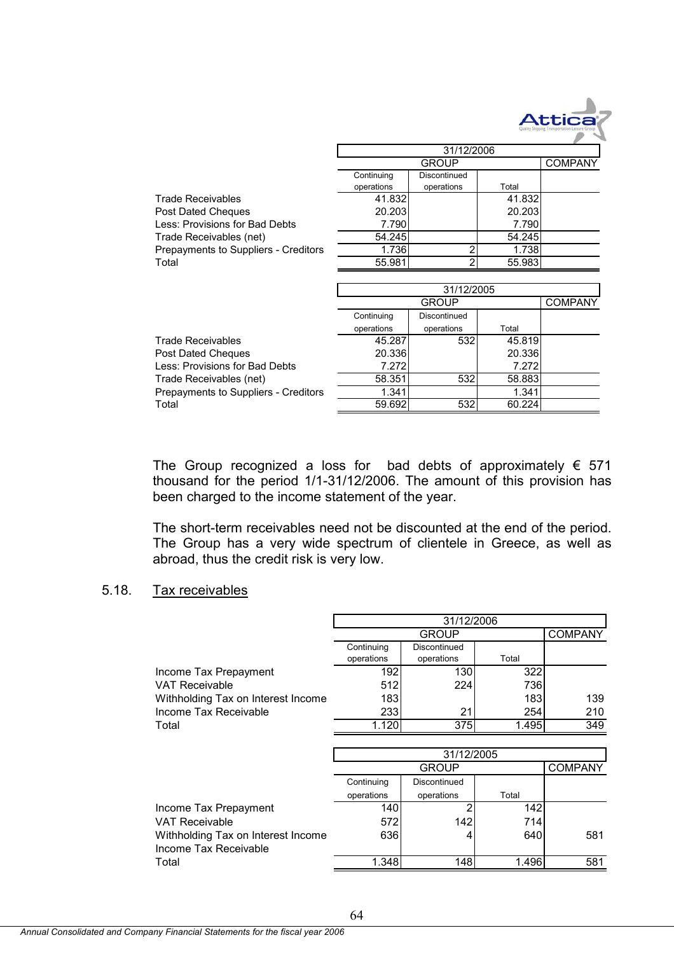

31/12/2006

|                                      | 31/12/2000 |              |        |                |  |
|--------------------------------------|------------|--------------|--------|----------------|--|
|                                      |            | <b>GROUP</b> |        | <b>COMPANY</b> |  |
|                                      | Continuing | Discontinued |        |                |  |
|                                      | operations | operations   | Total  |                |  |
| <b>Trade Receivables</b>             | 41.832     |              | 41.832 |                |  |
| Post Dated Cheques                   | 20.203     |              | 20.203 |                |  |
| Less: Provisions for Bad Debts       | 7.790      |              | 7.790  |                |  |
| Trade Receivables (net)              | 54.245     |              | 54.245 |                |  |
| Prepayments to Suppliers - Creditors | 1.736      |              | 1.738  |                |  |
| Total                                | 55.981     |              | 55.983 |                |  |
|                                      |            |              |        |                |  |
|                                      |            | 31/12/2005   |        |                |  |
|                                      |            | <b>GROUP</b> |        | <b>COMPANY</b> |  |
|                                      | Continuing | Discontinued |        |                |  |
|                                      | operations | operations   | Total  |                |  |
|                                      |            |              |        |                |  |
| <b>Trade Receivables</b>             | 45.287     | 532          | 45.819 |                |  |
| Post Dated Cheques                   | 20.336     |              | 20.336 |                |  |
| Less: Provisions for Bad Debts       | 7.272      |              | 7.272  |                |  |
| Trade Receivables (net)              | 58.351     | 532          | 58.883 |                |  |
| Prepayments to Suppliers - Creditors | 1.341      |              | 1.341  |                |  |

The Group recognized a loss for bad debts of approximately  $\epsilon$  571 thousand for the period 1/1-31/12/2006. The amount of this provision has been charged to the income statement of the year.

The short-term receivables need not be discounted at the end of the period. The Group has a very wide spectrum of clientele in Greece, as well as abroad, thus the credit risk is very low.

#### 5.18. Tax receivables

|                                    | 31/12/2006 |              |       |                |
|------------------------------------|------------|--------------|-------|----------------|
|                                    |            | <b>GROUP</b> |       | <b>COMPANY</b> |
|                                    | Continuing | Discontinued |       |                |
|                                    | operations | operations   | Total |                |
| Income Tax Prepayment              | 192        | 130          | 322   |                |
| <b>VAT Receivable</b>              | 512        | 224          | 736   |                |
| Withholding Tax on Interest Income | 183        |              | 183   | 139            |
| Income Tax Receivable              | 233        | 21           | 254   | 210            |
| Total                              | 1.120      | 375          | 1.495 | 349            |
|                                    |            |              |       |                |
|                                    |            | 31/12/2005   |       |                |
|                                    |            | <b>GROUP</b> |       | <b>COMPANY</b> |
|                                    | Continuing | Discontinued |       |                |
|                                    | operations | operations   | Total |                |
| Income Tax Prepayment              | 140        |              | 142   |                |
| <b>VAT Receivable</b>              | 572        | 142          | 714I  |                |
| Withholding Tax on Interest Income | 636        | 4            | 640   | 581            |
| Income Tax Receivable              |            |              |       |                |
| Total                              | 1.348      | 148          | 1.496 | 581            |

64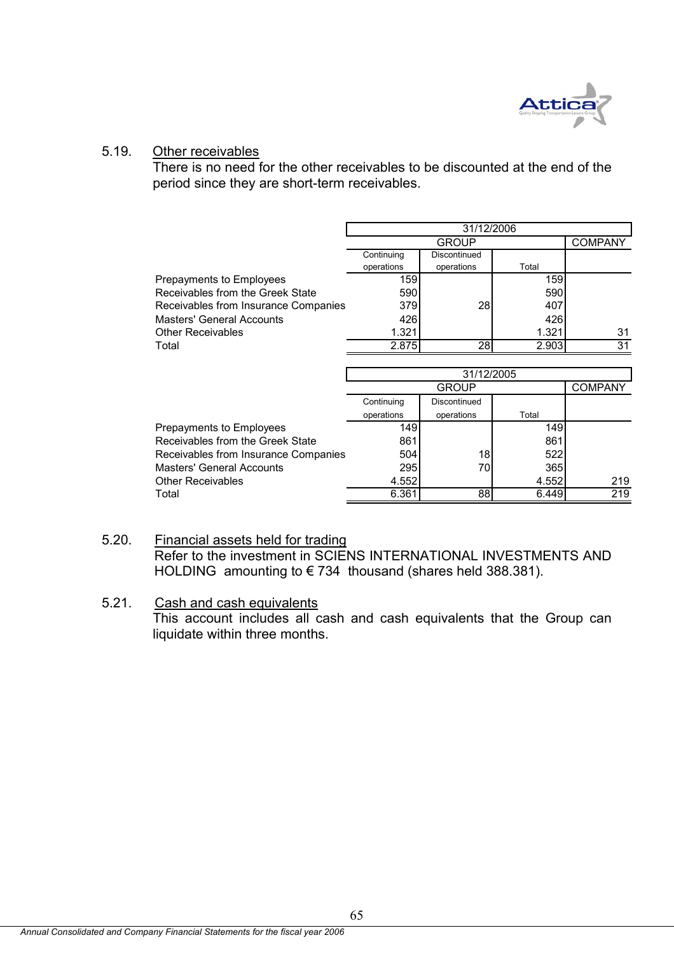

## 5.19. Other receivables

There is no need for the other receivables to be discounted at the end of the period since they are short-term receivables.

|                                      | 31/12/2006 |              |       |                |
|--------------------------------------|------------|--------------|-------|----------------|
|                                      |            | <b>GROUP</b> |       | <b>COMPANY</b> |
|                                      | Continuing | Discontinued |       |                |
|                                      | operations | operations   | Total |                |
| Prepayments to Employees             | 159        |              | 159   |                |
| Receivables from the Greek State     | 590        |              | 590   |                |
| Receivables from Insurance Companies | 379        | 28           | 407   |                |
| <b>Masters' General Accounts</b>     | 426        |              | 426   |                |
| <b>Other Receivables</b>             | 1.321      |              | 1.321 | 31             |
| Total                                | 2.875      | 28I          | 2.903 | 31             |
|                                      |            |              |       |                |

|                                      | 31/12/2005 |              |       |                |  |
|--------------------------------------|------------|--------------|-------|----------------|--|
|                                      |            | <b>GROUP</b> |       | <b>COMPANY</b> |  |
|                                      | Continuing | Discontinued |       |                |  |
|                                      | operations | operations   | Total |                |  |
| Prepayments to Employees             | 149        |              | 149   |                |  |
| Receivables from the Greek State     | 861        |              | 861   |                |  |
| Receivables from Insurance Companies | 504        | 18           | 522   |                |  |
| <b>Masters' General Accounts</b>     | 295        | 70           | 365   |                |  |
| <b>Other Receivables</b>             | 4.552      |              | 4.552 | 219            |  |
| Total                                | 6.361      | 88           | 6.449 | 219            |  |

## 5.20. Financial assets held for trading Refer to the investment in SCIENS INTERNATIONAL INVESTMENTS AND HOLDING amounting to € 734 thousand (shares held 388.381).

## 5.21. Cash and cash equivalents This account includes all cash and cash equivalents that the Group can liquidate within three months.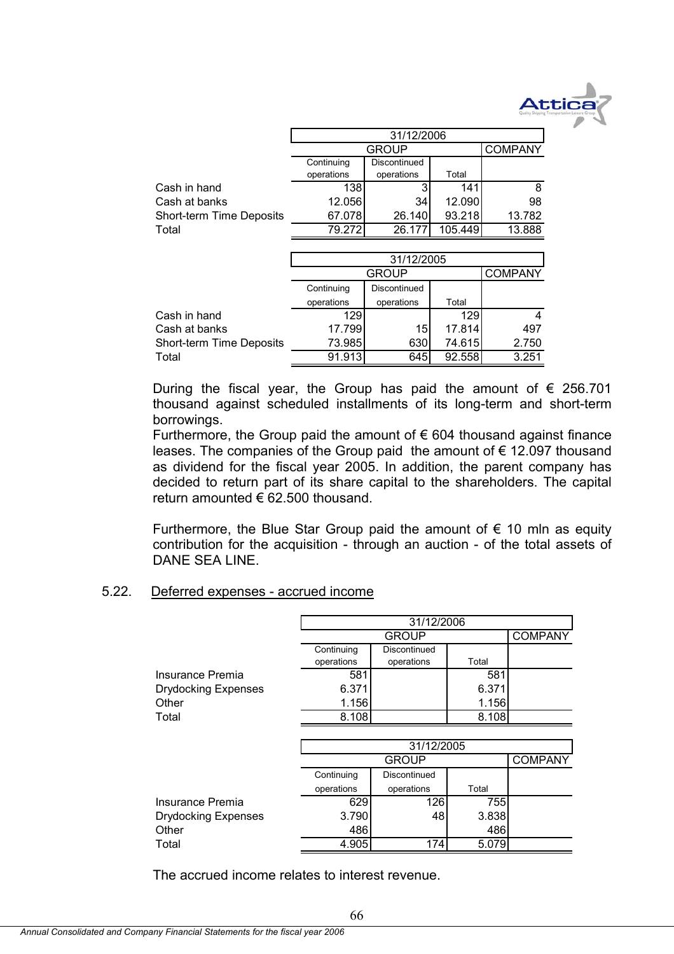

|                          | 31/12/2006 |              |         |                |  |
|--------------------------|------------|--------------|---------|----------------|--|
|                          |            | <b>GROUP</b> |         | <b>COMPANY</b> |  |
|                          | Continuing | Discontinued |         |                |  |
|                          | operations | operations   | Total   |                |  |
| Cash in hand             | 138        |              | 141     | 8              |  |
| Cash at banks            | 12.056     | 34           | 12.090  | 98             |  |
| Short-term Time Deposits | 67.078     | 26.140       | 93.218  | 13.782         |  |
| Total                    | 79.2721    | 26.17        | 105.449 | 13.888         |  |
|                          |            |              |         |                |  |

|                          | 31/12/2005 |                 |        |                |  |
|--------------------------|------------|-----------------|--------|----------------|--|
|                          |            | <b>GROUP</b>    |        | <b>COMPANY</b> |  |
|                          | Continuing | Discontinued    |        |                |  |
|                          | operations | operations      | Total  |                |  |
| Cash in hand             | 129        |                 | 129    | 4              |  |
| Cash at banks            | 17.799     | 15 <sup>1</sup> | 17.814 | 497            |  |
| Short-term Time Deposits | 73.985     | 630             | 74.615 | 2.750          |  |
| Total                    | 91.913     | 645             | 92.558 | 3.251          |  |

During the fiscal year, the Group has paid the amount of  $\epsilon$  256.701 thousand against scheduled installments of its long-term and short-term borrowings.

Furthermore, the Group paid the amount of  $\epsilon$  604 thousand against finance leases. The companies of the Group paid the amount of  $\epsilon$  12.097 thousand as dividend for the fiscal year 2005. In addition, the parent company has decided to return part of its share capital to the shareholders. The capital return amounted  $\epsilon$  62.500 thousand.

Furthermore, the Blue Star Group paid the amount of  $\epsilon$  10 mln as equity contribution for the acquisition - through an auction - of the total assets of DANE SEA LINE.

### 5.22. Deferred expenses - accrued income

|                            | 31/12/2006 |              |       |                |  |
|----------------------------|------------|--------------|-------|----------------|--|
|                            |            | <b>GROUP</b> |       | <b>COMPANY</b> |  |
|                            | Continuing | Discontinued |       |                |  |
|                            | operations | operations   | Total |                |  |
| Insurance Premia           | 581        |              | 581   |                |  |
| <b>Drydocking Expenses</b> | 6.371      |              | 6.371 |                |  |
| Other                      | 1.156      |              | 1.156 |                |  |
| Total                      | 8.108      |              | 8.108 |                |  |
|                            |            |              |       |                |  |
|                            |            | 31/12/2005   |       |                |  |
|                            |            | <b>GROUP</b> |       | <b>COMPANY</b> |  |
|                            | Continuing | Discontinued |       |                |  |
|                            | operations | operations   | Total |                |  |
| Insurance Premia           | 629        | 126          | 755   |                |  |
| <b>Drydocking Expenses</b> | 3.790      | 48           | 3.838 |                |  |
| Other                      | 486        |              | 486   |                |  |
| Total                      | 4.905      | 174          | 5.079 |                |  |
|                            |            |              |       |                |  |

The accrued income relates to interest revenue.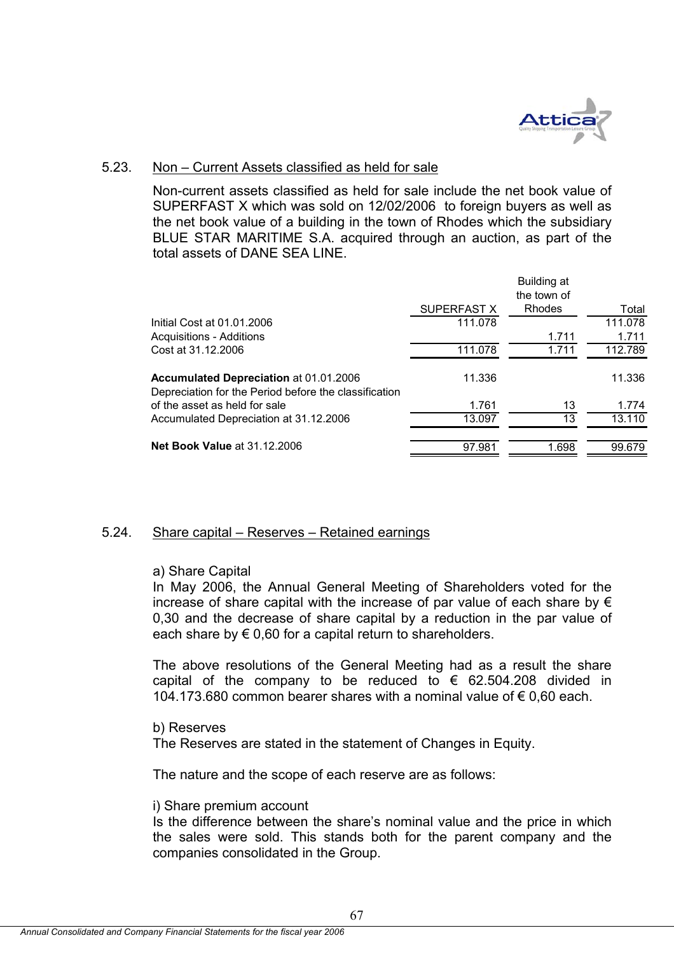

## 5.23. Non – Current Assets classified as held for sale

Non-current assets classified as held for sale include the net book value of SUPERFAST X which was sold on 12/02/2006 to foreign buyers as well as the net book value of a building in the town of Rhodes which the subsidiary BLUE STAR MARITIME S.A. acquired through an auction, as part of the total assets of DANE SEA LINE.

|                                                                                                 |             | Building at<br>the town of |         |
|-------------------------------------------------------------------------------------------------|-------------|----------------------------|---------|
|                                                                                                 | SUPERFAST X | <b>Rhodes</b>              | Total   |
| Initial Cost at 01.01.2006                                                                      | 111.078     |                            | 111.078 |
| <b>Acquisitions - Additions</b>                                                                 |             | 1.711                      | 1.711   |
| Cost at 31.12.2006                                                                              | 111.078     | 1 7 1 1                    | 112.789 |
| Accumulated Depreciation at 01.01.2006<br>Depreciation for the Period before the classification | 11.336      |                            | 11.336  |
| of the asset as held for sale                                                                   | 1.761       | 13                         | 1.774   |
| Accumulated Depreciation at 31.12.2006                                                          | 13.097      | 13                         | 13.110  |
| <b>Net Book Value at 31.12.2006</b>                                                             | 97.981      | 1.698                      | 99.679  |

## 5.24. Share capital – Reserves – Retained earnings

#### a) Share Capital

In May 2006, the Annual General Meeting of Shareholders voted for the increase of share capital with the increase of par value of each share by  $\epsilon$ 0,30 and the decrease of share capital by a reduction in the par value of each share by  $\epsilon$  0,60 for a capital return to shareholders.

The above resolutions of the General Meeting had as a result the share capital of the company to be reduced to  $\epsilon$  62.504.208 divided in 104.173.680 common bearer shares with a nominal value of € 0,60 each.

#### b) Reserves

The Reserves are stated in the statement of Changes in Equity.

The nature and the scope of each reserve are as follows:

#### i) Share premium account

Is the difference between the share's nominal value and the price in which the sales were sold. This stands both for the parent company and the companies consolidated in the Group.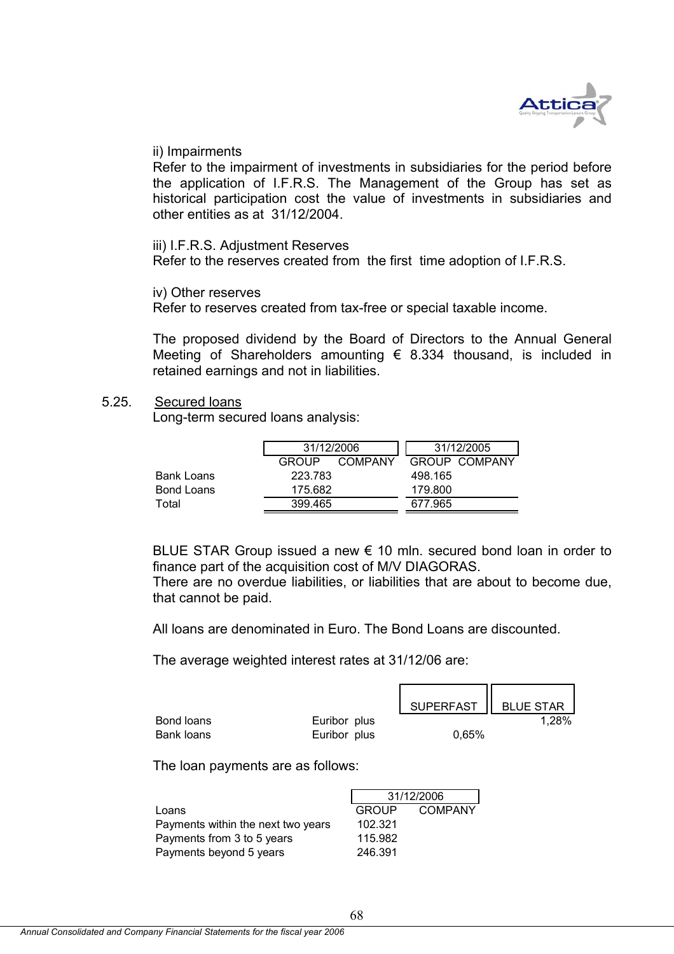

#### ii) Impairments

Refer to the impairment of investments in subsidiaries for the period before the application of I.F.R.S. The Management of the Group has set as historical participation cost the value of investments in subsidiaries and other entities as at 31/12/2004.

iii) I.F.R.S. Adjustment Reserves

Refer to the reserves created from the first time adoption of I.F.R.S.

iv) Other reserves

Refer to reserves created from tax-free or special taxable income.

The proposed dividend by the Board of Directors to the Annual General Meeting of Shareholders amounting  $\epsilon$  8.334 thousand, is included in retained earnings and not in liabilities.

#### 5.25. Secured loans

Long-term secured loans analysis:

|            | 31/12/2006   |                |         | 31/12/2005    |
|------------|--------------|----------------|---------|---------------|
|            | <b>GROUP</b> | <b>COMPANY</b> |         | GROUP COMPANY |
| Bank Loans | 223.783      |                | 498.165 |               |
| Bond Loans | 175.682      |                | 179.800 |               |
| Total      | 399.465      |                | 677.965 |               |
|            |              |                |         |               |

BLUE STAR Group issued a new  $\epsilon$  10 mln. secured bond loan in order to finance part of the acquisition cost of M/V DIAGORAS.

There are no overdue liabilities, or liabilities that are about to become due, that cannot be paid.

All loans are denominated in Euro. The Bond Loans are discounted.

The average weighted interest rates at 31/12/06 are:

|            |              | SUPERFAST   BLUE STAR |       |
|------------|--------------|-----------------------|-------|
| Bond loans | Euribor plus |                       | 1,28% |
| Bank loans | Euribor plus | 0.65%                 |       |

The loan payments are as follows:

|                                    |              | 31/12/2006 |
|------------------------------------|--------------|------------|
| Loans                              | <b>GROUP</b> | COMPANY    |
| Payments within the next two years | 102.321      |            |
| Payments from 3 to 5 years         | 115.982      |            |
| Payments beyond 5 years            | 246.391      |            |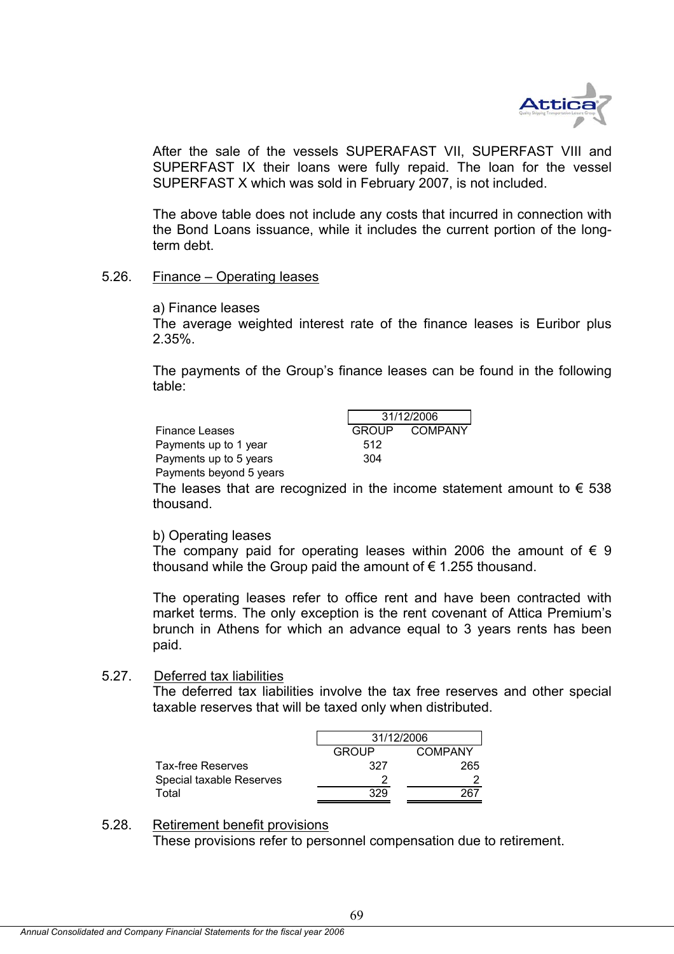

After the sale of the vessels SUPERAFAST VII, SUPERFAST VIII and SUPERFAST IX their loans were fully repaid. The loan for the vessel SUPERFAST X which was sold in February 2007, is not included.

The above table does not include any costs that incurred in connection with the Bond Loans issuance, while it includes the current portion of the longterm debt.

#### 5.26. Finance – Operating leases

a) Finance leases

The average weighted interest rate of the finance leases is Euribor plus 2.35%.

The payments of the Group's finance leases can be found in the following table:

|                         |     | 31/12/2006 |               |  |
|-------------------------|-----|------------|---------------|--|
| <b>Finance Leases</b>   |     |            | GROUP COMPANY |  |
| Payments up to 1 year   | 512 |            |               |  |
| Payments up to 5 years  | 304 |            |               |  |
| Payments beyond 5 years |     |            |               |  |

The leases that are recognized in the income statement amount to  $\epsilon$  538 thousand.

#### b) Operating leases

The company paid for operating leases within 2006 the amount of  $\epsilon$  9 thousand while the Group paid the amount of  $\epsilon$  1.255 thousand.

The operating leases refer to office rent and have been contracted with market terms. The only exception is the rent covenant of Attica Premium's brunch in Athens for which an advance equal to 3 years rents has been paid.

#### 5.27. Deferred tax liabilities

The deferred tax liabilities involve the tax free reserves and other special taxable reserves that will be taxed only when distributed.

| 31/12/2006 |         |  |
|------------|---------|--|
| GROUP      | COMPANY |  |
| 327        | 265     |  |
|            |         |  |
| 329        | ٬67     |  |
|            |         |  |

#### 5.28. Retirement benefit provisions

These provisions refer to personnel compensation due to retirement.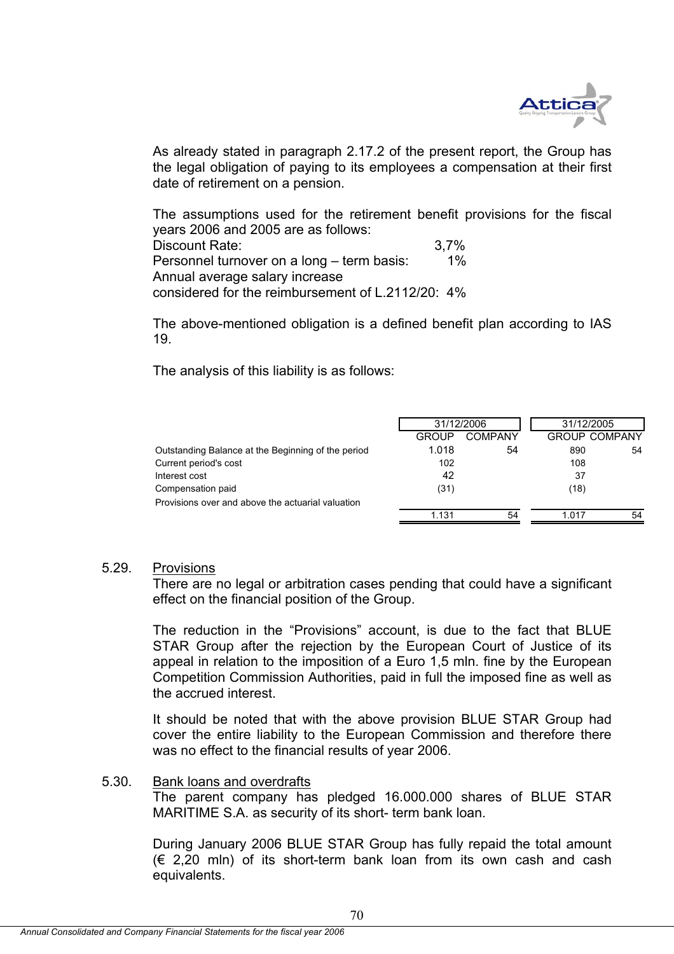

As already stated in paragraph 2.17.2 of the present report, the Group has the legal obligation of paying to its employees a compensation at their first date of retirement on a pension.

The assumptions used for the retirement benefit provisions for the fiscal years 2006 and 2005 are as follows: Discount Rate: 3,7% Personnel turnover on a long – term basis: 1% Annual average salary increase considered for the reimbursement of L.2112/20: 4%

The above-mentioned obligation is a defined benefit plan according to IAS 19.

The analysis of this liability is as follows:

|                                                    |              | 31/12/2006     |       | 31/12/2005           |  |
|----------------------------------------------------|--------------|----------------|-------|----------------------|--|
|                                                    | <b>GROUP</b> | <b>COMPANY</b> |       | <b>GROUP COMPANY</b> |  |
| Outstanding Balance at the Beginning of the period | 1.018        | 54             | 890   | 54                   |  |
| Current period's cost                              | 102          |                | 108   |                      |  |
| Interest cost                                      | 42           |                | 37    |                      |  |
| Compensation paid                                  | (31)         |                | (18)  |                      |  |
| Provisions over and above the actuarial valuation  |              |                |       |                      |  |
|                                                    | 1.131        | 54             | 1.017 | 54                   |  |

#### 5.29. Provisions

There are no legal or arbitration cases pending that could have a significant effect on the financial position of the Group.

The reduction in the "Provisions" account, is due to the fact that BLUE STAR Group after the rejection by the European Court of Justice of its appeal in relation to the imposition of a Euro 1,5 mln. fine by the European Competition Commission Authorities, paid in full the imposed fine as well as the accrued interest.

It should be noted that with the above provision BLUE STAR Group had cover the entire liability to the European Commission and therefore there was no effect to the financial results of year 2006.

## 5.30. Bank loans and overdrafts

The parent company has pledged 16.000.000 shares of BLUE STAR MARITIME S.A. as security of its short- term bank loan.

During January 2006 BLUE STAR Group has fully repaid the total amount  $(6, 2, 20, \text{min})$  of its short-term bank loan from its own cash and cash equivalents.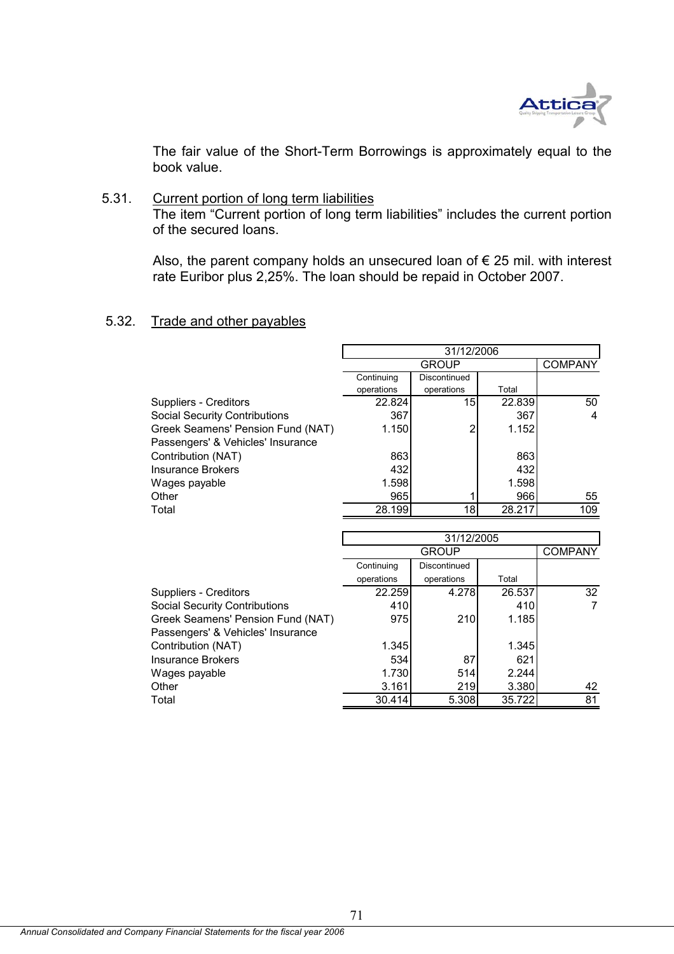

The fair value of the Short-Term Borrowings is approximately equal to the book value.

## 5.31. Current portion of long term liabilities

The item "Current portion of long term liabilities" includes the current portion of the secured loans.

Also, the parent company holds an unsecured loan of  $\epsilon$  25 mil. with interest rate Euribor plus 2,25%. The loan should be repaid in October 2007.

#### 5.32. Trade and other payables

|                                      | 31/12/2006   |              |        |                |
|--------------------------------------|--------------|--------------|--------|----------------|
|                                      | <b>GROUP</b> |              |        | <b>COMPANY</b> |
|                                      | Continuing   | Discontinued |        |                |
|                                      | operations   | operations   | Total  |                |
| <b>Suppliers - Creditors</b>         | 22.824       | 15           | 22.839 | 50             |
| <b>Social Security Contributions</b> | 367          |              | 367    | 4              |
| Greek Seamens' Pension Fund (NAT)    | 1.150        | ◠            | 1.152  |                |
| Passengers' & Vehicles' Insurance    |              |              |        |                |
| Contribution (NAT)                   | 863          |              | 863    |                |
| Insurance Brokers                    | 432l         |              | 432    |                |
| Wages payable                        | 1.598        |              | 1.598  |                |
| Other                                | 965          |              | 966    | 55             |
| Total                                | 28.199       | 18           | 28.217 | 109            |

|                                      | 31/12/2005   |              |        |                 |
|--------------------------------------|--------------|--------------|--------|-----------------|
|                                      | <b>GROUP</b> |              |        | <b>COMPANY</b>  |
|                                      | Continuing   | Discontinued |        |                 |
|                                      | operations   | operations   | Total  |                 |
| Suppliers - Creditors                | 22.259       | 4.278        | 26.537 | 32 <sup>°</sup> |
| <b>Social Security Contributions</b> | 410          |              | 410    |                 |
| Greek Seamens' Pension Fund (NAT)    | 975          | 210          | 1.185  |                 |
| Passengers' & Vehicles' Insurance    |              |              |        |                 |
| Contribution (NAT)                   | 1.345        |              | 1.345  |                 |
| <b>Insurance Brokers</b>             | 534          | 87           | 621    |                 |
| Wages payable                        | 1.730        | 514          | 2.244  |                 |
| Other                                | 3.161        | 219          | 3.380  | 42              |
| Total                                | 30.414       | 5.308        | 35.722 | 81              |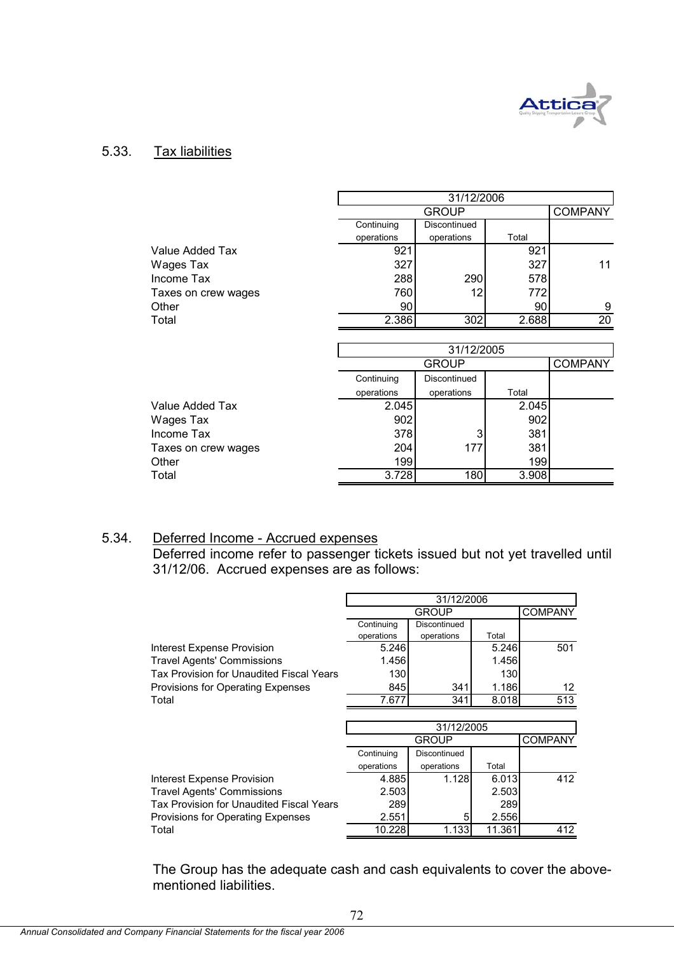

## 5.33. Tax liabilities

|                     |            | 31/12/2006     |       |                 |  |  |
|---------------------|------------|----------------|-------|-----------------|--|--|
|                     |            | <b>COMPANY</b> |       |                 |  |  |
|                     | Continuing | Discontinued   |       |                 |  |  |
|                     | operations | operations     | Total |                 |  |  |
| Value Added Tax     | 921        |                | 921   |                 |  |  |
| Wages Tax           | 327        |                | 327   | 11              |  |  |
| Income Tax          | 288        | 290            | 578   |                 |  |  |
| Taxes on crew wages | 760        | 12             | 772   |                 |  |  |
| Other               | 90         |                | 90    | 9               |  |  |
| Total               | 2.386      | 302            | 2.688 | $\overline{20}$ |  |  |
|                     |            |                |       |                 |  |  |
|                     | 31/12/2005 |                |       |                 |  |  |
|                     |            | <b>GROUP</b>   |       | <b>COMPANY</b>  |  |  |
|                     | Continuing | Discontinued   |       |                 |  |  |
|                     | operations | operations     | Total |                 |  |  |
| Value Added Tax     | 2.045      |                | 2.045 |                 |  |  |
| Wages Tax           | 902        |                | 902   |                 |  |  |
| Income Tax          | 378        | 3              | 381   |                 |  |  |
| Taxes on crew wages | 204        | 177            | 381   |                 |  |  |
| Other               | 199        |                | 199   |                 |  |  |
| Total               | 3.728      | 180            | 3.908 |                 |  |  |

# 5.34. Deferred Income - Accrued expenses

Deferred income refer to passenger tickets issued but not yet travelled until 31/12/06. Accrued expenses are as follows:

|                                          | 31/12/2006   |              |       |                |  |
|------------------------------------------|--------------|--------------|-------|----------------|--|
|                                          | <b>GROUP</b> |              |       | <b>COMPANY</b> |  |
|                                          | Continuing   | Discontinued |       |                |  |
|                                          | operations   | operations   | Total |                |  |
| Interest Expense Provision               | 5.246        |              | 5.246 | 501            |  |
| <b>Travel Agents' Commissions</b>        | 1.456        |              | 1.456 |                |  |
| Tax Provision for Unaudited Fiscal Years | <b>130</b>   |              | 130   |                |  |
| Provisions for Operating Expenses        | 845          | 341          | 1.186 | 12             |  |
| Total                                    | 7.677        | 341          | 8.018 | 513            |  |
|                                          |              |              |       |                |  |
|                                          |              |              |       |                |  |
|                                          |              | 31/12/2005   |       |                |  |
|                                          |              | GROUP        |       | <b>COMPANY</b> |  |
|                                          | Continuing   | Discontinued |       |                |  |
|                                          | operations   | operations   | Total |                |  |
| Interest Expense Provision               | 4.885        | 1.128        | 6.013 | 412            |  |
| <b>Travel Agents' Commissions</b>        | 2.503        |              | 2.503 |                |  |
| Tax Provision for Unaudited Fiscal Years | 289          |              | 289   |                |  |
| Provisions for Operating Expenses        | 2.551        | 5            | 2.556 |                |  |

The Group has the adequate cash and cash equivalents to cover the abovementioned liabilities.